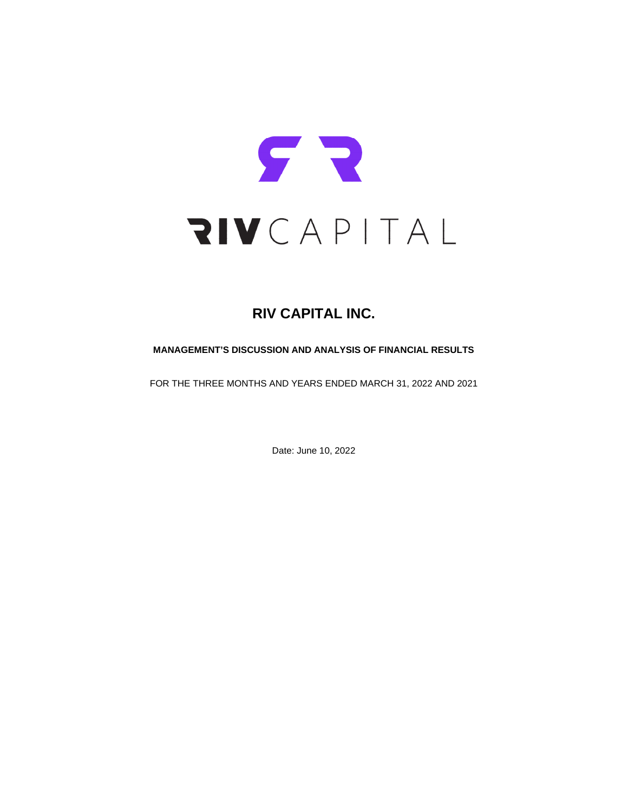

# **RIV CAPITAL INC.**

# **MANAGEMENT'S DISCUSSION AND ANALYSIS OF FINANCIAL RESULTS**

FOR THE THREE MONTHS AND YEARS ENDED MARCH 31, 2022 AND 2021

Date: June 10, 2022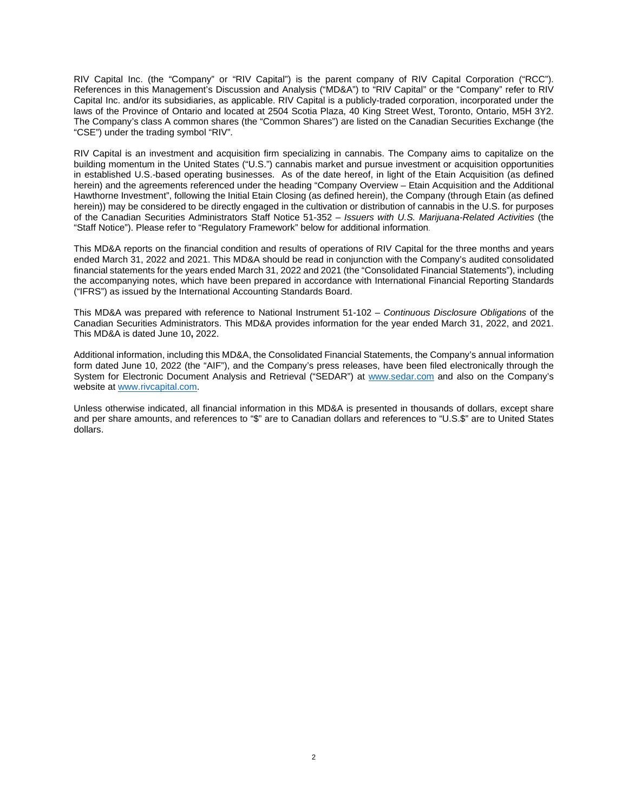RIV Capital Inc. (the "Company" or "RIV Capital") is the parent company of RIV Capital Corporation ("RCC"). References in this Management's Discussion and Analysis ("MD&A") to "RIV Capital" or the "Company" refer to RIV Capital Inc. and/or its subsidiaries, as applicable. RIV Capital is a publicly-traded corporation, incorporated under the laws of the Province of Ontario and located at 2504 Scotia Plaza, 40 King Street West, Toronto, Ontario, M5H 3Y2. The Company's class A common shares (the "Common Shares") are listed on the Canadian Securities Exchange (the "CSE") under the trading symbol "RIV".

RIV Capital is an investment and acquisition firm specializing in cannabis. The Company aims to capitalize on the building momentum in the United States ("U.S.") cannabis market and pursue investment or acquisition opportunities in established U.S.-based operating businesses. As of the date hereof, in light of the Etain Acquisition (as defined herein) and the agreements referenced under the heading "Company Overview – Etain Acquisition and the Additional Hawthorne Investment", following the Initial Etain Closing (as defined herein), the Company (through Etain (as defined herein)) may be considered to be directly engaged in the cultivation or distribution of cannabis in the U.S. for purposes of the Canadian Securities Administrators Staff Notice 51-352 – *Issuers with U.S. Marijuana-Related Activities* (the "Staff Notice"). Please refer to "Regulatory Framework" below for additional information.

This MD&A reports on the financial condition and results of operations of RIV Capital for the three months and years ended March 31, 2022 and 2021. This MD&A should be read in conjunction with the Company's audited consolidated financial statements for the years ended March 31, 2022 and 2021 (the "Consolidated Financial Statements"), including the accompanying notes, which have been prepared in accordance with International Financial Reporting Standards ("IFRS") as issued by the International Accounting Standards Board.

This MD&A was prepared with reference to National Instrument 51-102 – *Continuous Disclosure Obligations* of the Canadian Securities Administrators. This MD&A provides information for the year ended March 31, 2022, and 2021. This MD&A is dated June 10**,** 2022.

Additional information, including this MD&A, the Consolidated Financial Statements, the Company's annual information form dated June 10, 2022 (the "AIF"), and the Company's press releases, have been filed electronically through the System for Electronic Document Analysis and Retrieval ("SEDAR") at [www.sedar.com](http://www.sedar.com/) and also on the Company's website at [www.rivcapital.com.](http://www.rivcapital.com/)

Unless otherwise indicated, all financial information in this MD&A is presented in thousands of dollars, except share and per share amounts, and references to "\$" are to Canadian dollars and references to "U.S.\$" are to United States dollars.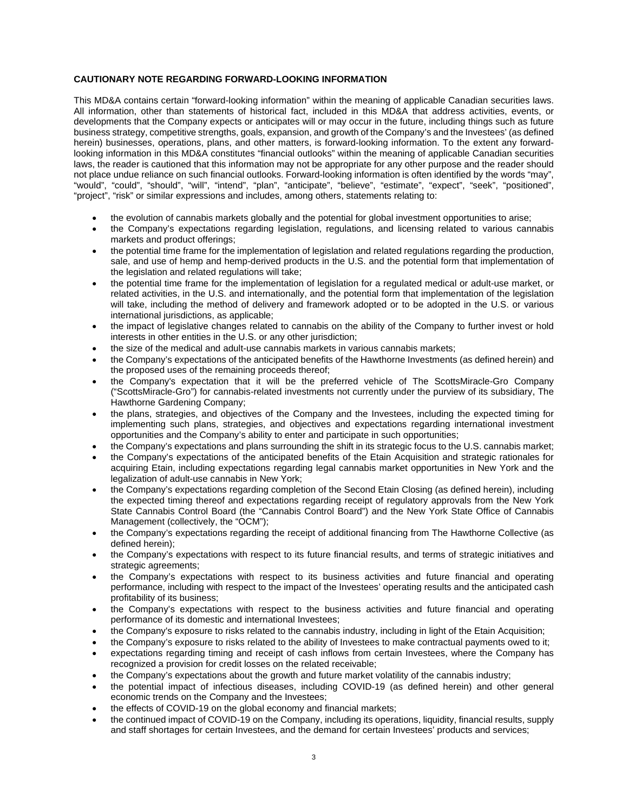# **CAUTIONARY NOTE REGARDING FORWARD-LOOKING INFORMATION**

This MD&A contains certain "forward-looking information" within the meaning of applicable Canadian securities laws. All information, other than statements of historical fact, included in this MD&A that address activities, events, or developments that the Company expects or anticipates will or may occur in the future, including things such as future business strategy, competitive strengths, goals, expansion, and growth of the Company's and the Investees' (as defined herein) businesses, operations, plans, and other matters, is forward-looking information. To the extent any forwardlooking information in this MD&A constitutes "financial outlooks" within the meaning of applicable Canadian securities laws, the reader is cautioned that this information may not be appropriate for any other purpose and the reader should not place undue reliance on such financial outlooks. Forward-looking information is often identified by the words "may", "would", "could", "should", "will", "intend", "plan", "anticipate", "believe", "estimate", "expect", "seek", "positioned", "project", "risk" or similar expressions and includes, among others, statements relating to:

- the evolution of cannabis markets globally and the potential for global investment opportunities to arise;
- the Company's expectations regarding legislation, regulations, and licensing related to various cannabis markets and product offerings;
- the potential time frame for the implementation of legislation and related regulations regarding the production, sale, and use of hemp and hemp-derived products in the U.S. and the potential form that implementation of the legislation and related regulations will take;
- the potential time frame for the implementation of legislation for a regulated medical or adult-use market, or related activities, in the U.S. and internationally, and the potential form that implementation of the legislation will take, including the method of delivery and framework adopted or to be adopted in the U.S. or various international jurisdictions, as applicable;
- the impact of legislative changes related to cannabis on the ability of the Company to further invest or hold interests in other entities in the U.S. or any other jurisdiction;
- the size of the medical and adult-use cannabis markets in various cannabis markets;
- the Company's expectations of the anticipated benefits of the Hawthorne Investments (as defined herein) and the proposed uses of the remaining proceeds thereof;
- the Company's expectation that it will be the preferred vehicle of The ScottsMiracle-Gro Company ("ScottsMiracle-Gro") for cannabis-related investments not currently under the purview of its subsidiary, The Hawthorne Gardening Company;
- the plans, strategies, and objectives of the Company and the Investees, including the expected timing for implementing such plans, strategies, and objectives and expectations regarding international investment opportunities and the Company's ability to enter and participate in such opportunities;
- the Company's expectations and plans surrounding the shift in its strategic focus to the U.S. cannabis market;
- the Company's expectations of the anticipated benefits of the Etain Acquisition and strategic rationales for acquiring Etain, including expectations regarding legal cannabis market opportunities in New York and the legalization of adult-use cannabis in New York;
- the Company's expectations regarding completion of the Second Etain Closing (as defined herein), including the expected timing thereof and expectations regarding receipt of regulatory approvals from the New York State Cannabis Control Board (the "Cannabis Control Board") and the New York State Office of Cannabis Management (collectively, the "OCM");
- the Company's expectations regarding the receipt of additional financing from The Hawthorne Collective (as defined herein);
- the Company's expectations with respect to its future financial results, and terms of strategic initiatives and strategic agreements;
- the Company's expectations with respect to its business activities and future financial and operating performance, including with respect to the impact of the Investees' operating results and the anticipated cash profitability of its business;
- the Company's expectations with respect to the business activities and future financial and operating performance of its domestic and international Investees;
- the Company's exposure to risks related to the cannabis industry, including in light of the Etain Acquisition;
- the Company's exposure to risks related to the ability of Investees to make contractual payments owed to it;
- expectations regarding timing and receipt of cash inflows from certain Investees, where the Company has recognized a provision for credit losses on the related receivable;
- the Company's expectations about the growth and future market volatility of the cannabis industry;
- the potential impact of infectious diseases, including COVID-19 (as defined herein) and other general economic trends on the Company and the Investees;
- the effects of COVID-19 on the global economy and financial markets;
- the continued impact of COVID-19 on the Company, including its operations, liquidity, financial results, supply and staff shortages for certain Investees, and the demand for certain Investees' products and services;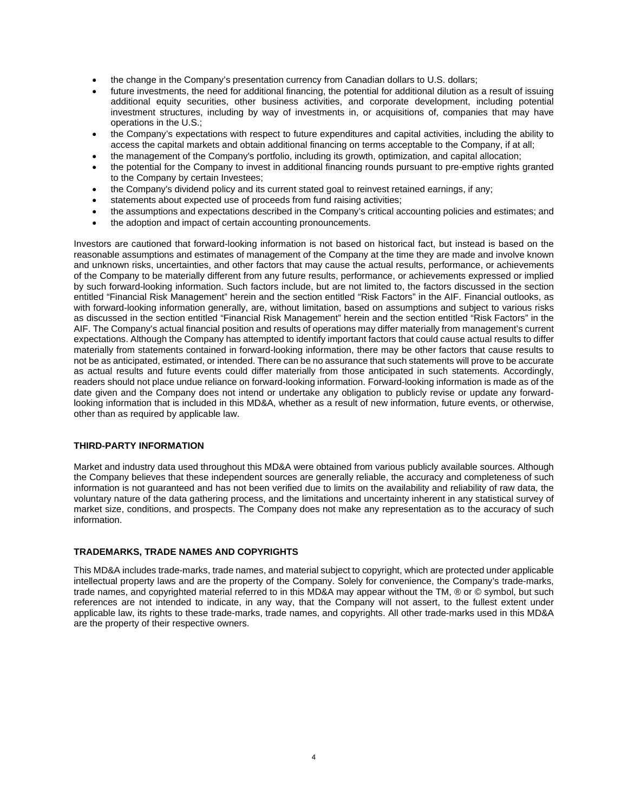- the change in the Company's presentation currency from Canadian dollars to U.S. dollars;
- future investments, the need for additional financing, the potential for additional dilution as a result of issuing additional equity securities, other business activities, and corporate development, including potential investment structures, including by way of investments in, or acquisitions of, companies that may have operations in the U.S.;
- the Company's expectations with respect to future expenditures and capital activities, including the ability to access the capital markets and obtain additional financing on terms acceptable to the Company, if at all;
- the management of the Company's portfolio, including its growth, optimization, and capital allocation;
- the potential for the Company to invest in additional financing rounds pursuant to pre-emptive rights granted to the Company by certain Investees;
- the Company's dividend policy and its current stated goal to reinvest retained earnings, if any;
- statements about expected use of proceeds from fund raising activities;
- the assumptions and expectations described in the Company's critical accounting policies and estimates; and
- the adoption and impact of certain accounting pronouncements.

Investors are cautioned that forward-looking information is not based on historical fact, but instead is based on the reasonable assumptions and estimates of management of the Company at the time they are made and involve known and unknown risks, uncertainties, and other factors that may cause the actual results, performance, or achievements of the Company to be materially different from any future results, performance, or achievements expressed or implied by such forward-looking information. Such factors include, but are not limited to, the factors discussed in the section entitled "Financial Risk Management" herein and the section entitled "Risk Factors" in the AIF. Financial outlooks, as with forward-looking information generally, are, without limitation, based on assumptions and subject to various risks as discussed in the section entitled "Financial Risk Management" herein and the section entitled "Risk Factors" in the AIF. The Company's actual financial position and results of operations may differ materially from management's current expectations. Although the Company has attempted to identify important factors that could cause actual results to differ materially from statements contained in forward-looking information, there may be other factors that cause results to not be as anticipated, estimated, or intended. There can be no assurance that such statements will prove to be accurate as actual results and future events could differ materially from those anticipated in such statements. Accordingly, readers should not place undue reliance on forward-looking information. Forward-looking information is made as of the date given and the Company does not intend or undertake any obligation to publicly revise or update any forwardlooking information that is included in this MD&A, whether as a result of new information, future events, or otherwise, other than as required by applicable law.

# **THIRD-PARTY INFORMATION**

Market and industry data used throughout this MD&A were obtained from various publicly available sources. Although the Company believes that these independent sources are generally reliable, the accuracy and completeness of such information is not guaranteed and has not been verified due to limits on the availability and reliability of raw data, the voluntary nature of the data gathering process, and the limitations and uncertainty inherent in any statistical survey of market size, conditions, and prospects. The Company does not make any representation as to the accuracy of such information.

### **TRADEMARKS, TRADE NAMES AND COPYRIGHTS**

This MD&A includes trade-marks, trade names, and material subject to copyright, which are protected under applicable intellectual property laws and are the property of the Company. Solely for convenience, the Company's trade-marks, trade names, and copyrighted material referred to in this MD&A may appear without the TM, ® or © symbol, but such references are not intended to indicate, in any way, that the Company will not assert, to the fullest extent under applicable law, its rights to these trade-marks, trade names, and copyrights. All other trade-marks used in this MD&A are the property of their respective owners.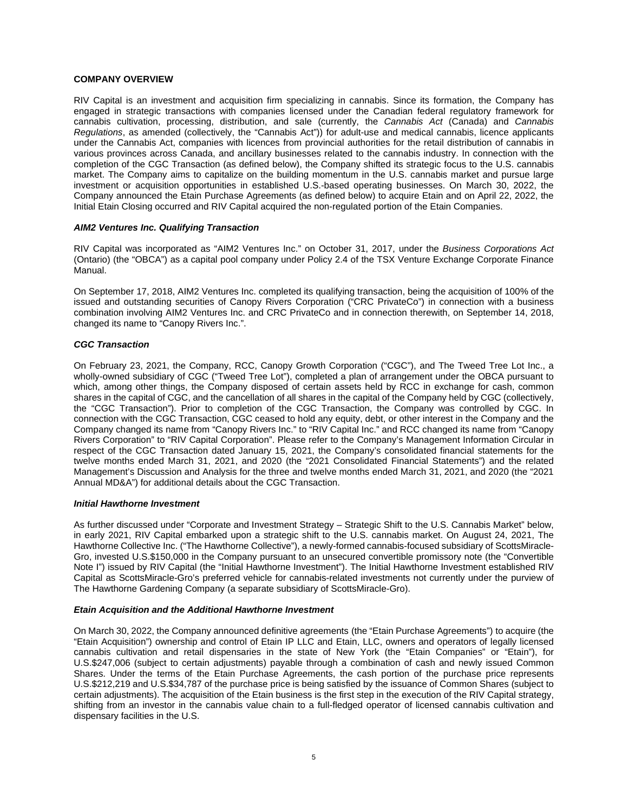# **COMPANY OVERVIEW**

RIV Capital is an investment and acquisition firm specializing in cannabis. Since its formation, the Company has engaged in strategic transactions with companies licensed under the Canadian federal regulatory framework for cannabis cultivation, processing, distribution, and sale (currently, the *Cannabis Act* (Canada) and *Cannabis Regulations*, as amended (collectively, the "Cannabis Act")) for adult-use and medical cannabis, licence applicants under the Cannabis Act, companies with licences from provincial authorities for the retail distribution of cannabis in various provinces across Canada, and ancillary businesses related to the cannabis industry. In connection with the completion of the CGC Transaction (as defined below), the Company shifted its strategic focus to the U.S. cannabis market. The Company aims to capitalize on the building momentum in the U.S. cannabis market and pursue large investment or acquisition opportunities in established U.S.-based operating businesses. On March 30, 2022, the Company announced the Etain Purchase Agreements (as defined below) to acquire Etain and on April 22, 2022, the Initial Etain Closing occurred and RIV Capital acquired the non-regulated portion of the Etain Companies.

## *AIM2 Ventures Inc. Qualifying Transaction*

RIV Capital was incorporated as "AIM2 Ventures Inc." on October 31, 2017, under the *Business Corporations Act*  (Ontario) (the "OBCA") as a capital pool company under Policy 2.4 of the TSX Venture Exchange Corporate Finance Manual.

On September 17, 2018, AIM2 Ventures Inc. completed its qualifying transaction, being the acquisition of 100% of the issued and outstanding securities of Canopy Rivers Corporation ("CRC PrivateCo") in connection with a business combination involving AIM2 Ventures Inc. and CRC PrivateCo and in connection therewith, on September 14, 2018, changed its name to "Canopy Rivers Inc.".

## *CGC Transaction*

On February 23, 2021, the Company, RCC, Canopy Growth Corporation ("CGC"), and The Tweed Tree Lot Inc., a wholly-owned subsidiary of CGC ("Tweed Tree Lot"), completed a plan of arrangement under the OBCA pursuant to which, among other things, the Company disposed of certain assets held by RCC in exchange for cash, common shares in the capital of CGC, and the cancellation of all shares in the capital of the Company held by CGC (collectively, the "CGC Transaction"). Prior to completion of the CGC Transaction, the Company was controlled by CGC. In connection with the CGC Transaction, CGC ceased to hold any equity, debt, or other interest in the Company and the Company changed its name from "Canopy Rivers Inc." to "RIV Capital Inc." and RCC changed its name from "Canopy Rivers Corporation" to "RIV Capital Corporation". Please refer to the Company's Management Information Circular in respect of the CGC Transaction dated January 15, 2021, the Company's consolidated financial statements for the twelve months ended March 31, 2021, and 2020 (the "2021 Consolidated Financial Statements") and the related Management's Discussion and Analysis for the three and twelve months ended March 31, 2021, and 2020 (the "2021 Annual MD&A") for additional details about the CGC Transaction.

### *Initial Hawthorne Investment*

As further discussed under "Corporate and Investment Strategy – Strategic Shift to the U.S. Cannabis Market" below, in early 2021, RIV Capital embarked upon a strategic shift to the U.S. cannabis market. On August 24, 2021, The Hawthorne Collective Inc. ("The Hawthorne Collective"), a newly-formed cannabis-focused subsidiary of ScottsMiracle-Gro, invested U.S.\$150,000 in the Company pursuant to an unsecured convertible promissory note (the "Convertible Note I") issued by RIV Capital (the "Initial Hawthorne Investment"). The Initial Hawthorne Investment established RIV Capital as ScottsMiracle-Gro's preferred vehicle for cannabis-related investments not currently under the purview of The Hawthorne Gardening Company (a separate subsidiary of ScottsMiracle-Gro).

### *Etain Acquisition and the Additional Hawthorne Investment*

On March 30, 2022, the Company announced definitive agreements (the "Etain Purchase Agreements") to acquire (the "Etain Acquisition") ownership and control of Etain IP LLC and Etain, LLC, owners and operators of legally licensed cannabis cultivation and retail dispensaries in the state of New York (the "Etain Companies" or "Etain"), for U.S.\$247,006 (subject to certain adjustments) payable through a combination of cash and newly issued Common Shares. Under the terms of the Etain Purchase Agreements, the cash portion of the purchase price represents U.S.\$212,219 and U.S.\$34,787 of the purchase price is being satisfied by the issuance of Common Shares (subject to certain adjustments). The acquisition of the Etain business is the first step in the execution of the RIV Capital strategy, shifting from an investor in the cannabis value chain to a full-fledged operator of licensed cannabis cultivation and dispensary facilities in the U.S.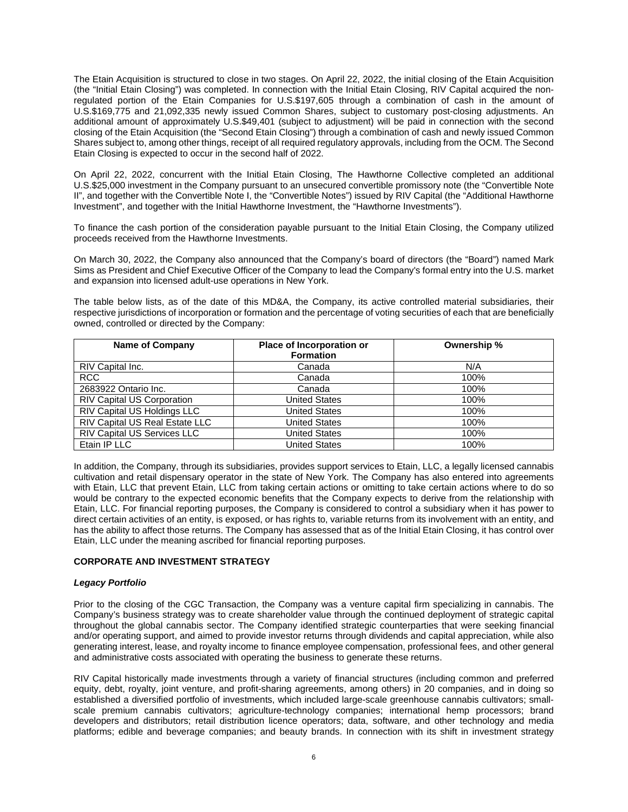The Etain Acquisition is structured to close in two stages. On April 22, 2022, the initial closing of the Etain Acquisition (the "Initial Etain Closing") was completed. In connection with the Initial Etain Closing, RIV Capital acquired the nonregulated portion of the Etain Companies for U.S.\$197,605 through a combination of cash in the amount of U.S.\$169,775 and 21,092,335 newly issued Common Shares, subject to customary post-closing adjustments. An additional amount of approximately U.S.\$49,401 (subject to adjustment) will be paid in connection with the second closing of the Etain Acquisition (the "Second Etain Closing") through a combination of cash and newly issued Common Shares subject to, among other things, receipt of all required regulatory approvals, including from the OCM. The Second Etain Closing is expected to occur in the second half of 2022.

On April 22, 2022, concurrent with the Initial Etain Closing, The Hawthorne Collective completed an additional U.S.\$25,000 investment in the Company pursuant to an unsecured convertible promissory note (the "Convertible Note II", and together with the Convertible Note I, the "Convertible Notes") issued by RIV Capital (the "Additional Hawthorne Investment", and together with the Initial Hawthorne Investment, the "Hawthorne Investments").

To finance the cash portion of the consideration payable pursuant to the Initial Etain Closing, the Company utilized proceeds received from the Hawthorne Investments.

On March 30, 2022, the Company also announced that the Company's board of directors (the "Board") named Mark Sims as President and Chief Executive Officer of the Company to lead the Company's formal entry into the U.S. market and expansion into licensed adult-use operations in New York.

The table below lists, as of the date of this MD&A, the Company, its active controlled material subsidiaries, their respective jurisdictions of incorporation or formation and the percentage of voting securities of each that are beneficially owned, controlled or directed by the Company:

| <b>Name of Company</b>             | Place of Incorporation or<br><b>Formation</b> | Ownership % |
|------------------------------------|-----------------------------------------------|-------------|
| RIV Capital Inc.                   | Canada                                        | N/A         |
| <b>RCC</b>                         | Canada                                        | 100%        |
| 2683922 Ontario Inc.               | Canada                                        | 100%        |
| <b>RIV Capital US Corporation</b>  | <b>United States</b>                          | 100%        |
| <b>RIV Capital US Holdings LLC</b> | <b>United States</b>                          | 100%        |
| RIV Capital US Real Estate LLC     | <b>United States</b>                          | 100%        |
| RIV Capital US Services LLC        | <b>United States</b>                          | 100%        |
| Etain IP LLC                       | <b>United States</b>                          | 100%        |

In addition, the Company, through its subsidiaries, provides support services to Etain, LLC, a legally licensed cannabis cultivation and retail dispensary operator in the state of New York. The Company has also entered into agreements with Etain, LLC that prevent Etain, LLC from taking certain actions or omitting to take certain actions where to do so would be contrary to the expected economic benefits that the Company expects to derive from the relationship with Etain, LLC. For financial reporting purposes, the Company is considered to control a subsidiary when it has power to direct certain activities of an entity, is exposed, or has rights to, variable returns from its involvement with an entity, and has the ability to affect those returns. The Company has assessed that as of the Initial Etain Closing, it has control over Etain, LLC under the meaning ascribed for financial reporting purposes.

# **CORPORATE AND INVESTMENT STRATEGY**

# *Legacy Portfolio*

Prior to the closing of the CGC Transaction, the Company was a venture capital firm specializing in cannabis. The Company's business strategy was to create shareholder value through the continued deployment of strategic capital throughout the global cannabis sector. The Company identified strategic counterparties that were seeking financial and/or operating support, and aimed to provide investor returns through dividends and capital appreciation, while also generating interest, lease, and royalty income to finance employee compensation, professional fees, and other general and administrative costs associated with operating the business to generate these returns.

RIV Capital historically made investments through a variety of financial structures (including common and preferred equity, debt, royalty, joint venture, and profit-sharing agreements, among others) in 20 companies, and in doing so established a diversified portfolio of investments, which included large-scale greenhouse cannabis cultivators; smallscale premium cannabis cultivators; agriculture-technology companies; international hemp processors; brand developers and distributors; retail distribution licence operators; data, software, and other technology and media platforms; edible and beverage companies; and beauty brands. In connection with its shift in investment strategy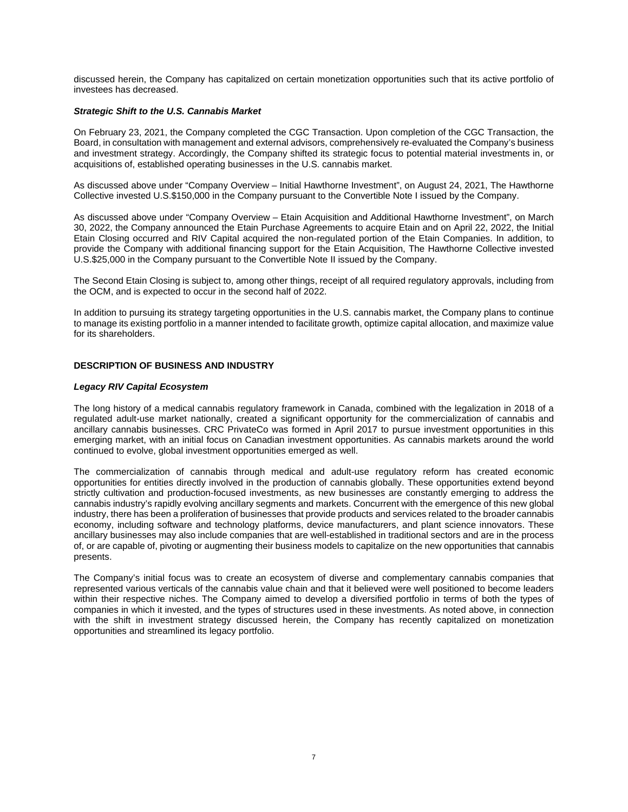discussed herein, the Company has capitalized on certain monetization opportunities such that its active portfolio of investees has decreased.

## *Strategic Shift to the U.S. Cannabis Market*

On February 23, 2021, the Company completed the CGC Transaction. Upon completion of the CGC Transaction, the Board, in consultation with management and external advisors, comprehensively re-evaluated the Company's business and investment strategy. Accordingly, the Company shifted its strategic focus to potential material investments in, or acquisitions of, established operating businesses in the U.S. cannabis market.

As discussed above under "Company Overview – Initial Hawthorne Investment", on August 24, 2021, The Hawthorne Collective invested U.S.\$150,000 in the Company pursuant to the Convertible Note I issued by the Company.

As discussed above under "Company Overview – Etain Acquisition and Additional Hawthorne Investment", on March 30, 2022, the Company announced the Etain Purchase Agreements to acquire Etain and on April 22, 2022, the Initial Etain Closing occurred and RIV Capital acquired the non-regulated portion of the Etain Companies. In addition, to provide the Company with additional financing support for the Etain Acquisition, The Hawthorne Collective invested U.S.\$25,000 in the Company pursuant to the Convertible Note II issued by the Company.

The Second Etain Closing is subject to, among other things, receipt of all required regulatory approvals, including from the OCM, and is expected to occur in the second half of 2022.

In addition to pursuing its strategy targeting opportunities in the U.S. cannabis market, the Company plans to continue to manage its existing portfolio in a manner intended to facilitate growth, optimize capital allocation, and maximize value for its shareholders.

# **DESCRIPTION OF BUSINESS AND INDUSTRY**

### *Legacy RIV Capital Ecosystem*

The long history of a medical cannabis regulatory framework in Canada, combined with the legalization in 2018 of a regulated adult-use market nationally, created a significant opportunity for the commercialization of cannabis and ancillary cannabis businesses. CRC PrivateCo was formed in April 2017 to pursue investment opportunities in this emerging market, with an initial focus on Canadian investment opportunities. As cannabis markets around the world continued to evolve, global investment opportunities emerged as well.

The commercialization of cannabis through medical and adult-use regulatory reform has created economic opportunities for entities directly involved in the production of cannabis globally. These opportunities extend beyond strictly cultivation and production-focused investments, as new businesses are constantly emerging to address the cannabis industry's rapidly evolving ancillary segments and markets. Concurrent with the emergence of this new global industry, there has been a proliferation of businesses that provide products and services related to the broader cannabis economy, including software and technology platforms, device manufacturers, and plant science innovators. These ancillary businesses may also include companies that are well-established in traditional sectors and are in the process of, or are capable of, pivoting or augmenting their business models to capitalize on the new opportunities that cannabis presents.

The Company's initial focus was to create an ecosystem of diverse and complementary cannabis companies that represented various verticals of the cannabis value chain and that it believed were well positioned to become leaders within their respective niches. The Company aimed to develop a diversified portfolio in terms of both the types of companies in which it invested, and the types of structures used in these investments. As noted above, in connection with the shift in investment strategy discussed herein, the Company has recently capitalized on monetization opportunities and streamlined its legacy portfolio.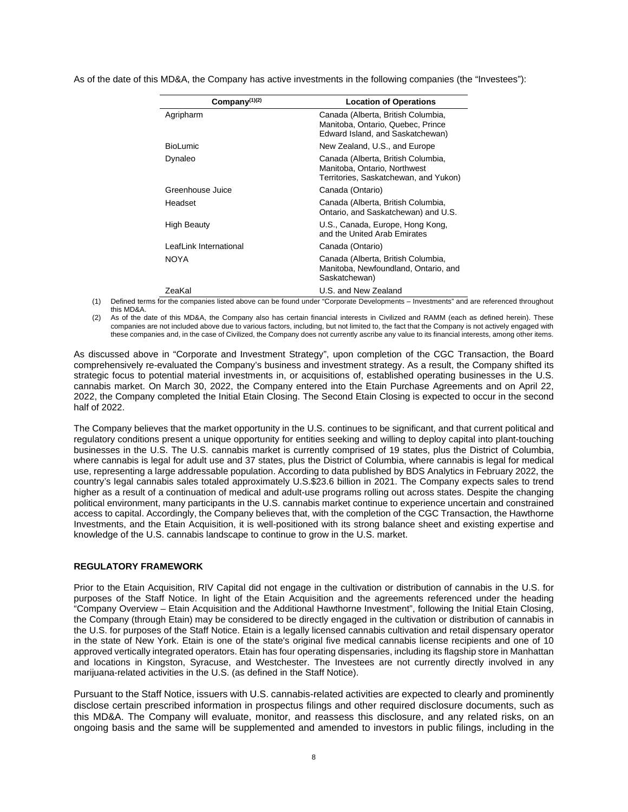As of the date of this MD&A, the Company has active investments in the following companies (the "Investees"):

| Company <sup>(1)(2)</sup> | <b>Location of Operations</b>                                                                               |
|---------------------------|-------------------------------------------------------------------------------------------------------------|
| Agripharm                 | Canada (Alberta, British Columbia,<br>Manitoba, Ontario, Quebec, Prince<br>Edward Island, and Saskatchewan) |
| <b>BioLumic</b>           | New Zealand, U.S., and Europe                                                                               |
| Dynaleo                   | Canada (Alberta, British Columbia,<br>Manitoba, Ontario, Northwest<br>Territories, Saskatchewan, and Yukon) |
| Greenhouse Juice          | Canada (Ontario)                                                                                            |
| Headset                   | Canada (Alberta, British Columbia,<br>Ontario, and Saskatchewan) and U.S.                                   |
| High Beauty               | U.S., Canada, Europe, Hong Kong,<br>and the United Arab Emirates                                            |
| LeafLink International    | Canada (Ontario)                                                                                            |
| <b>NOYA</b>               | Canada (Alberta, British Columbia,<br>Manitoba, Newfoundland, Ontario, and<br>Saskatchewan)                 |
| ZeaKal                    | U.S. and New Zealand                                                                                        |

(1) Defined terms for the companies listed above can be found under "Corporate Developments – Investments" and are referenced throughout this MD&A.

(2) As of the date of this MD&A, the Company also has certain financial interests in Civilized and RAMM (each as defined herein). These companies are not included above due to various factors, including, but not limited to, the fact that the Company is not actively engaged with these companies and, in the case of Civilized, the Company does not currently ascribe any value to its financial interests, among other items.

As discussed above in "Corporate and Investment Strategy", upon completion of the CGC Transaction, the Board comprehensively re-evaluated the Company's business and investment strategy. As a result, the Company shifted its strategic focus to potential material investments in, or acquisitions of, established operating businesses in the U.S. cannabis market. On March 30, 2022, the Company entered into the Etain Purchase Agreements and on April 22, 2022, the Company completed the Initial Etain Closing. The Second Etain Closing is expected to occur in the second half of 2022.

The Company believes that the market opportunity in the U.S. continues to be significant, and that current political and regulatory conditions present a unique opportunity for entities seeking and willing to deploy capital into plant-touching businesses in the U.S. The U.S. cannabis market is currently comprised of 19 states, plus the District of Columbia, where cannabis is legal for adult use and 37 states, plus the District of Columbia, where cannabis is legal for medical use, representing a large addressable population. According to data published by BDS Analytics in February 2022, the country's legal cannabis sales totaled approximately U.S.\$23.6 billion in 2021. The Company expects sales to trend higher as a result of a continuation of medical and adult-use programs rolling out across states. Despite the changing political environment, many participants in the U.S. cannabis market continue to experience uncertain and constrained access to capital. Accordingly, the Company believes that, with the completion of the CGC Transaction, the Hawthorne Investments, and the Etain Acquisition, it is well-positioned with its strong balance sheet and existing expertise and knowledge of the U.S. cannabis landscape to continue to grow in the U.S. market.

## **REGULATORY FRAMEWORK**

Prior to the Etain Acquisition, RIV Capital did not engage in the cultivation or distribution of cannabis in the U.S. for purposes of the Staff Notice. In light of the Etain Acquisition and the agreements referenced under the heading "Company Overview – Etain Acquisition and the Additional Hawthorne Investment", following the Initial Etain Closing, the Company (through Etain) may be considered to be directly engaged in the cultivation or distribution of cannabis in the U.S. for purposes of the Staff Notice. Etain is a legally licensed cannabis cultivation and retail dispensary operator in the state of New York. Etain is one of the state's original five medical cannabis license recipients and one of 10 approved vertically integrated operators. Etain has four operating dispensaries, including its flagship store in Manhattan and locations in Kingston, Syracuse, and Westchester. The Investees are not currently directly involved in any marijuana-related activities in the U.S. (as defined in the Staff Notice).

Pursuant to the Staff Notice, issuers with U.S. cannabis-related activities are expected to clearly and prominently disclose certain prescribed information in prospectus filings and other required disclosure documents, such as this MD&A. The Company will evaluate, monitor, and reassess this disclosure, and any related risks, on an ongoing basis and the same will be supplemented and amended to investors in public filings, including in the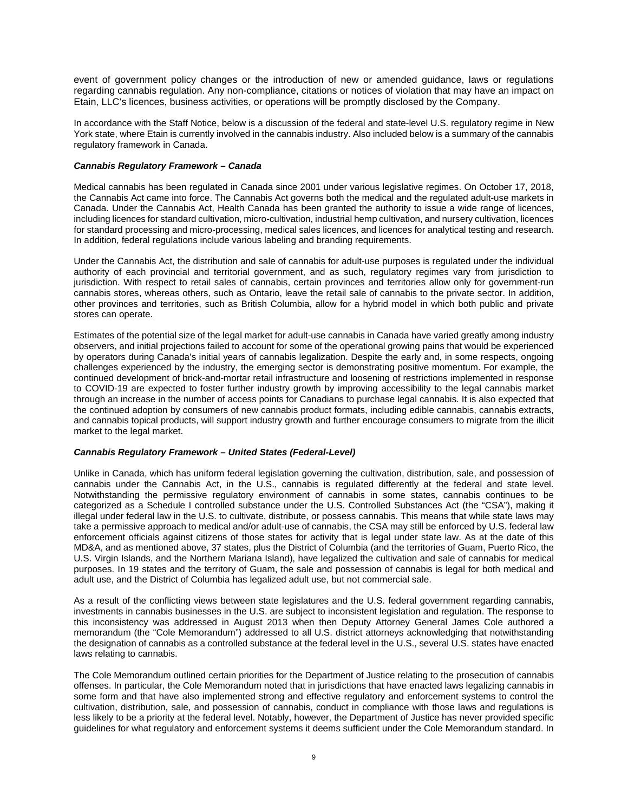event of government policy changes or the introduction of new or amended guidance, laws or regulations regarding cannabis regulation. Any non-compliance, citations or notices of violation that may have an impact on Etain, LLC's licences, business activities, or operations will be promptly disclosed by the Company.

In accordance with the Staff Notice, below is a discussion of the federal and state-level U.S. regulatory regime in New York state, where Etain is currently involved in the cannabis industry. Also included below is a summary of the cannabis regulatory framework in Canada.

## *Cannabis Regulatory Framework – Canada*

Medical cannabis has been regulated in Canada since 2001 under various legislative regimes. On October 17, 2018, the Cannabis Act came into force. The Cannabis Act governs both the medical and the regulated adult-use markets in Canada. Under the Cannabis Act, Health Canada has been granted the authority to issue a wide range of licences, including licences for standard cultivation, micro-cultivation, industrial hemp cultivation, and nursery cultivation, licences for standard processing and micro-processing, medical sales licences, and licences for analytical testing and research. In addition, federal regulations include various labeling and branding requirements.

Under the Cannabis Act, the distribution and sale of cannabis for adult-use purposes is regulated under the individual authority of each provincial and territorial government, and as such, regulatory regimes vary from jurisdiction to jurisdiction. With respect to retail sales of cannabis, certain provinces and territories allow only for government-run cannabis stores, whereas others, such as Ontario, leave the retail sale of cannabis to the private sector. In addition, other provinces and territories, such as British Columbia, allow for a hybrid model in which both public and private stores can operate.

Estimates of the potential size of the legal market for adult-use cannabis in Canada have varied greatly among industry observers, and initial projections failed to account for some of the operational growing pains that would be experienced by operators during Canada's initial years of cannabis legalization. Despite the early and, in some respects, ongoing challenges experienced by the industry, the emerging sector is demonstrating positive momentum. For example, the continued development of brick-and-mortar retail infrastructure and loosening of restrictions implemented in response to COVID-19 are expected to foster further industry growth by improving accessibility to the legal cannabis market through an increase in the number of access points for Canadians to purchase legal cannabis. It is also expected that the continued adoption by consumers of new cannabis product formats, including edible cannabis, cannabis extracts, and cannabis topical products, will support industry growth and further encourage consumers to migrate from the illicit market to the legal market.

# *Cannabis Regulatory Framework – United States (Federal-Level)*

Unlike in Canada, which has uniform federal legislation governing the cultivation, distribution, sale, and possession of cannabis under the Cannabis Act, in the U.S., cannabis is regulated differently at the federal and state level. Notwithstanding the permissive regulatory environment of cannabis in some states, cannabis continues to be categorized as a Schedule I controlled substance under the U.S. Controlled Substances Act (the "CSA"), making it illegal under federal law in the U.S. to cultivate, distribute, or possess cannabis. This means that while state laws may take a permissive approach to medical and/or adult-use of cannabis, the CSA may still be enforced by U.S. federal law enforcement officials against citizens of those states for activity that is legal under state law. As at the date of this MD&A, and as mentioned above, 37 states, plus the District of Columbia (and the territories of Guam, Puerto Rico, the U.S. Virgin Islands, and the Northern Mariana Island), have legalized the cultivation and sale of cannabis for medical purposes. In 19 states and the territory of Guam, the sale and possession of cannabis is legal for both medical and adult use, and the District of Columbia has legalized adult use, but not commercial sale.

As a result of the conflicting views between state legislatures and the U.S. federal government regarding cannabis, investments in cannabis businesses in the U.S. are subject to inconsistent legislation and regulation. The response to this inconsistency was addressed in August 2013 when then Deputy Attorney General James Cole authored a memorandum (the "Cole Memorandum") addressed to all U.S. district attorneys acknowledging that notwithstanding the designation of cannabis as a controlled substance at the federal level in the U.S., several U.S. states have enacted laws relating to cannabis.

The Cole Memorandum outlined certain priorities for the Department of Justice relating to the prosecution of cannabis offenses. In particular, the Cole Memorandum noted that in jurisdictions that have enacted laws legalizing cannabis in some form and that have also implemented strong and effective regulatory and enforcement systems to control the cultivation, distribution, sale, and possession of cannabis, conduct in compliance with those laws and regulations is less likely to be a priority at the federal level. Notably, however, the Department of Justice has never provided specific guidelines for what regulatory and enforcement systems it deems sufficient under the Cole Memorandum standard. In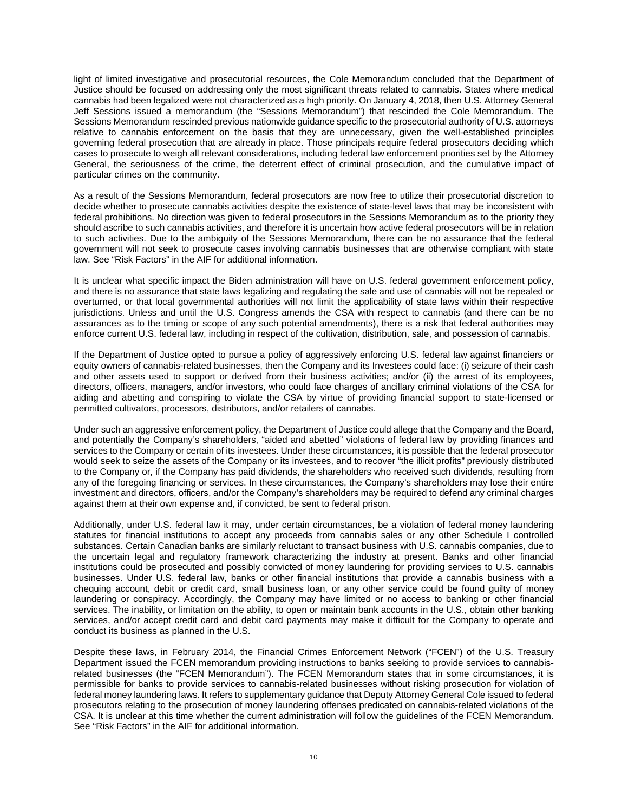light of limited investigative and prosecutorial resources, the Cole Memorandum concluded that the Department of Justice should be focused on addressing only the most significant threats related to cannabis. States where medical cannabis had been legalized were not characterized as a high priority. On January 4, 2018, then U.S. Attorney General Jeff Sessions issued a memorandum (the "Sessions Memorandum") that rescinded the Cole Memorandum. The Sessions Memorandum rescinded previous nationwide guidance specific to the prosecutorial authority of U.S. attorneys relative to cannabis enforcement on the basis that they are unnecessary, given the well-established principles governing federal prosecution that are already in place. Those principals require federal prosecutors deciding which cases to prosecute to weigh all relevant considerations, including federal law enforcement priorities set by the Attorney General, the seriousness of the crime, the deterrent effect of criminal prosecution, and the cumulative impact of particular crimes on the community.

As a result of the Sessions Memorandum, federal prosecutors are now free to utilize their prosecutorial discretion to decide whether to prosecute cannabis activities despite the existence of state-level laws that may be inconsistent with federal prohibitions. No direction was given to federal prosecutors in the Sessions Memorandum as to the priority they should ascribe to such cannabis activities, and therefore it is uncertain how active federal prosecutors will be in relation to such activities. Due to the ambiguity of the Sessions Memorandum, there can be no assurance that the federal government will not seek to prosecute cases involving cannabis businesses that are otherwise compliant with state law. See "Risk Factors" in the AIF for additional information.

It is unclear what specific impact the Biden administration will have on U.S. federal government enforcement policy, and there is no assurance that state laws legalizing and regulating the sale and use of cannabis will not be repealed or overturned, or that local governmental authorities will not limit the applicability of state laws within their respective jurisdictions. Unless and until the U.S. Congress amends the CSA with respect to cannabis (and there can be no assurances as to the timing or scope of any such potential amendments), there is a risk that federal authorities may enforce current U.S. federal law, including in respect of the cultivation, distribution, sale, and possession of cannabis.

If the Department of Justice opted to pursue a policy of aggressively enforcing U.S. federal law against financiers or equity owners of cannabis-related businesses, then the Company and its Investees could face: (i) seizure of their cash and other assets used to support or derived from their business activities; and/or (ii) the arrest of its employees, directors, officers, managers, and/or investors, who could face charges of ancillary criminal violations of the CSA for aiding and abetting and conspiring to violate the CSA by virtue of providing financial support to state-licensed or permitted cultivators, processors, distributors, and/or retailers of cannabis.

Under such an aggressive enforcement policy, the Department of Justice could allege that the Company and the Board, and potentially the Company's shareholders, "aided and abetted" violations of federal law by providing finances and services to the Company or certain of its investees. Under these circumstances, it is possible that the federal prosecutor would seek to seize the assets of the Company or its investees, and to recover "the illicit profits" previously distributed to the Company or, if the Company has paid dividends, the shareholders who received such dividends, resulting from any of the foregoing financing or services. In these circumstances, the Company's shareholders may lose their entire investment and directors, officers, and/or the Company's shareholders may be required to defend any criminal charges against them at their own expense and, if convicted, be sent to federal prison.

Additionally, under U.S. federal law it may, under certain circumstances, be a violation of federal money laundering statutes for financial institutions to accept any proceeds from cannabis sales or any other Schedule I controlled substances. Certain Canadian banks are similarly reluctant to transact business with U.S. cannabis companies, due to the uncertain legal and regulatory framework characterizing the industry at present. Banks and other financial institutions could be prosecuted and possibly convicted of money laundering for providing services to U.S. cannabis businesses. Under U.S. federal law, banks or other financial institutions that provide a cannabis business with a chequing account, debit or credit card, small business loan, or any other service could be found guilty of money laundering or conspiracy. Accordingly, the Company may have limited or no access to banking or other financial services. The inability, or limitation on the ability, to open or maintain bank accounts in the U.S., obtain other banking services, and/or accept credit card and debit card payments may make it difficult for the Company to operate and conduct its business as planned in the U.S.

Despite these laws, in February 2014, the Financial Crimes Enforcement Network ("FCEN") of the U.S. Treasury Department issued the FCEN memorandum providing instructions to banks seeking to provide services to cannabisrelated businesses (the "FCEN Memorandum"). The FCEN Memorandum states that in some circumstances, it is permissible for banks to provide services to cannabis-related businesses without risking prosecution for violation of federal money laundering laws. It refers to supplementary guidance that Deputy Attorney General Cole issued to federal prosecutors relating to the prosecution of money laundering offenses predicated on cannabis-related violations of the CSA. It is unclear at this time whether the current administration will follow the guidelines of the FCEN Memorandum. See "Risk Factors" in the AIF for additional information.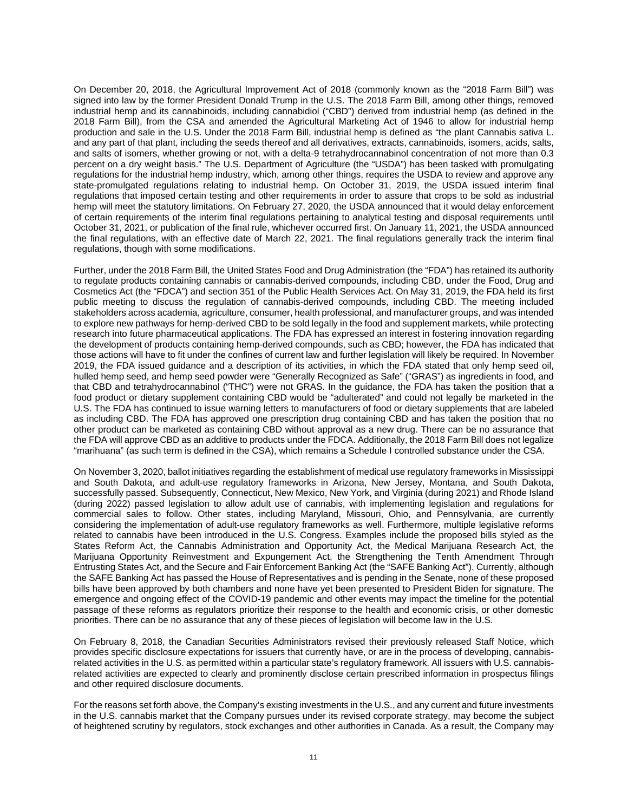On December 20, 2018, the Agricultural Improvement Act of 2018 (commonly known as the "2018 Farm Bill") was signed into law by the former President Donald Trump in the U.S. The 2018 Farm Bill, among other things, removed industrial hemp and its cannabinoids, including cannabidiol ("CBD") derived from industrial hemp (as defined in the 2018 Farm Bill), from the CSA and amended the Agricultural Marketing Act of 1946 to allow for industrial hemp production and sale in the U.S. Under the 2018 Farm Bill, industrial hemp is defined as "the plant Cannabis sativa L. and any part of that plant, including the seeds thereof and all derivatives, extracts, cannabinoids, isomers, acids, salts, and salts of isomers, whether growing or not, with a delta-9 tetrahydrocannabinol concentration of not more than 0.3 percent on a dry weight basis." The U.S. Department of Agriculture (the "USDA") has been tasked with promulgating regulations for the industrial hemp industry, which, among other things, requires the USDA to review and approve any state-promulgated regulations relating to industrial hemp. On October 31, 2019, the USDA issued interim final regulations that imposed certain testing and other requirements in order to assure that crops to be sold as industrial hemp will meet the statutory limitations. On February 27, 2020, the USDA announced that it would delay enforcement of certain requirements of the interim final regulations pertaining to analytical testing and disposal requirements until October 31, 2021, or publication of the final rule, whichever occurred first. On January 11, 2021, the USDA announced the final regulations, with an effective date of March 22, 2021. The final regulations generally track the interim final regulations, though with some modifications.

Further, under the 2018 Farm Bill, the United States Food and Drug Administration (the "FDA") has retained its authority to regulate products containing cannabis or cannabis-derived compounds, including CBD, under the Food, Drug and Cosmetics Act (the "FDCA") and section 351 of the Public Health Services Act. On May 31, 2019, the FDA held its first public meeting to discuss the regulation of cannabis-derived compounds, including CBD. The meeting included stakeholders across academia, agriculture, consumer, health professional, and manufacturer groups, and was intended to explore new pathways for hemp-derived CBD to be sold legally in the food and supplement markets, while protecting research into future pharmaceutical applications. The FDA has expressed an interest in fostering innovation regarding the development of products containing hemp-derived compounds, such as CBD; however, the FDA has indicated that those actions will have to fit under the confines of current law and further legislation will likely be required. In November 2019, the FDA issued guidance and a description of its activities, in which the FDA stated that only hemp seed oil, hulled hemp seed, and hemp seed powder were "Generally Recognized as Safe" ("GRAS") as ingredients in food, and that CBD and tetrahydrocannabinol ("THC") were not GRAS. In the guidance, the FDA has taken the position that a food product or dietary supplement containing CBD would be "adulterated" and could not legally be marketed in the U.S. The FDA has continued to issue warning letters to manufacturers of food or dietary supplements that are labeled as including CBD. The FDA has approved one prescription drug containing CBD and has taken the position that no other product can be marketed as containing CBD without approval as a new drug. There can be no assurance that the FDA will approve CBD as an additive to products under the FDCA. Additionally, the 2018 Farm Bill does not legalize "marihuana" (as such term is defined in the CSA), which remains a Schedule I controlled substance under the CSA.

On November 3, 2020, ballot initiatives regarding the establishment of medical use regulatory frameworks in Mississippi and South Dakota, and adult-use regulatory frameworks in Arizona, New Jersey, Montana, and South Dakota, successfully passed. Subsequently, Connecticut, New Mexico, New York, and Virginia (during 2021) and Rhode Island (during 2022) passed legislation to allow adult use of cannabis, with implementing legislation and regulations for commercial sales to follow. Other states, including Maryland, Missouri, Ohio, and Pennsylvania, are currently considering the implementation of adult-use regulatory frameworks as well. Furthermore, multiple legislative reforms related to cannabis have been introduced in the U.S. Congress. Examples include the proposed bills styled as the States Reform Act, the Cannabis Administration and Opportunity Act, the Medical Marijuana Research Act, the Marijuana Opportunity Reinvestment and Expungement Act, the Strengthening the Tenth Amendment Through Entrusting States Act, and the Secure and Fair Enforcement Banking Act (the "SAFE Banking Act"). Currently, although the SAFE Banking Act has passed the House of Representatives and is pending in the Senate, none of these proposed bills have been approved by both chambers and none have yet been presented to President Biden for signature. The emergence and ongoing effect of the COVID-19 pandemic and other events may impact the timeline for the potential passage of these reforms as regulators prioritize their response to the health and economic crisis, or other domestic priorities. There can be no assurance that any of these pieces of legislation will become law in the U.S.

On February 8, 2018, the Canadian Securities Administrators revised their previously released Staff Notice, which provides specific disclosure expectations for issuers that currently have, or are in the process of developing, cannabisrelated activities in the U.S. as permitted within a particular state's regulatory framework. All issuers with U.S. cannabisrelated activities are expected to clearly and prominently disclose certain prescribed information in prospectus filings and other required disclosure documents.

For the reasons set forth above, the Company's existing investments in the U.S., and any current and future investments in the U.S. cannabis market that the Company pursues under its revised corporate strategy, may become the subject of heightened scrutiny by regulators, stock exchanges and other authorities in Canada. As a result, the Company may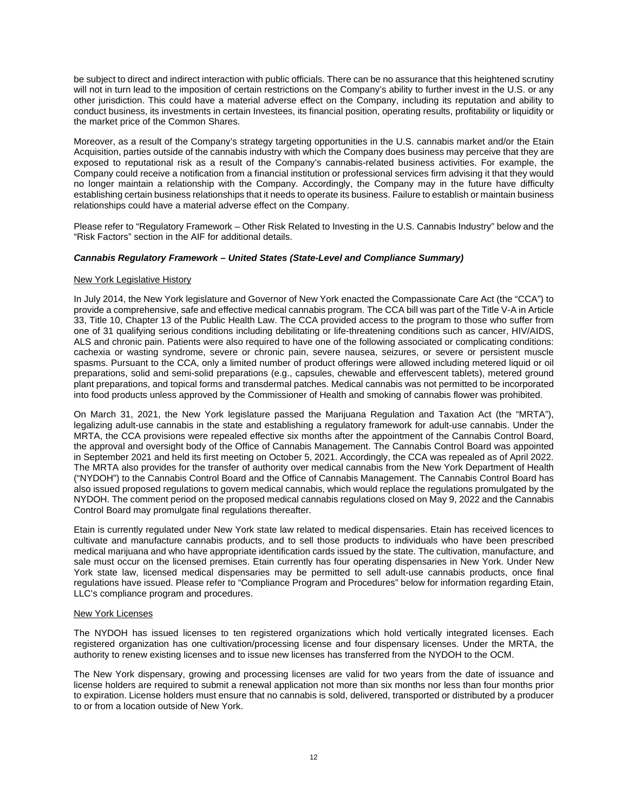be subject to direct and indirect interaction with public officials. There can be no assurance that this heightened scrutiny will not in turn lead to the imposition of certain restrictions on the Company's ability to further invest in the U.S. or any other jurisdiction. This could have a material adverse effect on the Company, including its reputation and ability to conduct business, its investments in certain Investees, its financial position, operating results, profitability or liquidity or the market price of the Common Shares.

Moreover, as a result of the Company's strategy targeting opportunities in the U.S. cannabis market and/or the Etain Acquisition, parties outside of the cannabis industry with which the Company does business may perceive that they are exposed to reputational risk as a result of the Company's cannabis-related business activities. For example, the Company could receive a notification from a financial institution or professional services firm advising it that they would no longer maintain a relationship with the Company. Accordingly, the Company may in the future have difficulty establishing certain business relationships that it needs to operate its business. Failure to establish or maintain business relationships could have a material adverse effect on the Company.

Please refer to "Regulatory Framework – Other Risk Related to Investing in the U.S. Cannabis Industry" below and the "Risk Factors" section in the AIF for additional details.

## *Cannabis Regulatory Framework – United States (State-Level and Compliance Summary)*

### New York Legislative History

In July 2014, the New York legislature and Governor of New York enacted the Compassionate Care Act (the "CCA") to provide a comprehensive, safe and effective medical cannabis program. The CCA bill was part of the Title V-A in Article 33, Title 10, Chapter 13 of the Public Health Law. The CCA provided access to the program to those who suffer from one of 31 qualifying serious conditions including debilitating or life-threatening conditions such as cancer, HIV/AIDS, ALS and chronic pain. Patients were also required to have one of the following associated or complicating conditions: cachexia or wasting syndrome, severe or chronic pain, severe nausea, seizures, or severe or persistent muscle spasms. Pursuant to the CCA, only a limited number of product offerings were allowed including metered liquid or oil preparations, solid and semi-solid preparations (e.g., capsules, chewable and effervescent tablets), metered ground plant preparations, and topical forms and transdermal patches. Medical cannabis was not permitted to be incorporated into food products unless approved by the Commissioner of Health and smoking of cannabis flower was prohibited.

On March 31, 2021, the New York legislature passed the Marijuana Regulation and Taxation Act (the "MRTA"), legalizing adult-use cannabis in the state and establishing a regulatory framework for adult-use cannabis. Under the MRTA, the CCA provisions were repealed effective six months after the appointment of the Cannabis Control Board, the approval and oversight body of the Office of Cannabis Management. The Cannabis Control Board was appointed in September 2021 and held its first meeting on October 5, 2021. Accordingly, the CCA was repealed as of April 2022. The MRTA also provides for the transfer of authority over medical cannabis from the New York Department of Health ("NYDOH") to the Cannabis Control Board and the Office of Cannabis Management. The Cannabis Control Board has also issued proposed regulations to govern medical cannabis, which would replace the regulations promulgated by the NYDOH. The comment period on the proposed medical cannabis regulations closed on May 9, 2022 and the Cannabis Control Board may promulgate final regulations thereafter.

Etain is currently regulated under New York state law related to medical dispensaries. Etain has received licences to cultivate and manufacture cannabis products, and to sell those products to individuals who have been prescribed medical marijuana and who have appropriate identification cards issued by the state. The cultivation, manufacture, and sale must occur on the licensed premises. Etain currently has four operating dispensaries in New York. Under New York state law, licensed medical dispensaries may be permitted to sell adult-use cannabis products, once final regulations have issued. Please refer to "Compliance Program and Procedures" below for information regarding Etain, LLC's compliance program and procedures.

### New York Licenses

The NYDOH has issued licenses to ten registered organizations which hold vertically integrated licenses. Each registered organization has one cultivation/processing license and four dispensary licenses. Under the MRTA, the authority to renew existing licenses and to issue new licenses has transferred from the NYDOH to the OCM.

The New York dispensary, growing and processing licenses are valid for two years from the date of issuance and license holders are required to submit a renewal application not more than six months nor less than four months prior to expiration. License holders must ensure that no cannabis is sold, delivered, transported or distributed by a producer to or from a location outside of New York.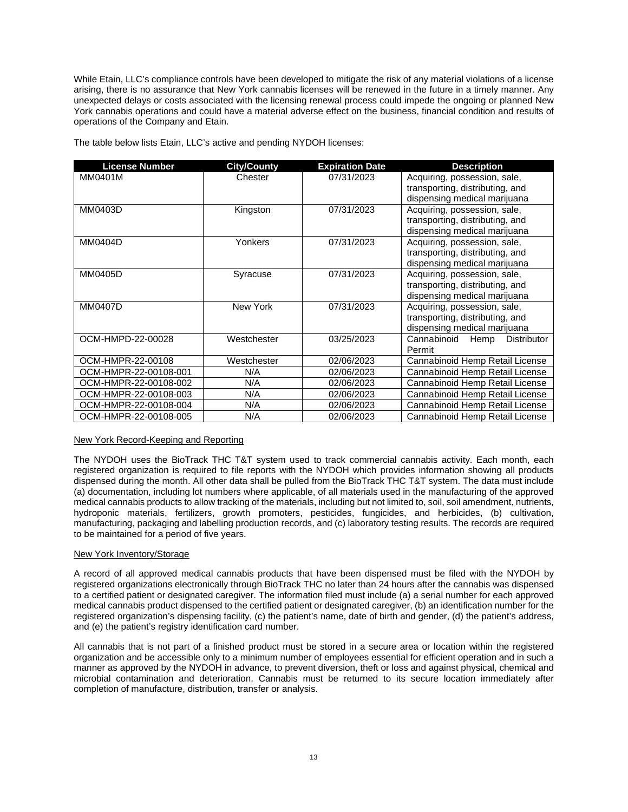While Etain, LLC's compliance controls have been developed to mitigate the risk of any material violations of a license arising, there is no assurance that New York cannabis licenses will be renewed in the future in a timely manner. Any unexpected delays or costs associated with the licensing renewal process could impede the ongoing or planned New York cannabis operations and could have a material adverse effect on the business, financial condition and results of operations of the Company and Etain.

| <b>License Number</b> | <b>City/County</b> | <b>Expiration Date</b> | <b>Description</b>                        |
|-----------------------|--------------------|------------------------|-------------------------------------------|
| MM0401M               | Chester            | 07/31/2023             | Acquiring, possession, sale,              |
|                       |                    |                        | transporting, distributing, and           |
|                       |                    |                        | dispensing medical marijuana              |
| MM0403D               | Kingston           | 07/31/2023             | Acquiring, possession, sale,              |
|                       |                    |                        | transporting, distributing, and           |
|                       |                    |                        | dispensing medical marijuana              |
| MM0404D               | Yonkers            | 07/31/2023             | Acquiring, possession, sale,              |
|                       |                    |                        | transporting, distributing, and           |
|                       |                    |                        | dispensing medical marijuana              |
| MM0405D               | Syracuse           | 07/31/2023             | Acquiring, possession, sale,              |
|                       |                    |                        | transporting, distributing, and           |
|                       |                    |                        | dispensing medical marijuana              |
| <b>MM0407D</b>        | New York           | 07/31/2023             | Acquiring, possession, sale,              |
|                       |                    |                        | transporting, distributing, and           |
|                       |                    |                        | dispensing medical marijuana              |
| OCM-HMPD-22-00028     | Westchester        | 03/25/2023             | Cannabinoid<br>Hemp<br><b>Distributor</b> |
|                       |                    |                        | Permit                                    |
| OCM-HMPR-22-00108     | Westchester        | 02/06/2023             | Cannabinoid Hemp Retail License           |
| OCM-HMPR-22-00108-001 | N/A                | 02/06/2023             | Cannabinoid Hemp Retail License           |
| OCM-HMPR-22-00108-002 | N/A                | 02/06/2023             | Cannabinoid Hemp Retail License           |
| OCM-HMPR-22-00108-003 | N/A                | 02/06/2023             | Cannabinoid Hemp Retail License           |
| OCM-HMPR-22-00108-004 | N/A                | 02/06/2023             | Cannabinoid Hemp Retail License           |
| OCM-HMPR-22-00108-005 | N/A                | 02/06/2023             | Cannabinoid Hemp Retail License           |

The table below lists Etain, LLC's active and pending NYDOH licenses:

# New York Record-Keeping and Reporting

The NYDOH uses the BioTrack THC T&T system used to track commercial cannabis activity. Each month, each registered organization is required to file reports with the NYDOH which provides information showing all products dispensed during the month. All other data shall be pulled from the BioTrack THC T&T system. The data must include (a) documentation, including lot numbers where applicable, of all materials used in the manufacturing of the approved medical cannabis products to allow tracking of the materials, including but not limited to, soil, soil amendment, nutrients, hydroponic materials, fertilizers, growth promoters, pesticides, fungicides, and herbicides, (b) cultivation, manufacturing, packaging and labelling production records, and (c) laboratory testing results. The records are required to be maintained for a period of five years.

# New York Inventory/Storage

A record of all approved medical cannabis products that have been dispensed must be filed with the NYDOH by registered organizations electronically through BioTrack THC no later than 24 hours after the cannabis was dispensed to a certified patient or designated caregiver. The information filed must include (a) a serial number for each approved medical cannabis product dispensed to the certified patient or designated caregiver, (b) an identification number for the registered organization's dispensing facility, (c) the patient's name, date of birth and gender, (d) the patient's address, and (e) the patient's registry identification card number.

All cannabis that is not part of a finished product must be stored in a secure area or location within the registered organization and be accessible only to a minimum number of employees essential for efficient operation and in such a manner as approved by the NYDOH in advance, to prevent diversion, theft or loss and against physical, chemical and microbial contamination and deterioration. Cannabis must be returned to its secure location immediately after completion of manufacture, distribution, transfer or analysis.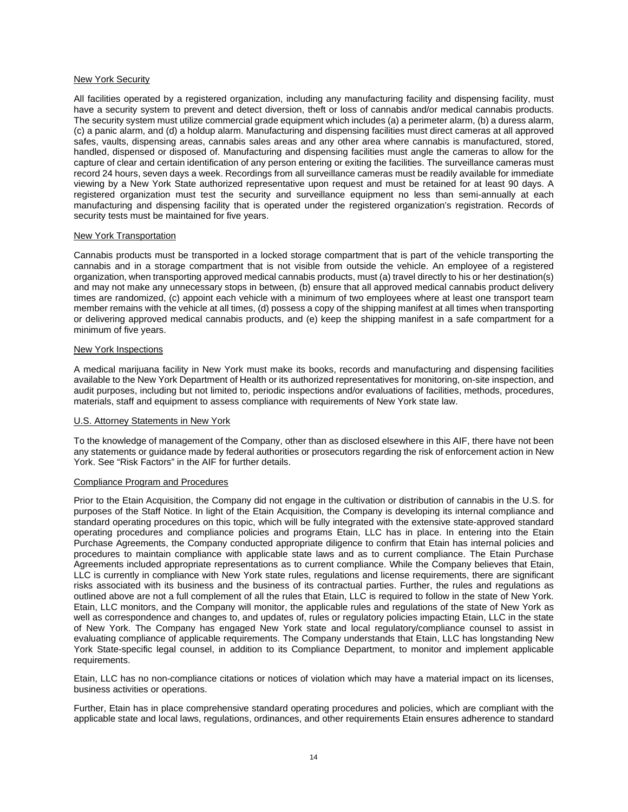# New York Security

All facilities operated by a registered organization, including any manufacturing facility and dispensing facility, must have a security system to prevent and detect diversion, theft or loss of cannabis and/or medical cannabis products. The security system must utilize commercial grade equipment which includes (a) a perimeter alarm, (b) a duress alarm, (c) a panic alarm, and (d) a holdup alarm. Manufacturing and dispensing facilities must direct cameras at all approved safes, vaults, dispensing areas, cannabis sales areas and any other area where cannabis is manufactured, stored, handled, dispensed or disposed of. Manufacturing and dispensing facilities must angle the cameras to allow for the capture of clear and certain identification of any person entering or exiting the facilities. The surveillance cameras must record 24 hours, seven days a week. Recordings from all surveillance cameras must be readily available for immediate viewing by a New York State authorized representative upon request and must be retained for at least 90 days. A registered organization must test the security and surveillance equipment no less than semi-annually at each manufacturing and dispensing facility that is operated under the registered organization's registration. Records of security tests must be maintained for five years.

# New York Transportation

Cannabis products must be transported in a locked storage compartment that is part of the vehicle transporting the cannabis and in a storage compartment that is not visible from outside the vehicle. An employee of a registered organization, when transporting approved medical cannabis products, must (a) travel directly to his or her destination(s) and may not make any unnecessary stops in between, (b) ensure that all approved medical cannabis product delivery times are randomized, (c) appoint each vehicle with a minimum of two employees where at least one transport team member remains with the vehicle at all times, (d) possess a copy of the shipping manifest at all times when transporting or delivering approved medical cannabis products, and (e) keep the shipping manifest in a safe compartment for a minimum of five years.

## New York Inspections

A medical marijuana facility in New York must make its books, records and manufacturing and dispensing facilities available to the New York Department of Health or its authorized representatives for monitoring, on-site inspection, and audit purposes, including but not limited to, periodic inspections and/or evaluations of facilities, methods, procedures, materials, staff and equipment to assess compliance with requirements of New York state law.

### U.S. Attorney Statements in New York

To the knowledge of management of the Company, other than as disclosed elsewhere in this AIF, there have not been any statements or guidance made by federal authorities or prosecutors regarding the risk of enforcement action in New York. See "Risk Factors" in the AIF for further details.

### Compliance Program and Procedures

Prior to the Etain Acquisition, the Company did not engage in the cultivation or distribution of cannabis in the U.S. for purposes of the Staff Notice. In light of the Etain Acquisition, the Company is developing its internal compliance and standard operating procedures on this topic, which will be fully integrated with the extensive state-approved standard operating procedures and compliance policies and programs Etain, LLC has in place. In entering into the Etain Purchase Agreements, the Company conducted appropriate diligence to confirm that Etain has internal policies and procedures to maintain compliance with applicable state laws and as to current compliance. The Etain Purchase Agreements included appropriate representations as to current compliance. While the Company believes that Etain, LLC is currently in compliance with New York state rules, regulations and license requirements, there are significant risks associated with its business and the business of its contractual parties. Further, the rules and regulations as outlined above are not a full complement of all the rules that Etain, LLC is required to follow in the state of New York. Etain, LLC monitors, and the Company will monitor, the applicable rules and regulations of the state of New York as well as correspondence and changes to, and updates of, rules or regulatory policies impacting Etain, LLC in the state of New York. The Company has engaged New York state and local regulatory/compliance counsel to assist in evaluating compliance of applicable requirements. The Company understands that Etain, LLC has longstanding New York State-specific legal counsel, in addition to its Compliance Department, to monitor and implement applicable requirements.

Etain, LLC has no non-compliance citations or notices of violation which may have a material impact on its licenses, business activities or operations.

Further, Etain has in place comprehensive standard operating procedures and policies, which are compliant with the applicable state and local laws, regulations, ordinances, and other requirements Etain ensures adherence to standard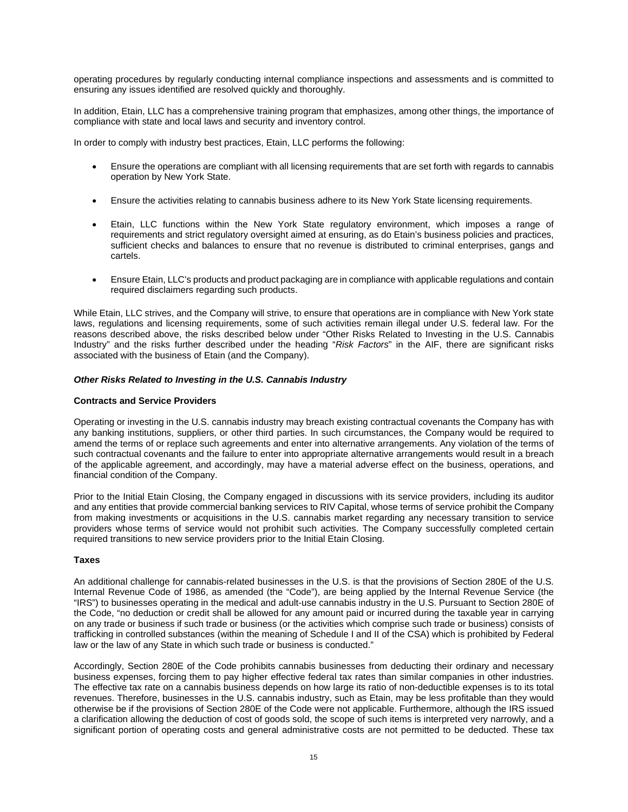operating procedures by regularly conducting internal compliance inspections and assessments and is committed to ensuring any issues identified are resolved quickly and thoroughly.

In addition, Etain, LLC has a comprehensive training program that emphasizes, among other things, the importance of compliance with state and local laws and security and inventory control.

In order to comply with industry best practices, Etain, LLC performs the following:

- Ensure the operations are compliant with all licensing requirements that are set forth with regards to cannabis operation by New York State.
- Ensure the activities relating to cannabis business adhere to its New York State licensing requirements.
- Etain, LLC functions within the New York State regulatory environment, which imposes a range of requirements and strict regulatory oversight aimed at ensuring, as do Etain's business policies and practices, sufficient checks and balances to ensure that no revenue is distributed to criminal enterprises, gangs and cartels.
- Ensure Etain, LLC's products and product packaging are in compliance with applicable regulations and contain required disclaimers regarding such products.

While Etain, LLC strives, and the Company will strive, to ensure that operations are in compliance with New York state laws, regulations and licensing requirements, some of such activities remain illegal under U.S. federal law. For the reasons described above, the risks described below under "Other Risks Related to Investing in the U.S. Cannabis Industry" and the risks further described under the heading "*Risk Factors*" in the AIF, there are significant risks associated with the business of Etain (and the Company).

## *Other Risks Related to Investing in the U.S. Cannabis Industry*

## **Contracts and Service Providers**

Operating or investing in the U.S. cannabis industry may breach existing contractual covenants the Company has with any banking institutions, suppliers, or other third parties. In such circumstances, the Company would be required to amend the terms of or replace such agreements and enter into alternative arrangements. Any violation of the terms of such contractual covenants and the failure to enter into appropriate alternative arrangements would result in a breach of the applicable agreement, and accordingly, may have a material adverse effect on the business, operations, and financial condition of the Company.

Prior to the Initial Etain Closing, the Company engaged in discussions with its service providers, including its auditor and any entities that provide commercial banking services to RIV Capital, whose terms of service prohibit the Company from making investments or acquisitions in the U.S. cannabis market regarding any necessary transition to service providers whose terms of service would not prohibit such activities. The Company successfully completed certain required transitions to new service providers prior to the Initial Etain Closing.

## **Taxes**

An additional challenge for cannabis-related businesses in the U.S. is that the provisions of Section 280E of the U.S. Internal Revenue Code of 1986, as amended (the "Code"), are being applied by the Internal Revenue Service (the "IRS") to businesses operating in the medical and adult-use cannabis industry in the U.S. Pursuant to Section 280E of the Code, "no deduction or credit shall be allowed for any amount paid or incurred during the taxable year in carrying on any trade or business if such trade or business (or the activities which comprise such trade or business) consists of trafficking in controlled substances (within the meaning of Schedule I and II of the CSA) which is prohibited by Federal law or the law of any State in which such trade or business is conducted."

Accordingly, Section 280E of the Code prohibits cannabis businesses from deducting their ordinary and necessary business expenses, forcing them to pay higher effective federal tax rates than similar companies in other industries. The effective tax rate on a cannabis business depends on how large its ratio of non-deductible expenses is to its total revenues. Therefore, businesses in the U.S. cannabis industry, such as Etain, may be less profitable than they would otherwise be if the provisions of Section 280E of the Code were not applicable. Furthermore, although the IRS issued a clarification allowing the deduction of cost of goods sold, the scope of such items is interpreted very narrowly, and a significant portion of operating costs and general administrative costs are not permitted to be deducted. These tax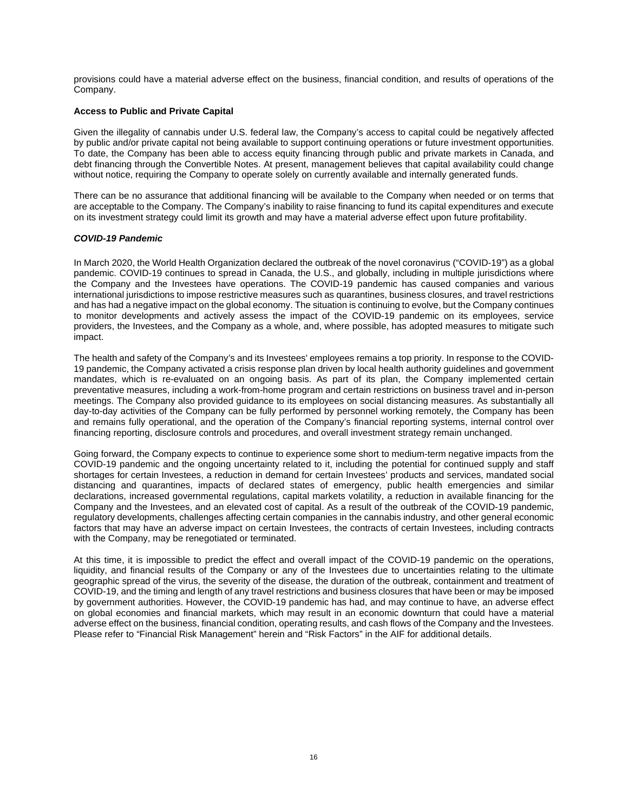provisions could have a material adverse effect on the business, financial condition, and results of operations of the Company.

## **Access to Public and Private Capital**

Given the illegality of cannabis under U.S. federal law, the Company's access to capital could be negatively affected by public and/or private capital not being available to support continuing operations or future investment opportunities. To date, the Company has been able to access equity financing through public and private markets in Canada, and debt financing through the Convertible Notes. At present, management believes that capital availability could change without notice, requiring the Company to operate solely on currently available and internally generated funds.

There can be no assurance that additional financing will be available to the Company when needed or on terms that are acceptable to the Company. The Company's inability to raise financing to fund its capital expenditures and execute on its investment strategy could limit its growth and may have a material adverse effect upon future profitability.

## *COVID-19 Pandemic*

In March 2020, the World Health Organization declared the outbreak of the novel coronavirus ("COVID-19") as a global pandemic. COVID-19 continues to spread in Canada, the U.S., and globally, including in multiple jurisdictions where the Company and the Investees have operations. The COVID-19 pandemic has caused companies and various international jurisdictions to impose restrictive measures such as quarantines, business closures, and travel restrictions and has had a negative impact on the global economy. The situation is continuing to evolve, but the Company continues to monitor developments and actively assess the impact of the COVID-19 pandemic on its employees, service providers, the Investees, and the Company as a whole, and, where possible, has adopted measures to mitigate such impact.

The health and safety of the Company's and its Investees' employees remains a top priority. In response to the COVID-19 pandemic, the Company activated a crisis response plan driven by local health authority guidelines and government mandates, which is re-evaluated on an ongoing basis. As part of its plan, the Company implemented certain preventative measures, including a work-from-home program and certain restrictions on business travel and in-person meetings. The Company also provided guidance to its employees on social distancing measures. As substantially all day-to-day activities of the Company can be fully performed by personnel working remotely, the Company has been and remains fully operational, and the operation of the Company's financial reporting systems, internal control over financing reporting, disclosure controls and procedures, and overall investment strategy remain unchanged.

Going forward, the Company expects to continue to experience some short to medium-term negative impacts from the COVID-19 pandemic and the ongoing uncertainty related to it, including the potential for continued supply and staff shortages for certain Investees, a reduction in demand for certain Investees' products and services, mandated social distancing and quarantines, impacts of declared states of emergency, public health emergencies and similar declarations, increased governmental regulations, capital markets volatility, a reduction in available financing for the Company and the Investees, and an elevated cost of capital. As a result of the outbreak of the COVID-19 pandemic, regulatory developments, challenges affecting certain companies in the cannabis industry, and other general economic factors that may have an adverse impact on certain Investees, the contracts of certain Investees, including contracts with the Company, may be renegotiated or terminated.

At this time, it is impossible to predict the effect and overall impact of the COVID-19 pandemic on the operations, liquidity, and financial results of the Company or any of the Investees due to uncertainties relating to the ultimate geographic spread of the virus, the severity of the disease, the duration of the outbreak, containment and treatment of COVID-19, and the timing and length of any travel restrictions and business closures that have been or may be imposed by government authorities. However, the COVID-19 pandemic has had, and may continue to have, an adverse effect on global economies and financial markets, which may result in an economic downturn that could have a material adverse effect on the business, financial condition, operating results, and cash flows of the Company and the Investees. Please refer to "Financial Risk Management" herein and "Risk Factors" in the AIF for additional details.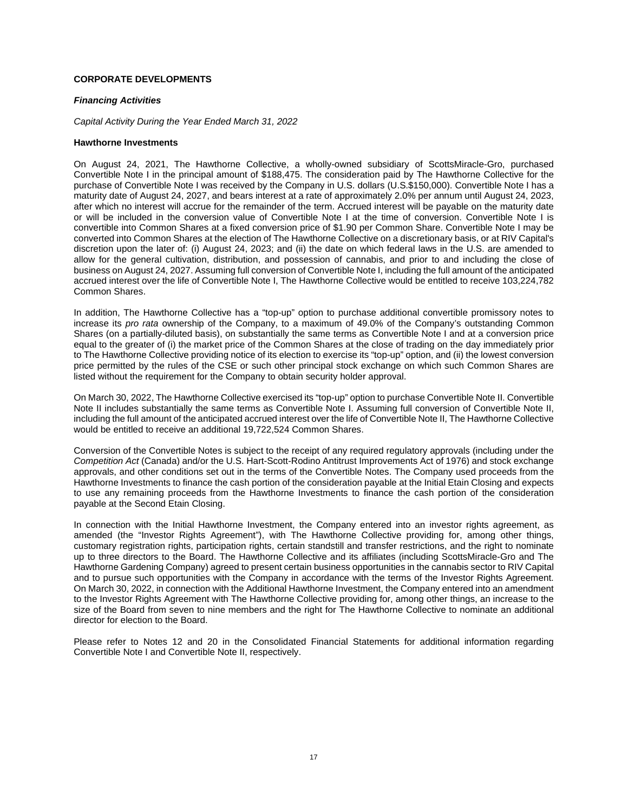# **CORPORATE DEVELOPMENTS**

## *Financing Activities*

*Capital Activity During the Year Ended March 31, 2022* 

## **Hawthorne Investments**

On August 24, 2021, The Hawthorne Collective, a wholly-owned subsidiary of ScottsMiracle-Gro, purchased Convertible Note I in the principal amount of \$188,475. The consideration paid by The Hawthorne Collective for the purchase of Convertible Note I was received by the Company in U.S. dollars (U.S.\$150,000). Convertible Note I has a maturity date of August 24, 2027, and bears interest at a rate of approximately 2.0% per annum until August 24, 2023, after which no interest will accrue for the remainder of the term. Accrued interest will be payable on the maturity date or will be included in the conversion value of Convertible Note I at the time of conversion. Convertible Note I is convertible into Common Shares at a fixed conversion price of \$1.90 per Common Share. Convertible Note I may be converted into Common Shares at the election of The Hawthorne Collective on a discretionary basis, or at RIV Capital's discretion upon the later of: (i) August 24, 2023; and (ii) the date on which federal laws in the U.S. are amended to allow for the general cultivation, distribution, and possession of cannabis, and prior to and including the close of business on August 24, 2027. Assuming full conversion of Convertible Note I, including the full amount of the anticipated accrued interest over the life of Convertible Note I, The Hawthorne Collective would be entitled to receive 103,224,782 Common Shares.

In addition, The Hawthorne Collective has a "top-up" option to purchase additional convertible promissory notes to increase its *pro rata* ownership of the Company, to a maximum of 49.0% of the Company's outstanding Common Shares (on a partially-diluted basis), on substantially the same terms as Convertible Note I and at a conversion price equal to the greater of (i) the market price of the Common Shares at the close of trading on the day immediately prior to The Hawthorne Collective providing notice of its election to exercise its "top-up" option, and (ii) the lowest conversion price permitted by the rules of the CSE or such other principal stock exchange on which such Common Shares are listed without the requirement for the Company to obtain security holder approval.

On March 30, 2022, The Hawthorne Collective exercised its "top-up" option to purchase Convertible Note II. Convertible Note II includes substantially the same terms as Convertible Note I. Assuming full conversion of Convertible Note II, including the full amount of the anticipated accrued interest over the life of Convertible Note II, The Hawthorne Collective would be entitled to receive an additional 19,722,524 Common Shares.

Conversion of the Convertible Notes is subject to the receipt of any required regulatory approvals (including under the *Competition Act* (Canada) and/or the U.S. Hart-Scott-Rodino Antitrust Improvements Act of 1976) and stock exchange approvals, and other conditions set out in the terms of the Convertible Notes. The Company used proceeds from the Hawthorne Investments to finance the cash portion of the consideration payable at the Initial Etain Closing and expects to use any remaining proceeds from the Hawthorne Investments to finance the cash portion of the consideration payable at the Second Etain Closing.

In connection with the Initial Hawthorne Investment, the Company entered into an investor rights agreement, as amended (the "Investor Rights Agreement"), with The Hawthorne Collective providing for, among other things, customary registration rights, participation rights, certain standstill and transfer restrictions, and the right to nominate up to three directors to the Board. The Hawthorne Collective and its affiliates (including ScottsMiracle-Gro and The Hawthorne Gardening Company) agreed to present certain business opportunities in the cannabis sector to RIV Capital and to pursue such opportunities with the Company in accordance with the terms of the Investor Rights Agreement. On March 30, 2022, in connection with the Additional Hawthorne Investment, the Company entered into an amendment to the Investor Rights Agreement with The Hawthorne Collective providing for, among other things, an increase to the size of the Board from seven to nine members and the right for The Hawthorne Collective to nominate an additional director for election to the Board.

Please refer to Notes 12 and 20 in the Consolidated Financial Statements for additional information regarding Convertible Note I and Convertible Note II, respectively.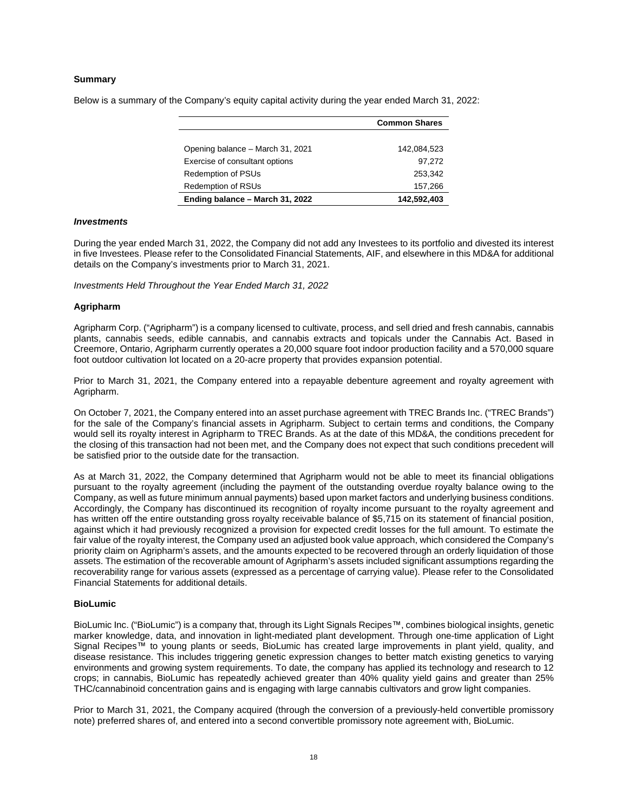## **Summary**

Below is a summary of the Company's equity capital activity during the year ended March 31, 2022:

|                                  | <b>Common Shares</b> |
|----------------------------------|----------------------|
|                                  |                      |
| Opening balance – March 31, 2021 | 142,084,523          |
| Exercise of consultant options   | 97,272               |
| <b>Redemption of PSUs</b>        | 253.342              |
| <b>Redemption of RSUs</b>        | 157,266              |
| Ending balance - March 31, 2022  | 142,592,403          |

#### *Investments*

During the year ended March 31, 2022, the Company did not add any Investees to its portfolio and divested its interest in five Investees. Please refer to the Consolidated Financial Statements, AIF, and elsewhere in this MD&A for additional details on the Company's investments prior to March 31, 2021.

*Investments Held Throughout the Year Ended March 31, 2022* 

#### **Agripharm**

Agripharm Corp. ("Agripharm") is a company licensed to cultivate, process, and sell dried and fresh cannabis, cannabis plants, cannabis seeds, edible cannabis, and cannabis extracts and topicals under the Cannabis Act. Based in Creemore, Ontario, Agripharm currently operates a 20,000 square foot indoor production facility and a 570,000 square foot outdoor cultivation lot located on a 20-acre property that provides expansion potential.

Prior to March 31, 2021, the Company entered into a repayable debenture agreement and royalty agreement with Agripharm.

On October 7, 2021, the Company entered into an asset purchase agreement with TREC Brands Inc. ("TREC Brands") for the sale of the Company's financial assets in Agripharm. Subject to certain terms and conditions, the Company would sell its royalty interest in Agripharm to TREC Brands. As at the date of this MD&A, the conditions precedent for the closing of this transaction had not been met, and the Company does not expect that such conditions precedent will be satisfied prior to the outside date for the transaction.

As at March 31, 2022, the Company determined that Agripharm would not be able to meet its financial obligations pursuant to the royalty agreement (including the payment of the outstanding overdue royalty balance owing to the Company, as well as future minimum annual payments) based upon market factors and underlying business conditions. Accordingly, the Company has discontinued its recognition of royalty income pursuant to the royalty agreement and has written off the entire outstanding gross royalty receivable balance of \$5,715 on its statement of financial position, against which it had previously recognized a provision for expected credit losses for the full amount. To estimate the fair value of the royalty interest, the Company used an adjusted book value approach, which considered the Company's priority claim on Agripharm's assets, and the amounts expected to be recovered through an orderly liquidation of those assets. The estimation of the recoverable amount of Agripharm's assets included significant assumptions regarding the recoverability range for various assets (expressed as a percentage of carrying value). Please refer to the Consolidated Financial Statements for additional details.

#### **BioLumic**

BioLumic Inc. ("BioLumic") is a company that, through its Light Signals Recipes™, combines biological insights, genetic marker knowledge, data, and innovation in light-mediated plant development. Through one-time application of Light Signal Recipes™ to young plants or seeds, BioLumic has created large improvements in plant yield, quality, and disease resistance. This includes triggering genetic expression changes to better match existing genetics to varying environments and growing system requirements. To date, the company has applied its technology and research to 12 crops; in cannabis, BioLumic has repeatedly achieved greater than 40% quality yield gains and greater than 25% THC/cannabinoid concentration gains and is engaging with large cannabis cultivators and grow light companies.

Prior to March 31, 2021, the Company acquired (through the conversion of a previously-held convertible promissory note) preferred shares of, and entered into a second convertible promissory note agreement with, BioLumic.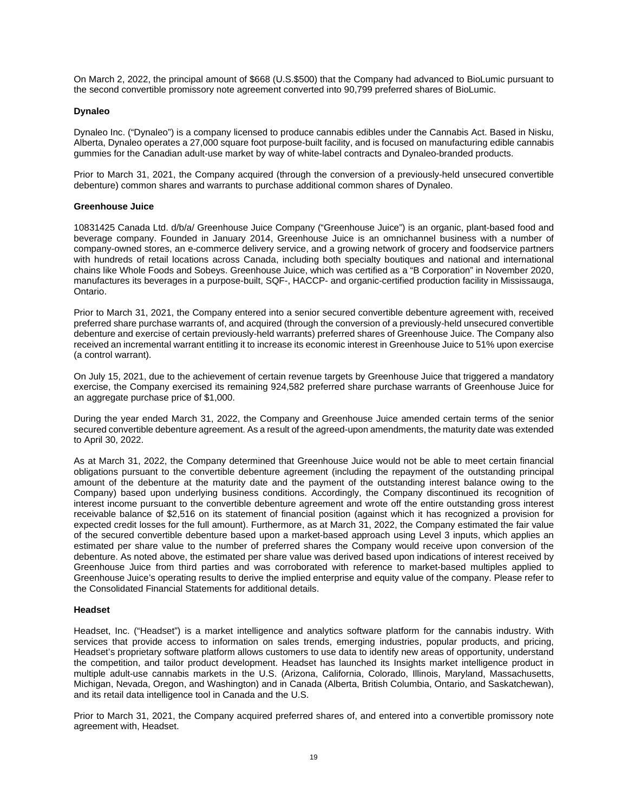On March 2, 2022, the principal amount of \$668 (U.S.\$500) that the Company had advanced to BioLumic pursuant to the second convertible promissory note agreement converted into 90,799 preferred shares of BioLumic.

## **Dynaleo**

Dynaleo Inc. ("Dynaleo") is a company licensed to produce cannabis edibles under the Cannabis Act. Based in Nisku, Alberta, Dynaleo operates a 27,000 square foot purpose-built facility, and is focused on manufacturing edible cannabis gummies for the Canadian adult-use market by way of white-label contracts and Dynaleo-branded products.

Prior to March 31, 2021, the Company acquired (through the conversion of a previously-held unsecured convertible debenture) common shares and warrants to purchase additional common shares of Dynaleo.

## **Greenhouse Juice**

10831425 Canada Ltd. d/b/a/ Greenhouse Juice Company ("Greenhouse Juice") is an organic, plant-based food and beverage company. Founded in January 2014, Greenhouse Juice is an omnichannel business with a number of company-owned stores, an e-commerce delivery service, and a growing network of grocery and foodservice partners with hundreds of retail locations across Canada, including both specialty boutiques and national and international chains like Whole Foods and Sobeys. Greenhouse Juice, which was certified as a "B Corporation" in November 2020, manufactures its beverages in a purpose-built, SQF-, HACCP- and organic-certified production facility in Mississauga, Ontario.

Prior to March 31, 2021, the Company entered into a senior secured convertible debenture agreement with, received preferred share purchase warrants of, and acquired (through the conversion of a previously-held unsecured convertible debenture and exercise of certain previously-held warrants) preferred shares of Greenhouse Juice. The Company also received an incremental warrant entitling it to increase its economic interest in Greenhouse Juice to 51% upon exercise (a control warrant).

On July 15, 2021, due to the achievement of certain revenue targets by Greenhouse Juice that triggered a mandatory exercise, the Company exercised its remaining 924,582 preferred share purchase warrants of Greenhouse Juice for an aggregate purchase price of \$1,000.

During the year ended March 31, 2022, the Company and Greenhouse Juice amended certain terms of the senior secured convertible debenture agreement. As a result of the agreed-upon amendments, the maturity date was extended to April 30, 2022.

As at March 31, 2022, the Company determined that Greenhouse Juice would not be able to meet certain financial obligations pursuant to the convertible debenture agreement (including the repayment of the outstanding principal amount of the debenture at the maturity date and the payment of the outstanding interest balance owing to the Company) based upon underlying business conditions. Accordingly, the Company discontinued its recognition of interest income pursuant to the convertible debenture agreement and wrote off the entire outstanding gross interest receivable balance of \$2,516 on its statement of financial position (against which it has recognized a provision for expected credit losses for the full amount). Furthermore, as at March 31, 2022, the Company estimated the fair value of the secured convertible debenture based upon a market-based approach using Level 3 inputs, which applies an estimated per share value to the number of preferred shares the Company would receive upon conversion of the debenture. As noted above, the estimated per share value was derived based upon indications of interest received by Greenhouse Juice from third parties and was corroborated with reference to market-based multiples applied to Greenhouse Juice's operating results to derive the implied enterprise and equity value of the company. Please refer to the Consolidated Financial Statements for additional details.

### **Headset**

Headset, Inc. ("Headset") is a market intelligence and analytics software platform for the cannabis industry. With services that provide access to information on sales trends, emerging industries, popular products, and pricing, Headset's proprietary software platform allows customers to use data to identify new areas of opportunity, understand the competition, and tailor product development. Headset has launched its Insights market intelligence product in multiple adult-use cannabis markets in the U.S. (Arizona, California, Colorado, Illinois, Maryland, Massachusetts, Michigan, Nevada, Oregon, and Washington) and in Canada (Alberta, British Columbia, Ontario, and Saskatchewan), and its retail data intelligence tool in Canada and the U.S.

Prior to March 31, 2021, the Company acquired preferred shares of, and entered into a convertible promissory note agreement with, Headset.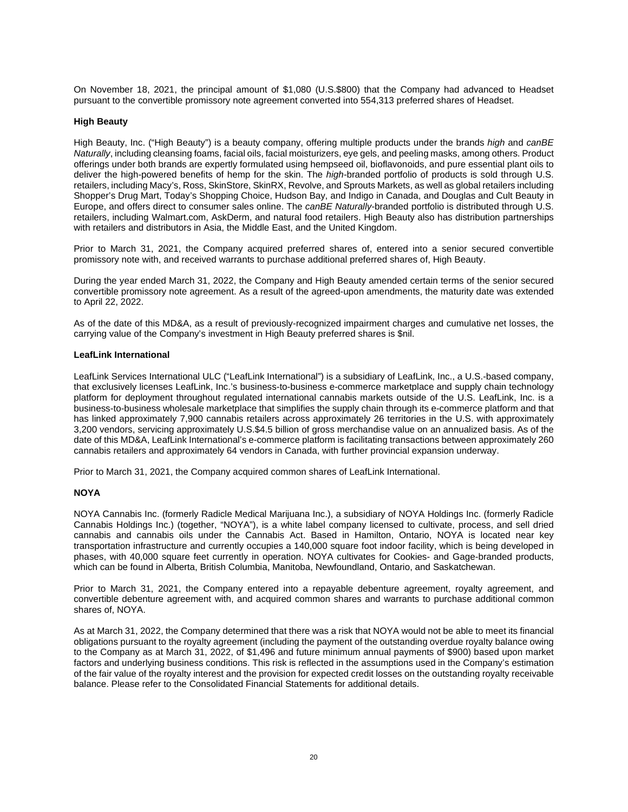On November 18, 2021, the principal amount of \$1,080 (U.S.\$800) that the Company had advanced to Headset pursuant to the convertible promissory note agreement converted into 554,313 preferred shares of Headset.

## **High Beauty**

High Beauty, Inc. ("High Beauty") is a beauty company, offering multiple products under the brands *high* and *canBE Naturally*, including cleansing foams, facial oils, facial moisturizers, eye gels, and peeling masks, among others. Product offerings under both brands are expertly formulated using hempseed oil, bioflavonoids, and pure essential plant oils to deliver the high-powered benefits of hemp for the skin. The *high*-branded portfolio of products is sold through U.S. retailers, including Macy's, Ross, SkinStore, SkinRX, Revolve, and Sprouts Markets, as well as global retailers including Shopper's Drug Mart, Today's Shopping Choice, Hudson Bay, and Indigo in Canada, and Douglas and Cult Beauty in Europe, and offers direct to consumer sales online. The *canBE Naturally*-branded portfolio is distributed through U.S. retailers, including Walmart.com, AskDerm, and natural food retailers. High Beauty also has distribution partnerships with retailers and distributors in Asia, the Middle East, and the United Kingdom.

Prior to March 31, 2021, the Company acquired preferred shares of, entered into a senior secured convertible promissory note with, and received warrants to purchase additional preferred shares of, High Beauty.

During the year ended March 31, 2022, the Company and High Beauty amended certain terms of the senior secured convertible promissory note agreement. As a result of the agreed-upon amendments, the maturity date was extended to April 22, 2022.

As of the date of this MD&A, as a result of previously-recognized impairment charges and cumulative net losses, the carrying value of the Company's investment in High Beauty preferred shares is \$nil.

# **LeafLink International**

LeafLink Services International ULC ("LeafLink International") is a subsidiary of LeafLink, Inc., a U.S.-based company, that exclusively licenses LeafLink, Inc.'s business-to-business e-commerce marketplace and supply chain technology platform for deployment throughout regulated international cannabis markets outside of the U.S. LeafLink, Inc. is a business-to-business wholesale marketplace that simplifies the supply chain through its e-commerce platform and that has linked approximately 7,900 cannabis retailers across approximately 26 territories in the U.S. with approximately 3,200 vendors, servicing approximately U.S.\$4.5 billion of gross merchandise value on an annualized basis. As of the date of this MD&A, LeafLink International's e-commerce platform is facilitating transactions between approximately 260 cannabis retailers and approximately 64 vendors in Canada, with further provincial expansion underway.

Prior to March 31, 2021, the Company acquired common shares of LeafLink International.

### **NOYA**

NOYA Cannabis Inc. (formerly Radicle Medical Marijuana Inc.), a subsidiary of NOYA Holdings Inc. (formerly Radicle Cannabis Holdings Inc.) (together, "NOYA"), is a white label company licensed to cultivate, process, and sell dried cannabis and cannabis oils under the Cannabis Act. Based in Hamilton, Ontario, NOYA is located near key transportation infrastructure and currently occupies a 140,000 square foot indoor facility, which is being developed in phases, with 40,000 square feet currently in operation. NOYA cultivates for Cookies- and Gage-branded products, which can be found in Alberta, British Columbia, Manitoba, Newfoundland, Ontario, and Saskatchewan.

Prior to March 31, 2021, the Company entered into a repayable debenture agreement, royalty agreement, and convertible debenture agreement with, and acquired common shares and warrants to purchase additional common shares of, NOYA.

As at March 31, 2022, the Company determined that there was a risk that NOYA would not be able to meet its financial obligations pursuant to the royalty agreement (including the payment of the outstanding overdue royalty balance owing to the Company as at March 31, 2022, of \$1,496 and future minimum annual payments of \$900) based upon market factors and underlying business conditions. This risk is reflected in the assumptions used in the Company's estimation of the fair value of the royalty interest and the provision for expected credit losses on the outstanding royalty receivable balance. Please refer to the Consolidated Financial Statements for additional details.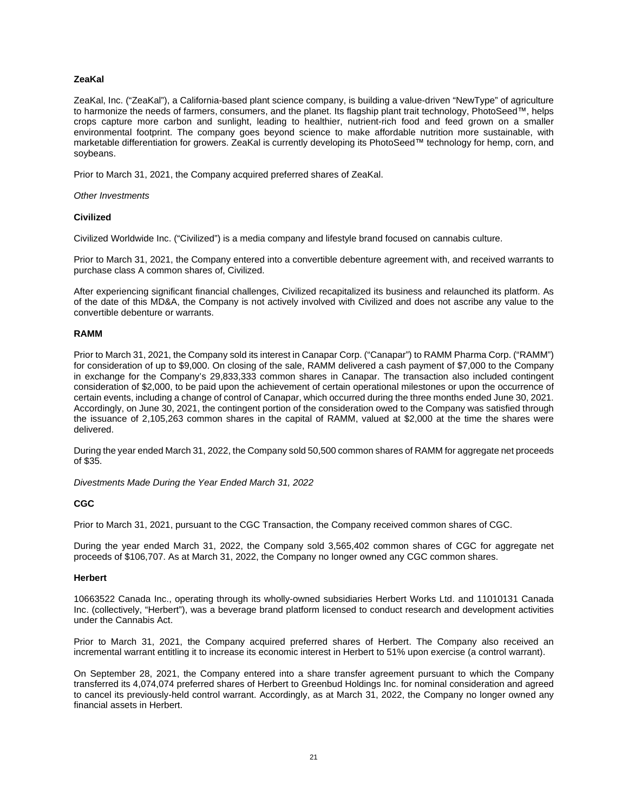# **ZeaKal**

ZeaKal, Inc. ("ZeaKal"), a California-based plant science company, is building a value-driven "NewType" of agriculture to harmonize the needs of farmers, consumers, and the planet. Its flagship plant trait technology, PhotoSeed™, helps crops capture more carbon and sunlight, leading to healthier, nutrient-rich food and feed grown on a smaller environmental footprint. The company goes beyond science to make affordable nutrition more sustainable, with marketable differentiation for growers. ZeaKal is currently developing its PhotoSeed™ technology for hemp, corn, and soybeans.

Prior to March 31, 2021, the Company acquired preferred shares of ZeaKal.

## *Other Investments*

## **Civilized**

Civilized Worldwide Inc. ("Civilized") is a media company and lifestyle brand focused on cannabis culture.

Prior to March 31, 2021, the Company entered into a convertible debenture agreement with, and received warrants to purchase class A common shares of, Civilized.

After experiencing significant financial challenges, Civilized recapitalized its business and relaunched its platform. As of the date of this MD&A, the Company is not actively involved with Civilized and does not ascribe any value to the convertible debenture or warrants.

## **RAMM**

Prior to March 31, 2021, the Company sold its interest in Canapar Corp. ("Canapar") to RAMM Pharma Corp. ("RAMM") for consideration of up to \$9,000. On closing of the sale, RAMM delivered a cash payment of \$7,000 to the Company in exchange for the Company's 29,833,333 common shares in Canapar. The transaction also included contingent consideration of \$2,000, to be paid upon the achievement of certain operational milestones or upon the occurrence of certain events, including a change of control of Canapar, which occurred during the three months ended June 30, 2021. Accordingly, on June 30, 2021, the contingent portion of the consideration owed to the Company was satisfied through the issuance of 2,105,263 common shares in the capital of RAMM, valued at \$2,000 at the time the shares were delivered.

During the year ended March 31, 2022, the Company sold 50,500 common shares of RAMM for aggregate net proceeds of \$35.

*Divestments Made During the Year Ended March 31, 2022* 

# **CGC**

Prior to March 31, 2021, pursuant to the CGC Transaction, the Company received common shares of CGC.

During the year ended March 31, 2022, the Company sold 3,565,402 common shares of CGC for aggregate net proceeds of \$106,707. As at March 31, 2022, the Company no longer owned any CGC common shares.

# **Herbert**

10663522 Canada Inc., operating through its wholly-owned subsidiaries Herbert Works Ltd. and 11010131 Canada Inc. (collectively, "Herbert"), was a beverage brand platform licensed to conduct research and development activities under the Cannabis Act.

Prior to March 31, 2021, the Company acquired preferred shares of Herbert. The Company also received an incremental warrant entitling it to increase its economic interest in Herbert to 51% upon exercise (a control warrant).

On September 28, 2021, the Company entered into a share transfer agreement pursuant to which the Company transferred its 4,074,074 preferred shares of Herbert to Greenbud Holdings Inc. for nominal consideration and agreed to cancel its previously-held control warrant. Accordingly, as at March 31, 2022, the Company no longer owned any financial assets in Herbert.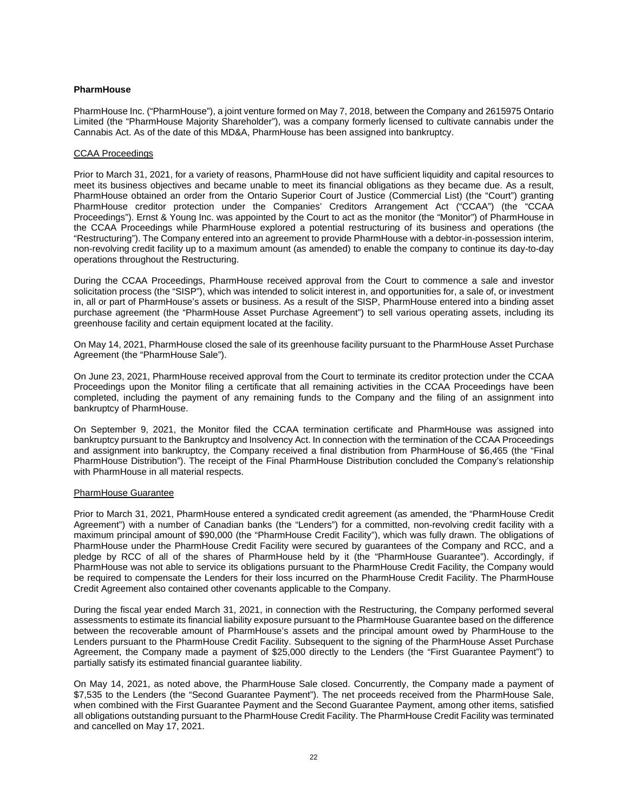## **PharmHouse**

PharmHouse Inc. ("PharmHouse"), a joint venture formed on May 7, 2018, between the Company and 2615975 Ontario Limited (the "PharmHouse Majority Shareholder"), was a company formerly licensed to cultivate cannabis under the Cannabis Act. As of the date of this MD&A, PharmHouse has been assigned into bankruptcy.

## CCAA Proceedings

Prior to March 31, 2021, for a variety of reasons, PharmHouse did not have sufficient liquidity and capital resources to meet its business objectives and became unable to meet its financial obligations as they became due. As a result, PharmHouse obtained an order from the Ontario Superior Court of Justice (Commercial List) (the "Court") granting PharmHouse creditor protection under the Companies' Creditors Arrangement Act ("CCAA") (the "CCAA Proceedings"). Ernst & Young Inc. was appointed by the Court to act as the monitor (the "Monitor") of PharmHouse in the CCAA Proceedings while PharmHouse explored a potential restructuring of its business and operations (the "Restructuring"). The Company entered into an agreement to provide PharmHouse with a debtor-in-possession interim, non-revolving credit facility up to a maximum amount (as amended) to enable the company to continue its day-to-day operations throughout the Restructuring.

During the CCAA Proceedings, PharmHouse received approval from the Court to commence a sale and investor solicitation process (the "SISP"), which was intended to solicit interest in, and opportunities for, a sale of, or investment in, all or part of PharmHouse's assets or business. As a result of the SISP, PharmHouse entered into a binding asset purchase agreement (the "PharmHouse Asset Purchase Agreement") to sell various operating assets, including its greenhouse facility and certain equipment located at the facility.

On May 14, 2021, PharmHouse closed the sale of its greenhouse facility pursuant to the PharmHouse Asset Purchase Agreement (the "PharmHouse Sale").

On June 23, 2021, PharmHouse received approval from the Court to terminate its creditor protection under the CCAA Proceedings upon the Monitor filing a certificate that all remaining activities in the CCAA Proceedings have been completed, including the payment of any remaining funds to the Company and the filing of an assignment into bankruptcy of PharmHouse.

On September 9, 2021, the Monitor filed the CCAA termination certificate and PharmHouse was assigned into bankruptcy pursuant to the Bankruptcy and Insolvency Act. In connection with the termination of the CCAA Proceedings and assignment into bankruptcy, the Company received a final distribution from PharmHouse of \$6,465 (the "Final PharmHouse Distribution"). The receipt of the Final PharmHouse Distribution concluded the Company's relationship with PharmHouse in all material respects.

### PharmHouse Guarantee

Prior to March 31, 2021, PharmHouse entered a syndicated credit agreement (as amended, the "PharmHouse Credit Agreement") with a number of Canadian banks (the "Lenders") for a committed, non-revolving credit facility with a maximum principal amount of \$90,000 (the "PharmHouse Credit Facility"), which was fully drawn. The obligations of PharmHouse under the PharmHouse Credit Facility were secured by guarantees of the Company and RCC, and a pledge by RCC of all of the shares of PharmHouse held by it (the "PharmHouse Guarantee"). Accordingly, if PharmHouse was not able to service its obligations pursuant to the PharmHouse Credit Facility, the Company would be required to compensate the Lenders for their loss incurred on the PharmHouse Credit Facility. The PharmHouse Credit Agreement also contained other covenants applicable to the Company.

During the fiscal year ended March 31, 2021, in connection with the Restructuring, the Company performed several assessments to estimate its financial liability exposure pursuant to the PharmHouse Guarantee based on the difference between the recoverable amount of PharmHouse's assets and the principal amount owed by PharmHouse to the Lenders pursuant to the PharmHouse Credit Facility. Subsequent to the signing of the PharmHouse Asset Purchase Agreement, the Company made a payment of \$25,000 directly to the Lenders (the "First Guarantee Payment") to partially satisfy its estimated financial guarantee liability.

On May 14, 2021, as noted above, the PharmHouse Sale closed. Concurrently, the Company made a payment of \$7,535 to the Lenders (the "Second Guarantee Payment"). The net proceeds received from the PharmHouse Sale, when combined with the First Guarantee Payment and the Second Guarantee Payment, among other items, satisfied all obligations outstanding pursuant to the PharmHouse Credit Facility. The PharmHouse Credit Facility was terminated and cancelled on May 17, 2021.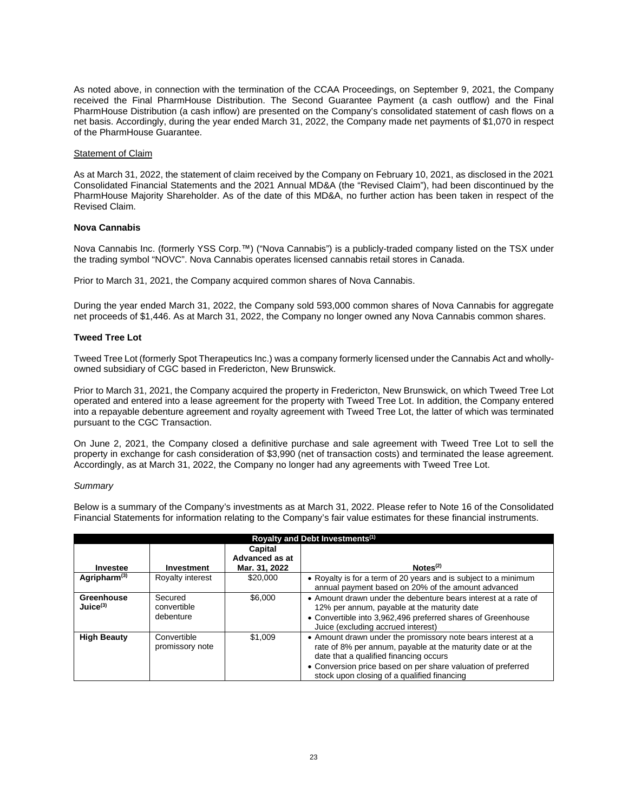As noted above, in connection with the termination of the CCAA Proceedings, on September 9, 2021, the Company received the Final PharmHouse Distribution. The Second Guarantee Payment (a cash outflow) and the Final PharmHouse Distribution (a cash inflow) are presented on the Company's consolidated statement of cash flows on a net basis. Accordingly, during the year ended March 31, 2022, the Company made net payments of \$1,070 in respect of the PharmHouse Guarantee.

## Statement of Claim

As at March 31, 2022, the statement of claim received by the Company on February 10, 2021, as disclosed in the 2021 Consolidated Financial Statements and the 2021 Annual MD&A (the "Revised Claim"), had been discontinued by the PharmHouse Majority Shareholder. As of the date of this MD&A, no further action has been taken in respect of the Revised Claim.

## **Nova Cannabis**

Nova Cannabis Inc. (formerly YSS Corp.™) ("Nova Cannabis") is a publicly-traded company listed on the TSX under the trading symbol "NOVC". Nova Cannabis operates licensed cannabis retail stores in Canada.

Prior to March 31, 2021, the Company acquired common shares of Nova Cannabis.

During the year ended March 31, 2022, the Company sold 593,000 common shares of Nova Cannabis for aggregate net proceeds of \$1,446. As at March 31, 2022, the Company no longer owned any Nova Cannabis common shares.

## **Tweed Tree Lot**

Tweed Tree Lot (formerly Spot Therapeutics Inc.) was a company formerly licensed under the Cannabis Act and whollyowned subsidiary of CGC based in Fredericton, New Brunswick.

Prior to March 31, 2021, the Company acquired the property in Fredericton, New Brunswick, on which Tweed Tree Lot operated and entered into a lease agreement for the property with Tweed Tree Lot. In addition, the Company entered into a repayable debenture agreement and royalty agreement with Tweed Tree Lot, the latter of which was terminated pursuant to the CGC Transaction.

On June 2, 2021, the Company closed a definitive purchase and sale agreement with Tweed Tree Lot to sell the property in exchange for cash consideration of \$3,990 (net of transaction costs) and terminated the lease agreement. Accordingly, as at March 31, 2022, the Company no longer had any agreements with Tweed Tree Lot.

### *Summary*

Below is a summary of the Company's investments as at March 31, 2022. Please refer to Note 16 of the Consolidated Financial Statements for information relating to the Company's fair value estimates for these financial instruments.

| Royalty and Debt Investments <sup>(1)</sup> |                                     |                                            |                                                                                                                                                                                                                                                                                       |  |  |  |  |  |
|---------------------------------------------|-------------------------------------|--------------------------------------------|---------------------------------------------------------------------------------------------------------------------------------------------------------------------------------------------------------------------------------------------------------------------------------------|--|--|--|--|--|
| Investee                                    | Investment                          | Capital<br>Advanced as at<br>Mar. 31, 2022 | Notes <sup>(2)</sup>                                                                                                                                                                                                                                                                  |  |  |  |  |  |
| Agripharm <sup>(3)</sup>                    | Royalty interest                    | \$20,000                                   | • Royalty is for a term of 20 years and is subject to a minimum<br>annual payment based on 20% of the amount advanced                                                                                                                                                                 |  |  |  |  |  |
| Greenhouse<br>Juice <sup>(3)</sup>          | Secured<br>convertible<br>debenture | \$6,000                                    | • Amount drawn under the debenture bears interest at a rate of<br>12% per annum, payable at the maturity date<br>• Convertible into 3,962,496 preferred shares of Greenhouse<br>Juice (excluding accrued interest)                                                                    |  |  |  |  |  |
| <b>High Beauty</b>                          | Convertible<br>promissory note      | \$1,009                                    | • Amount drawn under the promissory note bears interest at a<br>rate of 8% per annum, payable at the maturity date or at the<br>date that a qualified financing occurs<br>• Conversion price based on per share valuation of preferred<br>stock upon closing of a qualified financing |  |  |  |  |  |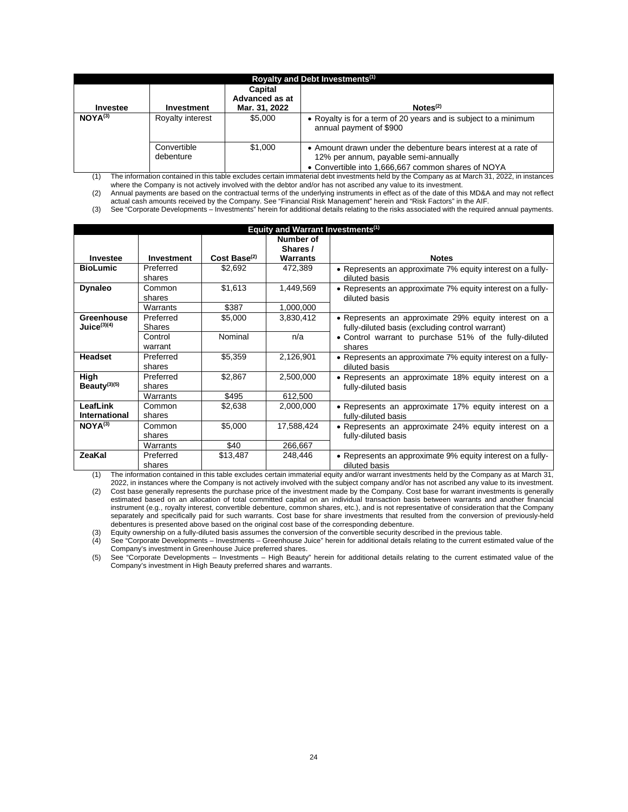| Royalty and Debt Investments <sup>(1)</sup> |                          |                                            |                                                                                                                                                              |  |  |  |  |  |
|---------------------------------------------|--------------------------|--------------------------------------------|--------------------------------------------------------------------------------------------------------------------------------------------------------------|--|--|--|--|--|
| Investee                                    | Investment               | Capital<br>Advanced as at<br>Mar. 31, 2022 | Notes <sup>(2)</sup>                                                                                                                                         |  |  |  |  |  |
| $NOYA^{(3)}$                                | Royalty interest         | \$5.000                                    | • Royalty is for a term of 20 years and is subject to a minimum<br>annual payment of \$900                                                                   |  |  |  |  |  |
|                                             | Convertible<br>debenture | \$1,000                                    | • Amount drawn under the debenture bears interest at a rate of<br>12% per annum, payable semi-annually<br>• Convertible into 1,666,667 common shares of NOYA |  |  |  |  |  |

(1) The information contained in this table excludes certain immaterial debt investments held by the Company as at March 31, 2022, in instances where the Company is not actively involved with the debtor and/or has not ascribed any value to its investment.

(2) Annual payments are based on the contractual terms of the underlying instruments in effect as of the date of this MD&A and may not reflect actual cash amounts received by the Company. See "Financial Risk Management" herein and "Risk Factors" in the AIF.

(3) See "Corporate Developments – Investments" herein for additional details relating to the risks associated with the required annual payments.

|                          |            |                   | Equity and Warrant Investments <sup>(1)</sup> |                                                            |
|--------------------------|------------|-------------------|-----------------------------------------------|------------------------------------------------------------|
|                          |            |                   | Number of                                     |                                                            |
|                          |            |                   | Shares /                                      |                                                            |
| Investee                 | Investment | $Cost Base^{(2)}$ | <b>Warrants</b>                               | <b>Notes</b>                                               |
| <b>BioLumic</b>          | Preferred  | \$2,692           | 472,389                                       | • Represents an approximate 7% equity interest on a fully- |
|                          | shares     |                   |                                               | diluted basis                                              |
| <b>Dynaleo</b>           | Common     | \$1,613           | 1,449,569                                     | • Represents an approximate 7% equity interest on a fully- |
|                          | shares     |                   |                                               | diluted basis                                              |
|                          | Warrants   | \$387             | 1,000,000                                     |                                                            |
| <b>Greenhouse</b>        | Preferred  | \$5,000           | 3,830,412                                     | • Represents an approximate 29% equity interest on a       |
| Juice $(3)(4)$           | Shares     |                   |                                               | fully-diluted basis (excluding control warrant)            |
|                          | Control    | Nominal           | n/a                                           | • Control warrant to purchase 51% of the fully-diluted     |
|                          | warrant    |                   |                                               | shares                                                     |
| <b>Headset</b>           | Preferred  | \$5,359           | 2,126,901                                     | • Represents an approximate 7% equity interest on a fully- |
|                          | shares     |                   |                                               | diluted basis                                              |
| High                     | Preferred  | \$2,867           | 2,500,000                                     | • Represents an approximate 18% equity interest on a       |
| Beauty <sup>(3)(5)</sup> | shares     |                   |                                               | fully-diluted basis                                        |
|                          | Warrants   | \$495             | 612,500                                       |                                                            |
| LeafLink                 | Common     | \$2,638           | 2,000,000                                     | • Represents an approximate 17% equity interest on a       |
| <b>International</b>     | shares     |                   |                                               | fully-diluted basis                                        |
| $NOYA^{(3)}$             | Common     | \$5,000           | 17,588,424                                    | • Represents an approximate 24% equity interest on a       |
|                          | shares     |                   |                                               | fully-diluted basis                                        |
|                          | Warrants   | \$40              | 266,667                                       |                                                            |
| <b>ZeaKal</b>            | Preferred  | \$13,487          | 248,446                                       | • Represents an approximate 9% equity interest on a fully- |
|                          | shares     |                   |                                               | diluted basis                                              |

(1) The information contained in this table excludes certain immaterial equity and/or warrant investments held by the Company as at March 31, 2022, in instances where the Company is not actively involved with the subject company and/or has not ascribed any value to its investment.

(2) Cost base generally represents the purchase price of the investment made by the Company. Cost base for warrant investments is generally estimated based on an allocation of total committed capital on an individual transaction basis between warrants and another financial instrument (e.g., royalty interest, convertible debenture, common shares, etc.), and is not representative of consideration that the Company separately and specifically paid for such warrants. Cost base for share investments that resulted from the conversion of previously-held debentures is presented above based on the original cost base of the corresponding debenture.

(3) Equity ownership on a fully-diluted basis assumes the conversion of the convertible security described in the previous table.<br>(4) See "Corporate Developments – Investments – Greenhouse Juice" herein for additional deta See "Corporate Developments – Investments – Greenhouse Juice" herein for additional details relating to the current estimated value of the Company's investment in Greenhouse Juice preferred shares.

(5) See "Corporate Developments – Investments – High Beauty" herein for additional details relating to the current estimated value of the Company's investment in High Beauty preferred shares and warrants.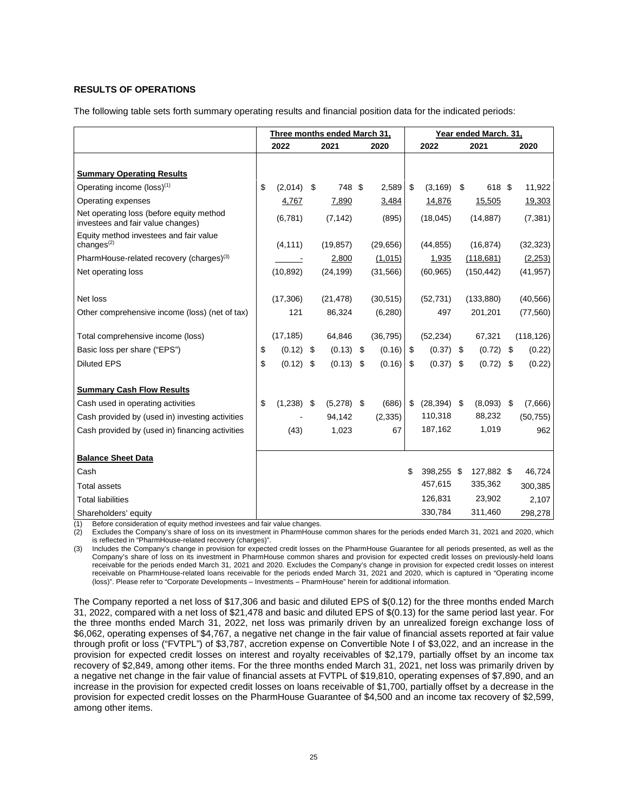# **RESULTS OF OPERATIONS**

The following table sets forth summary operating results and financial position data for the indicated periods:

|                                                                               | Three months ended March 31. |              |     |              |    |           | Year ended March. 31. |                |      |              |    |            |
|-------------------------------------------------------------------------------|------------------------------|--------------|-----|--------------|----|-----------|-----------------------|----------------|------|--------------|----|------------|
|                                                                               | 2022                         |              |     | 2021         |    | 2020      | 2022                  |                | 2021 |              |    | 2020       |
|                                                                               |                              |              |     |              |    |           |                       |                |      |              |    |            |
| <b>Summary Operating Results</b>                                              |                              |              |     |              |    |           |                       |                |      |              |    |            |
| Operating income (loss) <sup>(1)</sup>                                        | \$                           | $(2,014)$ \$ |     | 748 \$       |    | 2,589     | \$                    | $(3, 169)$ \$  |      | 618 \$       |    | 11,922     |
| Operating expenses                                                            |                              | 4,767        |     | 7,890        |    | 3,484     |                       | 14,876         |      | 15,505       |    | 19,303     |
| Net operating loss (before equity method<br>investees and fair value changes) |                              | (6,781)      |     | (7, 142)     |    | (895)     |                       | (18,045)       |      | (14, 887)    |    | (7, 381)   |
| Equity method investees and fair value<br>changes $(2)$                       |                              | (4, 111)     |     | (19, 857)    |    | (29, 656) |                       | (44, 855)      |      | (16, 874)    |    | (32, 323)  |
| PharmHouse-related recovery (charges) <sup>(3)</sup>                          |                              |              |     | 2,800        |    | (1,015)   |                       | 1,935          |      | (118, 681)   |    | (2,253)    |
| Net operating loss                                                            |                              | (10, 892)    |     | (24, 199)    |    | (31, 566) |                       | (60, 965)      |      | (150, 442)   |    | (41, 957)  |
|                                                                               |                              |              |     |              |    |           |                       |                |      |              |    |            |
| Net loss                                                                      |                              | (17,306)     |     | (21, 478)    |    | (30, 515) |                       | (52, 731)      |      | (133, 880)   |    | (40, 566)  |
| Other comprehensive income (loss) (net of tax)                                |                              | 121          |     | 86,324       |    | (6, 280)  |                       | 497            |      | 201,201      |    | (77, 560)  |
| Total comprehensive income (loss)                                             |                              | (17, 185)    |     | 64,846       |    | (36, 795) |                       | (52, 234)      |      | 67,321       |    | (118, 126) |
| Basic loss per share ("EPS")                                                  | \$                           | (0.12)       | -\$ | $(0.13)$ \$  |    | (0.16)    | \$                    | $(0.37)$ \$    |      | (0.72)       | \$ | (0.22)     |
| <b>Diluted EPS</b>                                                            | \$                           | (0.12)       | -\$ | (0.13)       | \$ | (0.16)    | \$                    | $(0.37)$ \$    |      | $(0.72)$ \$  |    | (0.22)     |
|                                                                               |                              |              |     |              |    |           |                       |                |      |              |    |            |
| <b>Summary Cash Flow Results</b>                                              |                              |              |     |              |    |           |                       |                |      |              |    |            |
| Cash used in operating activities                                             | \$                           | $(1,238)$ \$ |     | $(5,278)$ \$ |    | (686)     | \$                    | $(28, 394)$ \$ |      | $(8,093)$ \$ |    | (7,666)    |
| Cash provided by (used in) investing activities                               |                              |              |     | 94,142       |    | (2, 335)  |                       | 110,318        |      | 88,232       |    | (50, 755)  |
| Cash provided by (used in) financing activities                               |                              | (43)         |     | 1,023        |    | 67        |                       | 187,162        |      | 1,019        |    | 962        |
|                                                                               |                              |              |     |              |    |           |                       |                |      |              |    |            |
| <b>Balance Sheet Data</b>                                                     |                              |              |     |              |    |           |                       |                |      |              |    |            |
| Cash                                                                          |                              |              |     |              |    |           | \$                    | 398.255 \$     |      | 127,882 \$   |    | 46,724     |
| <b>Total assets</b>                                                           |                              |              |     |              |    |           |                       | 457,615        |      | 335,362      |    | 300,385    |
| <b>Total liabilities</b>                                                      |                              |              |     |              |    |           |                       | 126,831        |      | 23,902       |    | 2,107      |
| Shareholders' equity                                                          |                              |              |     |              |    |           |                       | 330,784        |      | 311,460      |    | 298,278    |

(1) Before consideration of equity method investees and fair value changes.

(2) Excludes the Company's share of loss on its investment in PharmHouse common shares for the periods ended March 31, 2021 and 2020, which is reflected in "PharmHouse-related recovery (charges)".

(3) Includes the Company's change in provision for expected credit losses on the PharmHouse Guarantee for all periods presented, as well as the Company's share of loss on its investment in PharmHouse common shares and provision for expected credit losses on previously-held loans receivable for the periods ended March 31, 2021 and 2020. Excludes the Company's change in provision for expected credit losses on interest receivable on PharmHouse-related loans receivable for the periods ended March 31, 2021 and 2020, which is captured in "Operating income (loss)". Please refer to "Corporate Developments – Investments – PharmHouse" herein for additional information.

The Company reported a net loss of \$17,306 and basic and diluted EPS of \$(0.12) for the three months ended March 31, 2022, compared with a net loss of \$21,478 and basic and diluted EPS of \$(0.13) for the same period last year. For the three months ended March 31, 2022, net loss was primarily driven by an unrealized foreign exchange loss of \$6,062, operating expenses of \$4,767, a negative net change in the fair value of financial assets reported at fair value through profit or loss ("FVTPL") of \$3,787, accretion expense on Convertible Note I of \$3,022, and an increase in the provision for expected credit losses on interest and royalty receivables of \$2,179, partially offset by an income tax recovery of \$2,849, among other items. For the three months ended March 31, 2021, net loss was primarily driven by a negative net change in the fair value of financial assets at FVTPL of \$19,810, operating expenses of \$7,890, and an increase in the provision for expected credit losses on loans receivable of \$1,700, partially offset by a decrease in the provision for expected credit losses on the PharmHouse Guarantee of \$4,500 and an income tax recovery of \$2,599, among other items.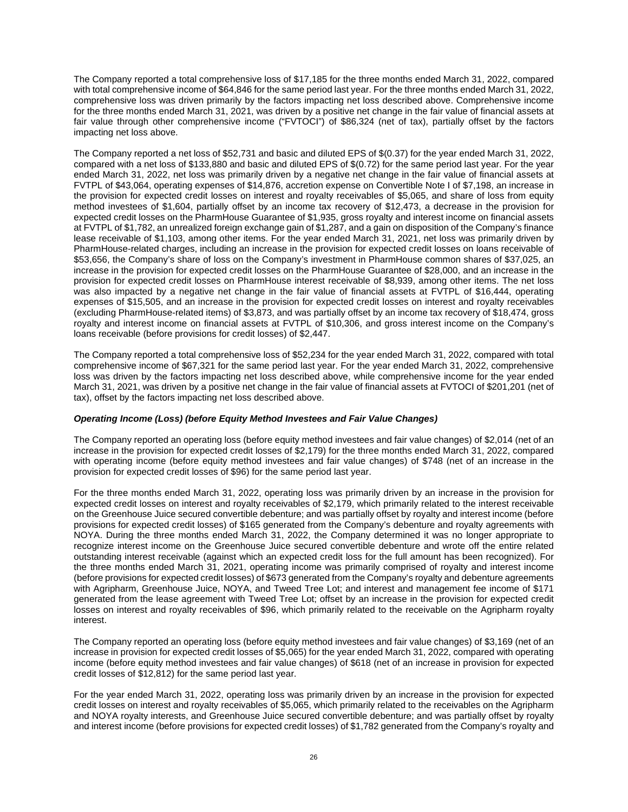The Company reported a total comprehensive loss of \$17,185 for the three months ended March 31, 2022, compared with total comprehensive income of \$64,846 for the same period last year. For the three months ended March 31, 2022, comprehensive loss was driven primarily by the factors impacting net loss described above. Comprehensive income for the three months ended March 31, 2021, was driven by a positive net change in the fair value of financial assets at fair value through other comprehensive income ("FVTOCI") of \$86,324 (net of tax), partially offset by the factors impacting net loss above.

The Company reported a net loss of \$52,731 and basic and diluted EPS of \$(0.37) for the year ended March 31, 2022, compared with a net loss of \$133,880 and basic and diluted EPS of \$(0.72) for the same period last year. For the year ended March 31, 2022, net loss was primarily driven by a negative net change in the fair value of financial assets at FVTPL of \$43,064, operating expenses of \$14,876, accretion expense on Convertible Note I of \$7,198, an increase in the provision for expected credit losses on interest and royalty receivables of \$5,065, and share of loss from equity method investees of \$1,604, partially offset by an income tax recovery of \$12,473, a decrease in the provision for expected credit losses on the PharmHouse Guarantee of \$1,935, gross royalty and interest income on financial assets at FVTPL of \$1,782, an unrealized foreign exchange gain of \$1,287, and a gain on disposition of the Company's finance lease receivable of \$1,103, among other items. For the year ended March 31, 2021, net loss was primarily driven by PharmHouse-related charges, including an increase in the provision for expected credit losses on loans receivable of \$53,656, the Company's share of loss on the Company's investment in PharmHouse common shares of \$37,025, an increase in the provision for expected credit losses on the PharmHouse Guarantee of \$28,000, and an increase in the provision for expected credit losses on PharmHouse interest receivable of \$8,939, among other items. The net loss was also impacted by a negative net change in the fair value of financial assets at FVTPL of \$16,444, operating expenses of \$15,505, and an increase in the provision for expected credit losses on interest and royalty receivables (excluding PharmHouse-related items) of \$3,873, and was partially offset by an income tax recovery of \$18,474, gross royalty and interest income on financial assets at FVTPL of \$10,306, and gross interest income on the Company's loans receivable (before provisions for credit losses) of \$2,447.

The Company reported a total comprehensive loss of \$52,234 for the year ended March 31, 2022, compared with total comprehensive income of \$67,321 for the same period last year. For the year ended March 31, 2022, comprehensive loss was driven by the factors impacting net loss described above, while comprehensive income for the year ended March 31, 2021, was driven by a positive net change in the fair value of financial assets at FVTOCI of \$201,201 (net of tax), offset by the factors impacting net loss described above.

# *Operating Income (Loss) (before Equity Method Investees and Fair Value Changes)*

The Company reported an operating loss (before equity method investees and fair value changes) of \$2,014 (net of an increase in the provision for expected credit losses of \$2,179) for the three months ended March 31, 2022, compared with operating income (before equity method investees and fair value changes) of \$748 (net of an increase in the provision for expected credit losses of \$96) for the same period last year.

For the three months ended March 31, 2022, operating loss was primarily driven by an increase in the provision for expected credit losses on interest and royalty receivables of \$2,179, which primarily related to the interest receivable on the Greenhouse Juice secured convertible debenture; and was partially offset by royalty and interest income (before provisions for expected credit losses) of \$165 generated from the Company's debenture and royalty agreements with NOYA. During the three months ended March 31, 2022, the Company determined it was no longer appropriate to recognize interest income on the Greenhouse Juice secured convertible debenture and wrote off the entire related outstanding interest receivable (against which an expected credit loss for the full amount has been recognized). For the three months ended March 31, 2021, operating income was primarily comprised of royalty and interest income (before provisions for expected credit losses) of \$673 generated from the Company's royalty and debenture agreements with Agripharm, Greenhouse Juice, NOYA, and Tweed Tree Lot; and interest and management fee income of \$171 generated from the lease agreement with Tweed Tree Lot; offset by an increase in the provision for expected credit losses on interest and royalty receivables of \$96, which primarily related to the receivable on the Agripharm royalty interest.

The Company reported an operating loss (before equity method investees and fair value changes) of \$3,169 (net of an increase in provision for expected credit losses of \$5,065) for the year ended March 31, 2022, compared with operating income (before equity method investees and fair value changes) of \$618 (net of an increase in provision for expected credit losses of \$12,812) for the same period last year.

For the year ended March 31, 2022, operating loss was primarily driven by an increase in the provision for expected credit losses on interest and royalty receivables of \$5,065, which primarily related to the receivables on the Agripharm and NOYA royalty interests, and Greenhouse Juice secured convertible debenture; and was partially offset by royalty and interest income (before provisions for expected credit losses) of \$1,782 generated from the Company's royalty and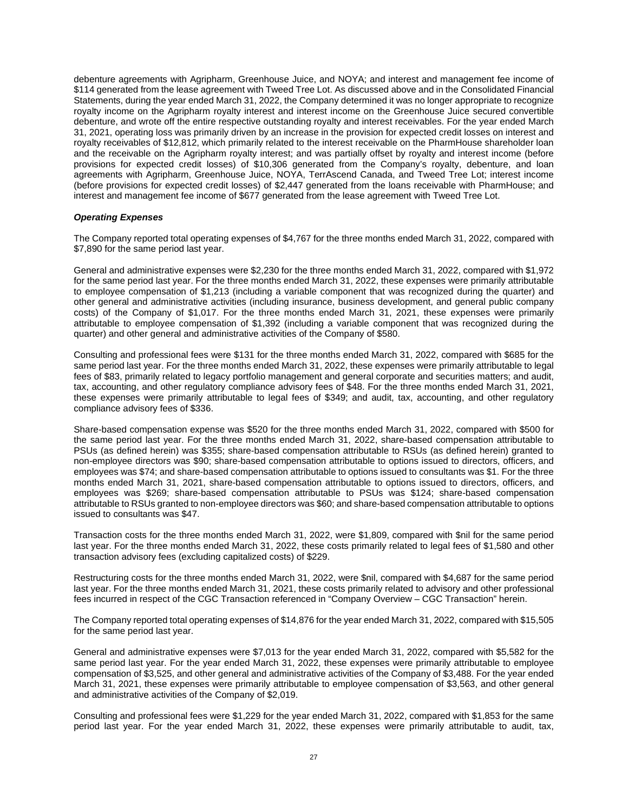debenture agreements with Agripharm, Greenhouse Juice, and NOYA; and interest and management fee income of \$114 generated from the lease agreement with Tweed Tree Lot. As discussed above and in the Consolidated Financial Statements, during the year ended March 31, 2022, the Company determined it was no longer appropriate to recognize royalty income on the Agripharm royalty interest and interest income on the Greenhouse Juice secured convertible debenture, and wrote off the entire respective outstanding royalty and interest receivables. For the year ended March 31, 2021, operating loss was primarily driven by an increase in the provision for expected credit losses on interest and royalty receivables of \$12,812, which primarily related to the interest receivable on the PharmHouse shareholder loan and the receivable on the Agripharm royalty interest; and was partially offset by royalty and interest income (before provisions for expected credit losses) of \$10,306 generated from the Company's royalty, debenture, and loan agreements with Agripharm, Greenhouse Juice, NOYA, TerrAscend Canada, and Tweed Tree Lot; interest income (before provisions for expected credit losses) of \$2,447 generated from the loans receivable with PharmHouse; and interest and management fee income of \$677 generated from the lease agreement with Tweed Tree Lot.

# *Operating Expenses*

The Company reported total operating expenses of \$4,767 for the three months ended March 31, 2022, compared with \$7,890 for the same period last year.

General and administrative expenses were \$2,230 for the three months ended March 31, 2022, compared with \$1,972 for the same period last year. For the three months ended March 31, 2022, these expenses were primarily attributable to employee compensation of \$1,213 (including a variable component that was recognized during the quarter) and other general and administrative activities (including insurance, business development, and general public company costs) of the Company of \$1,017. For the three months ended March 31, 2021, these expenses were primarily attributable to employee compensation of \$1,392 (including a variable component that was recognized during the quarter) and other general and administrative activities of the Company of \$580.

Consulting and professional fees were \$131 for the three months ended March 31, 2022, compared with \$685 for the same period last year. For the three months ended March 31, 2022, these expenses were primarily attributable to legal fees of \$83, primarily related to legacy portfolio management and general corporate and securities matters; and audit, tax, accounting, and other regulatory compliance advisory fees of \$48. For the three months ended March 31, 2021, these expenses were primarily attributable to legal fees of \$349; and audit, tax, accounting, and other regulatory compliance advisory fees of \$336.

Share-based compensation expense was \$520 for the three months ended March 31, 2022, compared with \$500 for the same period last year. For the three months ended March 31, 2022, share-based compensation attributable to PSUs (as defined herein) was \$355; share-based compensation attributable to RSUs (as defined herein) granted to non-employee directors was \$90; share-based compensation attributable to options issued to directors, officers, and employees was \$74; and share-based compensation attributable to options issued to consultants was \$1. For the three months ended March 31, 2021, share-based compensation attributable to options issued to directors, officers, and employees was \$269; share-based compensation attributable to PSUs was \$124; share-based compensation attributable to RSUs granted to non-employee directors was \$60; and share-based compensation attributable to options issued to consultants was \$47.

Transaction costs for the three months ended March 31, 2022, were \$1,809, compared with \$nil for the same period last year. For the three months ended March 31, 2022, these costs primarily related to legal fees of \$1,580 and other transaction advisory fees (excluding capitalized costs) of \$229.

Restructuring costs for the three months ended March 31, 2022, were \$nil, compared with \$4,687 for the same period last year. For the three months ended March 31, 2021, these costs primarily related to advisory and other professional fees incurred in respect of the CGC Transaction referenced in "Company Overview – CGC Transaction" herein.

The Company reported total operating expenses of \$14,876 for the year ended March 31, 2022, compared with \$15,505 for the same period last year.

General and administrative expenses were \$7,013 for the year ended March 31, 2022, compared with \$5,582 for the same period last year. For the year ended March 31, 2022, these expenses were primarily attributable to employee compensation of \$3,525, and other general and administrative activities of the Company of \$3,488. For the year ended March 31, 2021, these expenses were primarily attributable to employee compensation of \$3,563, and other general and administrative activities of the Company of \$2,019.

Consulting and professional fees were \$1,229 for the year ended March 31, 2022, compared with \$1,853 for the same period last year. For the year ended March 31, 2022, these expenses were primarily attributable to audit, tax,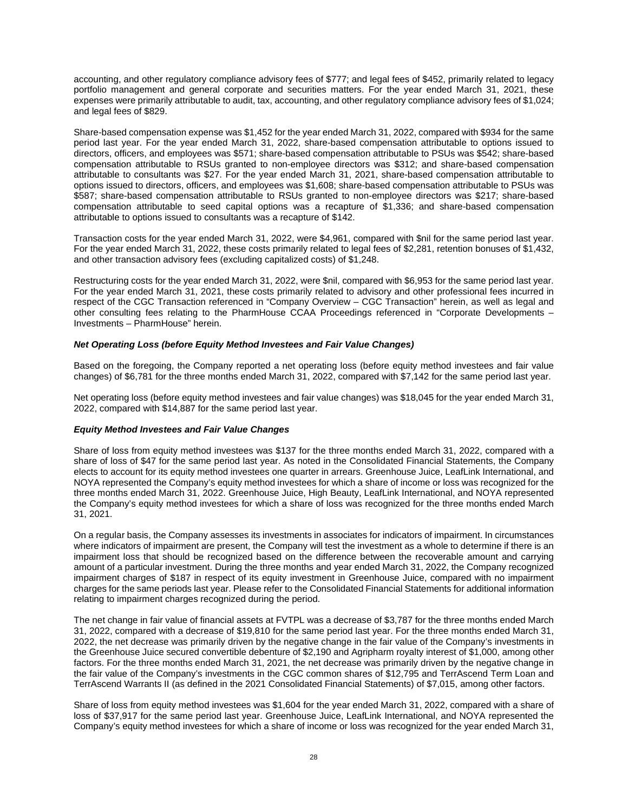accounting, and other regulatory compliance advisory fees of \$777; and legal fees of \$452, primarily related to legacy portfolio management and general corporate and securities matters. For the year ended March 31, 2021, these expenses were primarily attributable to audit, tax, accounting, and other regulatory compliance advisory fees of \$1,024; and legal fees of \$829.

Share-based compensation expense was \$1,452 for the year ended March 31, 2022, compared with \$934 for the same period last year. For the year ended March 31, 2022, share-based compensation attributable to options issued to directors, officers, and employees was \$571; share-based compensation attributable to PSUs was \$542; share-based compensation attributable to RSUs granted to non-employee directors was \$312; and share-based compensation attributable to consultants was \$27. For the year ended March 31, 2021, share-based compensation attributable to options issued to directors, officers, and employees was \$1,608; share-based compensation attributable to PSUs was \$587; share-based compensation attributable to RSUs granted to non-employee directors was \$217; share-based compensation attributable to seed capital options was a recapture of \$1,336; and share-based compensation attributable to options issued to consultants was a recapture of \$142.

Transaction costs for the year ended March 31, 2022, were \$4,961, compared with \$nil for the same period last year. For the year ended March 31, 2022, these costs primarily related to legal fees of \$2,281, retention bonuses of \$1,432, and other transaction advisory fees (excluding capitalized costs) of \$1,248.

Restructuring costs for the year ended March 31, 2022, were \$nil, compared with \$6,953 for the same period last year. For the year ended March 31, 2021, these costs primarily related to advisory and other professional fees incurred in respect of the CGC Transaction referenced in "Company Overview – CGC Transaction" herein, as well as legal and other consulting fees relating to the PharmHouse CCAA Proceedings referenced in "Corporate Developments – Investments – PharmHouse" herein.

# *Net Operating Loss (before Equity Method Investees and Fair Value Changes)*

Based on the foregoing, the Company reported a net operating loss (before equity method investees and fair value changes) of \$6,781 for the three months ended March 31, 2022, compared with \$7,142 for the same period last year.

Net operating loss (before equity method investees and fair value changes) was \$18,045 for the year ended March 31, 2022, compared with \$14,887 for the same period last year.

# *Equity Method Investees and Fair Value Changes*

Share of loss from equity method investees was \$137 for the three months ended March 31, 2022, compared with a share of loss of \$47 for the same period last year. As noted in the Consolidated Financial Statements, the Company elects to account for its equity method investees one quarter in arrears. Greenhouse Juice, LeafLink International, and NOYA represented the Company's equity method investees for which a share of income or loss was recognized for the three months ended March 31, 2022. Greenhouse Juice, High Beauty, LeafLink International, and NOYA represented the Company's equity method investees for which a share of loss was recognized for the three months ended March 31, 2021.

On a regular basis, the Company assesses its investments in associates for indicators of impairment. In circumstances where indicators of impairment are present, the Company will test the investment as a whole to determine if there is an impairment loss that should be recognized based on the difference between the recoverable amount and carrying amount of a particular investment. During the three months and year ended March 31, 2022, the Company recognized impairment charges of \$187 in respect of its equity investment in Greenhouse Juice, compared with no impairment charges for the same periods last year. Please refer to the Consolidated Financial Statements for additional information relating to impairment charges recognized during the period.

The net change in fair value of financial assets at FVTPL was a decrease of \$3,787 for the three months ended March 31, 2022, compared with a decrease of \$19,810 for the same period last year. For the three months ended March 31, 2022, the net decrease was primarily driven by the negative change in the fair value of the Company's investments in the Greenhouse Juice secured convertible debenture of \$2,190 and Agripharm royalty interest of \$1,000, among other factors. For the three months ended March 31, 2021, the net decrease was primarily driven by the negative change in the fair value of the Company's investments in the CGC common shares of \$12,795 and TerrAscend Term Loan and TerrAscend Warrants II (as defined in the 2021 Consolidated Financial Statements) of \$7,015, among other factors.

Share of loss from equity method investees was \$1,604 for the year ended March 31, 2022, compared with a share of loss of \$37,917 for the same period last year. Greenhouse Juice, LeafLink International, and NOYA represented the Company's equity method investees for which a share of income or loss was recognized for the year ended March 31,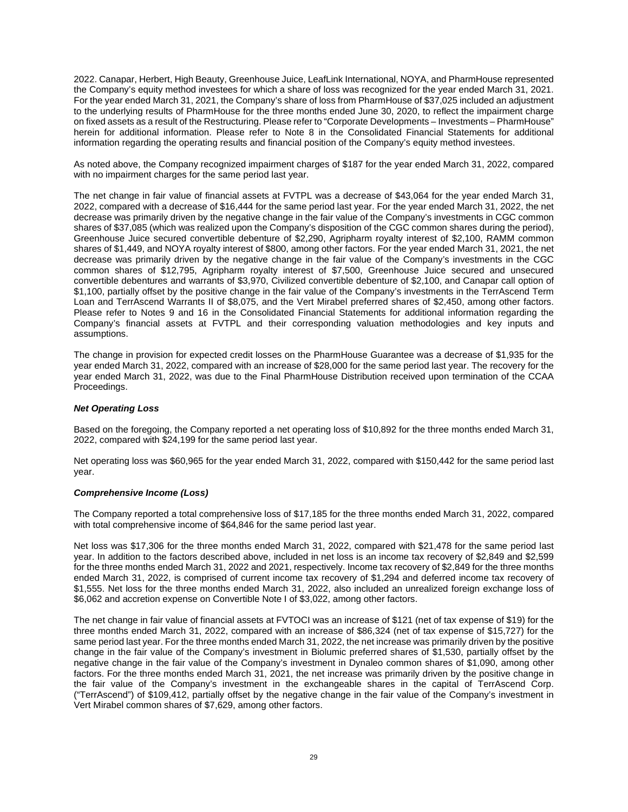2022. Canapar, Herbert, High Beauty, Greenhouse Juice, LeafLink International, NOYA, and PharmHouse represented the Company's equity method investees for which a share of loss was recognized for the year ended March 31, 2021. For the year ended March 31, 2021, the Company's share of loss from PharmHouse of \$37,025 included an adjustment to the underlying results of PharmHouse for the three months ended June 30, 2020, to reflect the impairment charge on fixed assets as a result of the Restructuring. Please refer to "Corporate Developments – Investments – PharmHouse" herein for additional information. Please refer to Note 8 in the Consolidated Financial Statements for additional information regarding the operating results and financial position of the Company's equity method investees.

As noted above, the Company recognized impairment charges of \$187 for the year ended March 31, 2022, compared with no impairment charges for the same period last year.

The net change in fair value of financial assets at FVTPL was a decrease of \$43,064 for the year ended March 31, 2022, compared with a decrease of \$16,444 for the same period last year. For the year ended March 31, 2022, the net decrease was primarily driven by the negative change in the fair value of the Company's investments in CGC common shares of \$37,085 (which was realized upon the Company's disposition of the CGC common shares during the period), Greenhouse Juice secured convertible debenture of \$2,290, Agripharm royalty interest of \$2,100, RAMM common shares of \$1,449, and NOYA royalty interest of \$800, among other factors. For the year ended March 31, 2021, the net decrease was primarily driven by the negative change in the fair value of the Company's investments in the CGC common shares of \$12,795, Agripharm royalty interest of \$7,500, Greenhouse Juice secured and unsecured convertible debentures and warrants of \$3,970, Civilized convertible debenture of \$2,100, and Canapar call option of \$1,100, partially offset by the positive change in the fair value of the Company's investments in the TerrAscend Term Loan and TerrAscend Warrants II of \$8,075, and the Vert Mirabel preferred shares of \$2,450, among other factors. Please refer to Notes 9 and 16 in the Consolidated Financial Statements for additional information regarding the Company's financial assets at FVTPL and their corresponding valuation methodologies and key inputs and assumptions.

The change in provision for expected credit losses on the PharmHouse Guarantee was a decrease of \$1,935 for the year ended March 31, 2022, compared with an increase of \$28,000 for the same period last year. The recovery for the year ended March 31, 2022, was due to the Final PharmHouse Distribution received upon termination of the CCAA Proceedings.

## *Net Operating Loss*

Based on the foregoing, the Company reported a net operating loss of \$10,892 for the three months ended March 31, 2022, compared with \$24,199 for the same period last year.

Net operating loss was \$60,965 for the year ended March 31, 2022, compared with \$150,442 for the same period last year.

### *Comprehensive Income (Loss)*

The Company reported a total comprehensive loss of \$17,185 for the three months ended March 31, 2022, compared with total comprehensive income of \$64,846 for the same period last year.

Net loss was \$17,306 for the three months ended March 31, 2022, compared with \$21,478 for the same period last year. In addition to the factors described above, included in net loss is an income tax recovery of \$2,849 and \$2,599 for the three months ended March 31, 2022 and 2021, respectively. Income tax recovery of \$2,849 for the three months ended March 31, 2022, is comprised of current income tax recovery of \$1,294 and deferred income tax recovery of \$1,555. Net loss for the three months ended March 31, 2022, also included an unrealized foreign exchange loss of \$6,062 and accretion expense on Convertible Note I of \$3,022, among other factors.

The net change in fair value of financial assets at FVTOCI was an increase of \$121 (net of tax expense of \$19) for the three months ended March 31, 2022, compared with an increase of \$86,324 (net of tax expense of \$15,727) for the same period last year. For the three months ended March 31, 2022, the net increase was primarily driven by the positive change in the fair value of the Company's investment in Biolumic preferred shares of \$1,530, partially offset by the negative change in the fair value of the Company's investment in Dynaleo common shares of \$1,090, among other factors. For the three months ended March 31, 2021, the net increase was primarily driven by the positive change in the fair value of the Company's investment in the exchangeable shares in the capital of TerrAscend Corp. ("TerrAscend") of \$109,412, partially offset by the negative change in the fair value of the Company's investment in Vert Mirabel common shares of \$7,629, among other factors.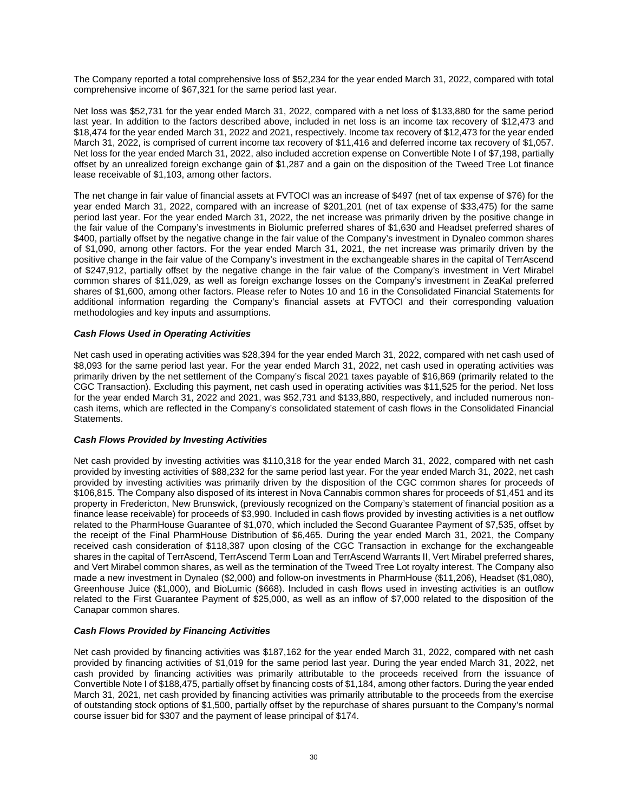The Company reported a total comprehensive loss of \$52,234 for the year ended March 31, 2022, compared with total comprehensive income of \$67,321 for the same period last year.

Net loss was \$52,731 for the year ended March 31, 2022, compared with a net loss of \$133,880 for the same period last year. In addition to the factors described above, included in net loss is an income tax recovery of \$12,473 and \$18,474 for the year ended March 31, 2022 and 2021, respectively. Income tax recovery of \$12,473 for the year ended March 31, 2022, is comprised of current income tax recovery of \$11,416 and deferred income tax recovery of \$1,057. Net loss for the year ended March 31, 2022, also included accretion expense on Convertible Note I of \$7,198, partially offset by an unrealized foreign exchange gain of \$1,287 and a gain on the disposition of the Tweed Tree Lot finance lease receivable of \$1,103, among other factors.

The net change in fair value of financial assets at FVTOCI was an increase of \$497 (net of tax expense of \$76) for the year ended March 31, 2022, compared with an increase of \$201,201 (net of tax expense of \$33,475) for the same period last year. For the year ended March 31, 2022, the net increase was primarily driven by the positive change in the fair value of the Company's investments in Biolumic preferred shares of \$1,630 and Headset preferred shares of \$400, partially offset by the negative change in the fair value of the Company's investment in Dynaleo common shares of \$1,090, among other factors. For the year ended March 31, 2021, the net increase was primarily driven by the positive change in the fair value of the Company's investment in the exchangeable shares in the capital of TerrAscend of \$247,912, partially offset by the negative change in the fair value of the Company's investment in Vert Mirabel common shares of \$11,029, as well as foreign exchange losses on the Company's investment in ZeaKal preferred shares of \$1,600, among other factors. Please refer to Notes 10 and 16 in the Consolidated Financial Statements for additional information regarding the Company's financial assets at FVTOCI and their corresponding valuation methodologies and key inputs and assumptions.

# *Cash Flows Used in Operating Activities*

Net cash used in operating activities was \$28,394 for the year ended March 31, 2022, compared with net cash used of \$8,093 for the same period last year. For the year ended March 31, 2022, net cash used in operating activities was primarily driven by the net settlement of the Company's fiscal 2021 taxes payable of \$16,869 (primarily related to the CGC Transaction). Excluding this payment, net cash used in operating activities was \$11,525 for the period. Net loss for the year ended March 31, 2022 and 2021, was \$52,731 and \$133,880, respectively, and included numerous noncash items, which are reflected in the Company's consolidated statement of cash flows in the Consolidated Financial Statements.

## *Cash Flows Provided by Investing Activities*

Net cash provided by investing activities was \$110,318 for the year ended March 31, 2022, compared with net cash provided by investing activities of \$88,232 for the same period last year. For the year ended March 31, 2022, net cash provided by investing activities was primarily driven by the disposition of the CGC common shares for proceeds of \$106,815. The Company also disposed of its interest in Nova Cannabis common shares for proceeds of \$1,451 and its property in Fredericton, New Brunswick, (previously recognized on the Company's statement of financial position as a finance lease receivable) for proceeds of \$3,990. Included in cash flows provided by investing activities is a net outflow related to the PharmHouse Guarantee of \$1,070, which included the Second Guarantee Payment of \$7,535, offset by the receipt of the Final PharmHouse Distribution of \$6,465. During the year ended March 31, 2021, the Company received cash consideration of \$118,387 upon closing of the CGC Transaction in exchange for the exchangeable shares in the capital of TerrAscend, TerrAscend Term Loan and TerrAscend Warrants II, Vert Mirabel preferred shares, and Vert Mirabel common shares, as well as the termination of the Tweed Tree Lot royalty interest. The Company also made a new investment in Dynaleo (\$2,000) and follow-on investments in PharmHouse (\$11,206), Headset (\$1,080), Greenhouse Juice (\$1,000), and BioLumic (\$668). Included in cash flows used in investing activities is an outflow related to the First Guarantee Payment of \$25,000, as well as an inflow of \$7,000 related to the disposition of the Canapar common shares.

# *Cash Flows Provided by Financing Activities*

Net cash provided by financing activities was \$187,162 for the year ended March 31, 2022, compared with net cash provided by financing activities of \$1,019 for the same period last year. During the year ended March 31, 2022, net cash provided by financing activities was primarily attributable to the proceeds received from the issuance of Convertible Note I of \$188,475, partially offset by financing costs of \$1,184, among other factors. During the year ended March 31, 2021, net cash provided by financing activities was primarily attributable to the proceeds from the exercise of outstanding stock options of \$1,500, partially offset by the repurchase of shares pursuant to the Company's normal course issuer bid for \$307 and the payment of lease principal of \$174.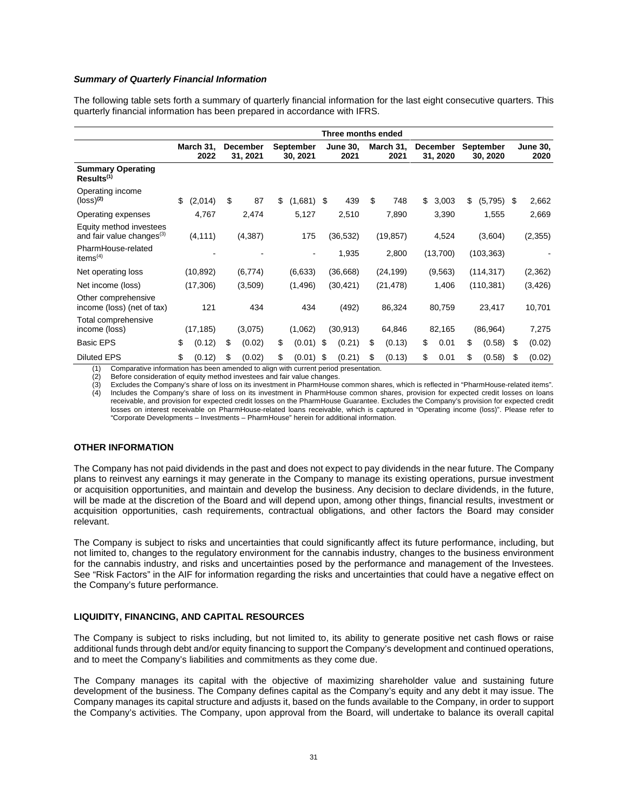# *Summary of Quarterly Financial Information*

The following table sets forth a summary of quarterly financial information for the last eight consecutive quarters. This quarterly financial information has been prepared in accordance with IFRS.

|                                                                  | Three months ended |                   |    |                             |    |                       |     |                         |    |                   |    |                      |                              |    |                         |
|------------------------------------------------------------------|--------------------|-------------------|----|-----------------------------|----|-----------------------|-----|-------------------------|----|-------------------|----|----------------------|------------------------------|----|-------------------------|
|                                                                  |                    | March 31,<br>2022 |    | <b>December</b><br>31, 2021 |    | September<br>30, 2021 |     | <b>June 30,</b><br>2021 |    | March 31,<br>2021 |    | December<br>31, 2020 | <b>September</b><br>30, 2020 |    | <b>June 30,</b><br>2020 |
| <b>Summary Operating</b><br>Results <sup>(1)</sup>               |                    |                   |    |                             |    |                       |     |                         |    |                   |    |                      |                              |    |                         |
| Operating income<br>$(logs)$ <sup>(2)</sup>                      | \$                 | (2,014)           | \$ | 87                          | \$ | (1,681)               | \$  | 439                     | \$ | 748               | \$ | 3,003                | \$<br>(5,795)                | S  | 2,662                   |
| Operating expenses                                               |                    | 4,767             |    | 2,474                       |    | 5,127                 |     | 2,510                   |    | 7,890             |    | 3,390                | 1,555                        |    | 2,669                   |
| Equity method investees<br>and fair value changes <sup>(3)</sup> |                    | (4, 111)          |    | (4,387)                     |    | 175                   |     | (36, 532)               |    | (19, 857)         |    | 4,524                | (3,604)                      |    | (2, 355)                |
| PharmHouse-related<br>items <sup>(4)</sup>                       |                    |                   |    |                             |    |                       |     | 1,935                   |    | 2,800             |    | (13,700)             | (103, 363)                   |    |                         |
| Net operating loss                                               |                    | (10, 892)         |    | (6, 774)                    |    | (6,633)               |     | (36,668)                |    | (24, 199)         |    | (9, 563)             | (114, 317)                   |    | (2,362)                 |
| Net income (loss)                                                |                    | (17,306)          |    | (3,509)                     |    | (1,496)               |     | (30, 421)               |    | (21, 478)         |    | 1,406                | (110, 381)                   |    | (3, 426)                |
| Other comprehensive<br>income (loss) (net of tax)                |                    | 121               |    | 434                         |    | 434                   |     | (492)                   |    | 86,324            |    | 80,759               | 23,417                       |    | 10,701                  |
| Total comprehensive<br>income (loss)                             |                    | (17, 185)         |    | (3,075)                     |    | (1,062)               |     | (30, 913)               |    | 64,846            |    | 82,165               | (86, 964)                    |    | 7,275                   |
| <b>Basic EPS</b>                                                 | \$                 | (0.12)            | \$ | (0.02)                      | \$ | (0.01)                | -\$ | (0.21)                  | \$ | (0.13)            | \$ | 0.01                 | \$<br>(0.58)                 | \$ | (0.02)                  |
| <b>Diluted EPS</b>                                               | \$                 | (0.12)            | \$ | (0.02)                      | \$ | (0.01)<br>$\cdots$    | \$  | (0.21)                  | \$ | (0.13)            | \$ | 0.01                 | \$<br>(0.58)                 | \$ | (0.02)                  |

(1) Comparative information has been amended to align with current period presentation.

(2) Before consideration of equity method investees and fair value changes.

(3) Excludes the Company's share of loss on its investment in PharmHouse common shares, which is reflected in "PharmHouse-related items". Includes the Company's share of loss on its investment in PharmHouse common shares, provision for expected credit losses on loans receivable, and provision for expected credit losses on the PharmHouse Guarantee. Excludes the Company's provision for expected credit losses on interest receivable on PharmHouse-related loans receivable, which is captured in "Operating income (loss)". Please refer to "Corporate Developments – Investments – PharmHouse" herein for additional information.

# **OTHER INFORMATION**

The Company has not paid dividends in the past and does not expect to pay dividends in the near future. The Company plans to reinvest any earnings it may generate in the Company to manage its existing operations, pursue investment or acquisition opportunities, and maintain and develop the business. Any decision to declare dividends, in the future, will be made at the discretion of the Board and will depend upon, among other things, financial results, investment or acquisition opportunities, cash requirements, contractual obligations, and other factors the Board may consider relevant.

The Company is subject to risks and uncertainties that could significantly affect its future performance, including, but not limited to, changes to the regulatory environment for the cannabis industry, changes to the business environment for the cannabis industry, and risks and uncertainties posed by the performance and management of the Investees. See "Risk Factors" in the AIF for information regarding the risks and uncertainties that could have a negative effect on the Company's future performance.

# **LIQUIDITY, FINANCING, AND CAPITAL RESOURCES**

The Company is subject to risks including, but not limited to, its ability to generate positive net cash flows or raise additional funds through debt and/or equity financing to support the Company's development and continued operations, and to meet the Company's liabilities and commitments as they come due.

The Company manages its capital with the objective of maximizing shareholder value and sustaining future development of the business. The Company defines capital as the Company's equity and any debt it may issue. The Company manages its capital structure and adjusts it, based on the funds available to the Company, in order to support the Company's activities. The Company, upon approval from the Board, will undertake to balance its overall capital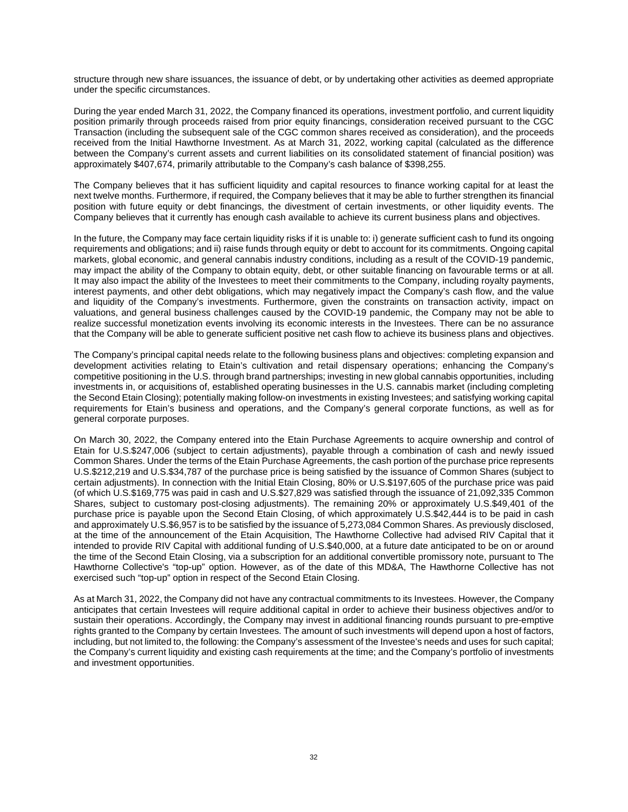structure through new share issuances, the issuance of debt, or by undertaking other activities as deemed appropriate under the specific circumstances.

During the year ended March 31, 2022, the Company financed its operations, investment portfolio, and current liquidity position primarily through proceeds raised from prior equity financings, consideration received pursuant to the CGC Transaction (including the subsequent sale of the CGC common shares received as consideration), and the proceeds received from the Initial Hawthorne Investment. As at March 31, 2022, working capital (calculated as the difference between the Company's current assets and current liabilities on its consolidated statement of financial position) was approximately \$407,674, primarily attributable to the Company's cash balance of \$398,255.

The Company believes that it has sufficient liquidity and capital resources to finance working capital for at least the next twelve months. Furthermore, if required, the Company believes that it may be able to further strengthen its financial position with future equity or debt financings, the divestment of certain investments, or other liquidity events. The Company believes that it currently has enough cash available to achieve its current business plans and objectives.

In the future, the Company may face certain liquidity risks if it is unable to: i) generate sufficient cash to fund its ongoing requirements and obligations; and ii) raise funds through equity or debt to account for its commitments. Ongoing capital markets, global economic, and general cannabis industry conditions, including as a result of the COVID-19 pandemic, may impact the ability of the Company to obtain equity, debt, or other suitable financing on favourable terms or at all. It may also impact the ability of the Investees to meet their commitments to the Company, including royalty payments, interest payments, and other debt obligations, which may negatively impact the Company's cash flow, and the value and liquidity of the Company's investments. Furthermore, given the constraints on transaction activity, impact on valuations, and general business challenges caused by the COVID-19 pandemic, the Company may not be able to realize successful monetization events involving its economic interests in the Investees. There can be no assurance that the Company will be able to generate sufficient positive net cash flow to achieve its business plans and objectives.

The Company's principal capital needs relate to the following business plans and objectives: completing expansion and development activities relating to Etain's cultivation and retail dispensary operations; enhancing the Company's competitive positioning in the U.S. through brand partnerships; investing in new global cannabis opportunities, including investments in, or acquisitions of, established operating businesses in the U.S. cannabis market (including completing the Second Etain Closing); potentially making follow-on investments in existing Investees; and satisfying working capital requirements for Etain's business and operations, and the Company's general corporate functions, as well as for general corporate purposes.

On March 30, 2022, the Company entered into the Etain Purchase Agreements to acquire ownership and control of Etain for U.S.\$247,006 (subject to certain adjustments), payable through a combination of cash and newly issued Common Shares. Under the terms of the Etain Purchase Agreements, the cash portion of the purchase price represents U.S.\$212,219 and U.S.\$34,787 of the purchase price is being satisfied by the issuance of Common Shares (subject to certain adjustments). In connection with the Initial Etain Closing, 80% or U.S.\$197,605 of the purchase price was paid (of which U.S.\$169,775 was paid in cash and U.S.\$27,829 was satisfied through the issuance of 21,092,335 Common Shares, subject to customary post-closing adjustments). The remaining 20% or approximately U.S.\$49,401 of the purchase price is payable upon the Second Etain Closing, of which approximately U.S.\$42,444 is to be paid in cash and approximately U.S.\$6,957 is to be satisfied by the issuance of 5,273,084 Common Shares. As previously disclosed, at the time of the announcement of the Etain Acquisition, The Hawthorne Collective had advised RIV Capital that it intended to provide RIV Capital with additional funding of U.S.\$40,000, at a future date anticipated to be on or around the time of the Second Etain Closing, via a subscription for an additional convertible promissory note, pursuant to The Hawthorne Collective's "top-up" option. However, as of the date of this MD&A, The Hawthorne Collective has not exercised such "top-up" option in respect of the Second Etain Closing.

As at March 31, 2022, the Company did not have any contractual commitments to its Investees. However, the Company anticipates that certain Investees will require additional capital in order to achieve their business objectives and/or to sustain their operations. Accordingly, the Company may invest in additional financing rounds pursuant to pre-emptive rights granted to the Company by certain Investees. The amount of such investments will depend upon a host of factors, including, but not limited to, the following: the Company's assessment of the Investee's needs and uses for such capital; the Company's current liquidity and existing cash requirements at the time; and the Company's portfolio of investments and investment opportunities.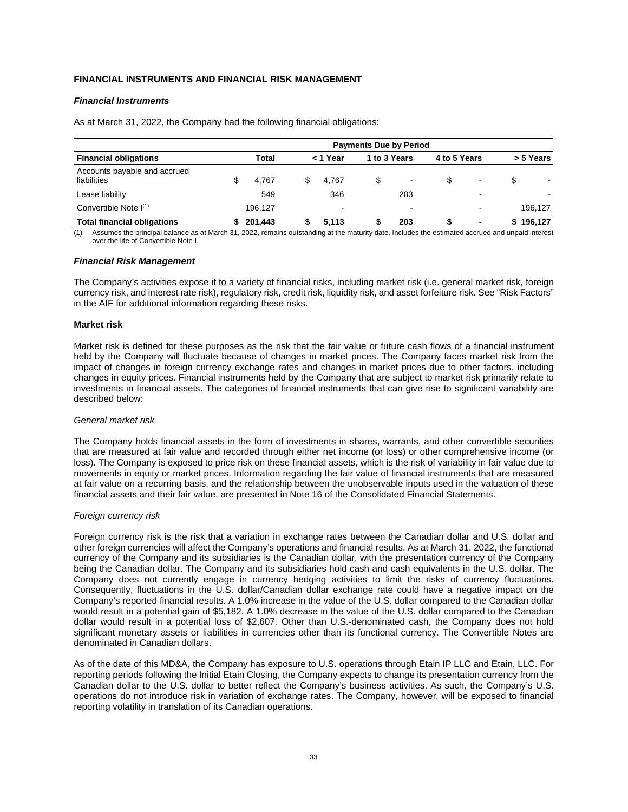# **FINANCIAL INSTRUMENTS AND FINANCIAL RISK MANAGEMENT**

# *Financial Instruments*

As at March 31, 2022, the Company had the following financial obligations:

|                                             | <b>Payments Due by Period</b> |         |    |          |   |                          |              |        |   |           |  |
|---------------------------------------------|-------------------------------|---------|----|----------|---|--------------------------|--------------|--------|---|-----------|--|
| <b>Financial obligations</b>                |                               | Total   |    | < 1 Year |   | 1 to 3 Years             | 4 to 5 Years |        |   | > 5 Years |  |
| Accounts payable and accrued<br>liabilities |                               | 4.767   | \$ | 4.767    | S | $\overline{\phantom{0}}$ | S            |        | S |           |  |
| Lease liability                             |                               | 549     |    | 346      |   | 203                      |              | -      |   |           |  |
| Convertible Note $I^{(1)}$                  |                               | 196.127 |    | $\sim$   |   | $\sim$                   |              | $\sim$ |   | 196.127   |  |
| <b>Total financial obligations</b>          |                               | 201.443 |    | 5.113    |   | 203                      |              | ۰      |   | 196.127   |  |

Assumes the principal balance as at March 31, 2022, remains outstanding at the maturity date. Includes the estimated accrued and unpaid interest over the life of Convertible Note I.

### *Financial Risk Management*

The Company's activities expose it to a variety of financial risks, including market risk (i.e. general market risk, foreign currency risk, and interest rate risk), regulatory risk, credit risk, liquidity risk, and asset forfeiture risk. See "Risk Factors" in the AIF for additional information regarding these risks.

### **Market risk**

Market risk is defined for these purposes as the risk that the fair value or future cash flows of a financial instrument held by the Company will fluctuate because of changes in market prices. The Company faces market risk from the impact of changes in foreign currency exchange rates and changes in market prices due to other factors, including changes in equity prices. Financial instruments held by the Company that are subject to market risk primarily relate to investments in financial assets. The categories of financial instruments that can give rise to significant variability are described below:

### *General market risk*

The Company holds financial assets in the form of investments in shares, warrants, and other convertible securities that are measured at fair value and recorded through either net income (or loss) or other comprehensive income (or loss). The Company is exposed to price risk on these financial assets, which is the risk of variability in fair value due to movements in equity or market prices. Information regarding the fair value of financial instruments that are measured at fair value on a recurring basis, and the relationship between the unobservable inputs used in the valuation of these financial assets and their fair value, are presented in Note 16 of the Consolidated Financial Statements.

### *Foreign currency risk*

Foreign currency risk is the risk that a variation in exchange rates between the Canadian dollar and U.S. dollar and other foreign currencies will affect the Company's operations and financial results. As at March 31, 2022, the functional currency of the Company and its subsidiaries is the Canadian dollar, with the presentation currency of the Company being the Canadian dollar. The Company and its subsidiaries hold cash and cash equivalents in the U.S. dollar. The Company does not currently engage in currency hedging activities to limit the risks of currency fluctuations. Consequently, fluctuations in the U.S. dollar/Canadian dollar exchange rate could have a negative impact on the Company's reported financial results. A 1.0% increase in the value of the U.S. dollar compared to the Canadian dollar would result in a potential gain of \$5,182. A 1.0% decrease in the value of the U.S. dollar compared to the Canadian dollar would result in a potential loss of \$2,607. Other than U.S.-denominated cash, the Company does not hold significant monetary assets or liabilities in currencies other than its functional currency. The Convertible Notes are denominated in Canadian dollars.

As of the date of this MD&A, the Company has exposure to U.S. operations through Etain IP LLC and Etain, LLC. For reporting periods following the Initial Etain Closing, the Company expects to change its presentation currency from the Canadian dollar to the U.S. dollar to better reflect the Company's business activities. As such, the Company's U.S. operations do not introduce risk in variation of exchange rates. The Company, however, will be exposed to financial reporting volatility in translation of its Canadian operations.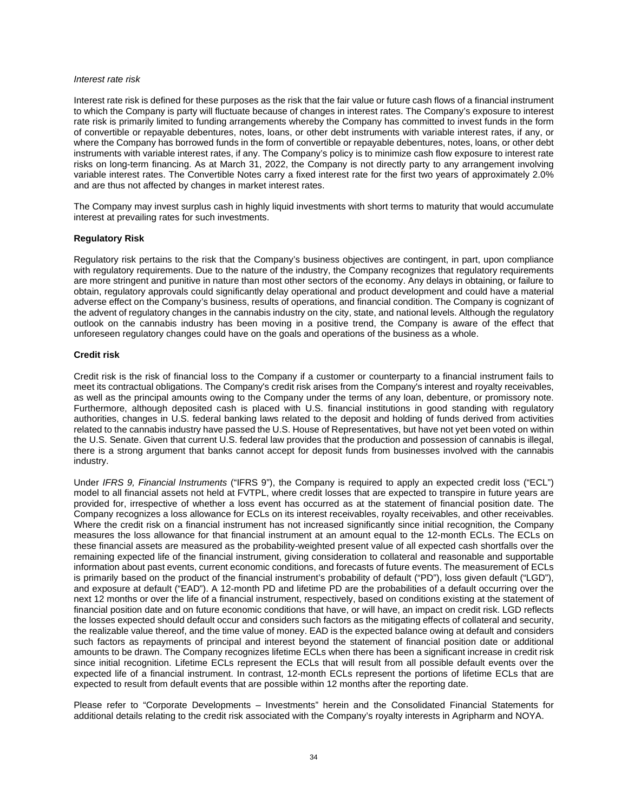#### *Interest rate risk*

Interest rate risk is defined for these purposes as the risk that the fair value or future cash flows of a financial instrument to which the Company is party will fluctuate because of changes in interest rates. The Company's exposure to interest rate risk is primarily limited to funding arrangements whereby the Company has committed to invest funds in the form of convertible or repayable debentures, notes, loans, or other debt instruments with variable interest rates, if any, or where the Company has borrowed funds in the form of convertible or repayable debentures, notes, loans, or other debt instruments with variable interest rates, if any. The Company's policy is to minimize cash flow exposure to interest rate risks on long-term financing. As at March 31, 2022, the Company is not directly party to any arrangement involving variable interest rates. The Convertible Notes carry a fixed interest rate for the first two years of approximately 2.0% and are thus not affected by changes in market interest rates.

The Company may invest surplus cash in highly liquid investments with short terms to maturity that would accumulate interest at prevailing rates for such investments.

### **Regulatory Risk**

Regulatory risk pertains to the risk that the Company's business objectives are contingent, in part, upon compliance with regulatory requirements. Due to the nature of the industry, the Company recognizes that regulatory requirements are more stringent and punitive in nature than most other sectors of the economy. Any delays in obtaining, or failure to obtain, regulatory approvals could significantly delay operational and product development and could have a material adverse effect on the Company's business, results of operations, and financial condition. The Company is cognizant of the advent of regulatory changes in the cannabis industry on the city, state, and national levels. Although the regulatory outlook on the cannabis industry has been moving in a positive trend, the Company is aware of the effect that unforeseen regulatory changes could have on the goals and operations of the business as a whole.

## **Credit risk**

Credit risk is the risk of financial loss to the Company if a customer or counterparty to a financial instrument fails to meet its contractual obligations. The Company's credit risk arises from the Company's interest and royalty receivables, as well as the principal amounts owing to the Company under the terms of any loan, debenture, or promissory note. Furthermore, although deposited cash is placed with U.S. financial institutions in good standing with regulatory authorities, changes in U.S. federal banking laws related to the deposit and holding of funds derived from activities related to the cannabis industry have passed the U.S. House of Representatives, but have not yet been voted on within the U.S. Senate. Given that current U.S. federal law provides that the production and possession of cannabis is illegal, there is a strong argument that banks cannot accept for deposit funds from businesses involved with the cannabis industry.

Under *IFRS 9, Financial Instruments* ("IFRS 9"), the Company is required to apply an expected credit loss ("ECL") model to all financial assets not held at FVTPL, where credit losses that are expected to transpire in future years are provided for, irrespective of whether a loss event has occurred as at the statement of financial position date. The Company recognizes a loss allowance for ECLs on its interest receivables, royalty receivables, and other receivables. Where the credit risk on a financial instrument has not increased significantly since initial recognition, the Company measures the loss allowance for that financial instrument at an amount equal to the 12-month ECLs. The ECLs on these financial assets are measured as the probability-weighted present value of all expected cash shortfalls over the remaining expected life of the financial instrument, giving consideration to collateral and reasonable and supportable information about past events, current economic conditions, and forecasts of future events. The measurement of ECLs is primarily based on the product of the financial instrument's probability of default ("PD"), loss given default ("LGD"), and exposure at default ("EAD"). A 12-month PD and lifetime PD are the probabilities of a default occurring over the next 12 months or over the life of a financial instrument, respectively, based on conditions existing at the statement of financial position date and on future economic conditions that have, or will have, an impact on credit risk. LGD reflects the losses expected should default occur and considers such factors as the mitigating effects of collateral and security, the realizable value thereof, and the time value of money. EAD is the expected balance owing at default and considers such factors as repayments of principal and interest beyond the statement of financial position date or additional amounts to be drawn. The Company recognizes lifetime ECLs when there has been a significant increase in credit risk since initial recognition. Lifetime ECLs represent the ECLs that will result from all possible default events over the expected life of a financial instrument. In contrast, 12-month ECLs represent the portions of lifetime ECLs that are expected to result from default events that are possible within 12 months after the reporting date.

Please refer to "Corporate Developments – Investments" herein and the Consolidated Financial Statements for additional details relating to the credit risk associated with the Company's royalty interests in Agripharm and NOYA.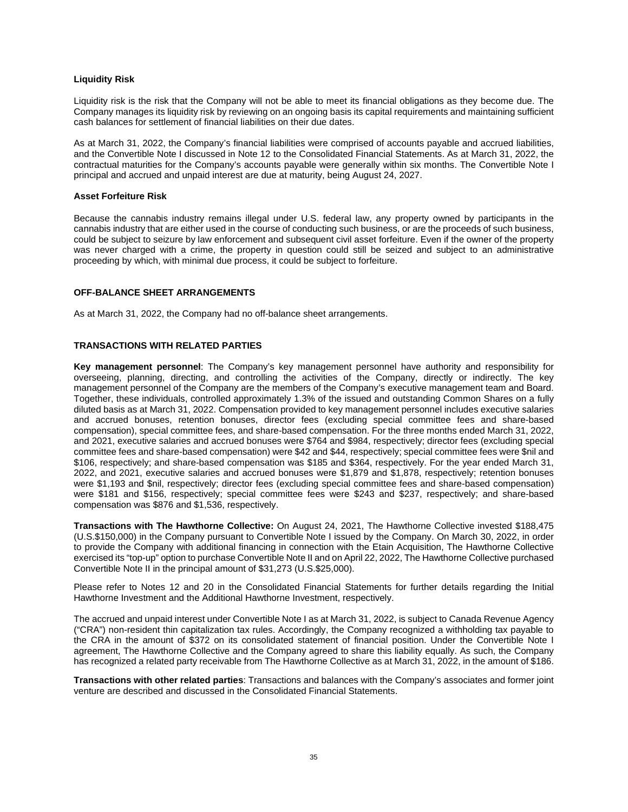# **Liquidity Risk**

Liquidity risk is the risk that the Company will not be able to meet its financial obligations as they become due. The Company manages its liquidity risk by reviewing on an ongoing basis its capital requirements and maintaining sufficient cash balances for settlement of financial liabilities on their due dates.

As at March 31, 2022, the Company's financial liabilities were comprised of accounts payable and accrued liabilities, and the Convertible Note I discussed in Note 12 to the Consolidated Financial Statements. As at March 31, 2022, the contractual maturities for the Company's accounts payable were generally within six months. The Convertible Note I principal and accrued and unpaid interest are due at maturity, being August 24, 2027.

## **Asset Forfeiture Risk**

Because the cannabis industry remains illegal under U.S. federal law, any property owned by participants in the cannabis industry that are either used in the course of conducting such business, or are the proceeds of such business, could be subject to seizure by law enforcement and subsequent civil asset forfeiture. Even if the owner of the property was never charged with a crime, the property in question could still be seized and subject to an administrative proceeding by which, with minimal due process, it could be subject to forfeiture.

## **OFF-BALANCE SHEET ARRANGEMENTS**

As at March 31, 2022, the Company had no off-balance sheet arrangements.

# **TRANSACTIONS WITH RELATED PARTIES**

**Key management personnel**: The Company's key management personnel have authority and responsibility for overseeing, planning, directing, and controlling the activities of the Company, directly or indirectly. The key management personnel of the Company are the members of the Company's executive management team and Board. Together, these individuals, controlled approximately 1.3% of the issued and outstanding Common Shares on a fully diluted basis as at March 31, 2022. Compensation provided to key management personnel includes executive salaries and accrued bonuses, retention bonuses, director fees (excluding special committee fees and share-based compensation), special committee fees, and share-based compensation. For the three months ended March 31, 2022, and 2021, executive salaries and accrued bonuses were \$764 and \$984, respectively; director fees (excluding special committee fees and share-based compensation) were \$42 and \$44, respectively; special committee fees were \$nil and \$106, respectively; and share-based compensation was \$185 and \$364, respectively. For the year ended March 31, 2022, and 2021, executive salaries and accrued bonuses were \$1,879 and \$1,878, respectively; retention bonuses were \$1,193 and \$nil, respectively; director fees (excluding special committee fees and share-based compensation) were \$181 and \$156, respectively; special committee fees were \$243 and \$237, respectively; and share-based compensation was \$876 and \$1,536, respectively.

**Transactions with The Hawthorne Collective:** On August 24, 2021, The Hawthorne Collective invested \$188,475 (U.S.\$150,000) in the Company pursuant to Convertible Note I issued by the Company. On March 30, 2022, in order to provide the Company with additional financing in connection with the Etain Acquisition, The Hawthorne Collective exercised its "top-up" option to purchase Convertible Note II and on April 22, 2022, The Hawthorne Collective purchased Convertible Note II in the principal amount of \$31,273 (U.S.\$25,000).

Please refer to Notes 12 and 20 in the Consolidated Financial Statements for further details regarding the Initial Hawthorne Investment and the Additional Hawthorne Investment, respectively.

The accrued and unpaid interest under Convertible Note I as at March 31, 2022, is subject to Canada Revenue Agency ("CRA") non-resident thin capitalization tax rules. Accordingly, the Company recognized a withholding tax payable to the CRA in the amount of \$372 on its consolidated statement of financial position. Under the Convertible Note I agreement, The Hawthorne Collective and the Company agreed to share this liability equally. As such, the Company has recognized a related party receivable from The Hawthorne Collective as at March 31, 2022, in the amount of \$186.

**Transactions with other related parties**: Transactions and balances with the Company's associates and former joint venture are described and discussed in the Consolidated Financial Statements.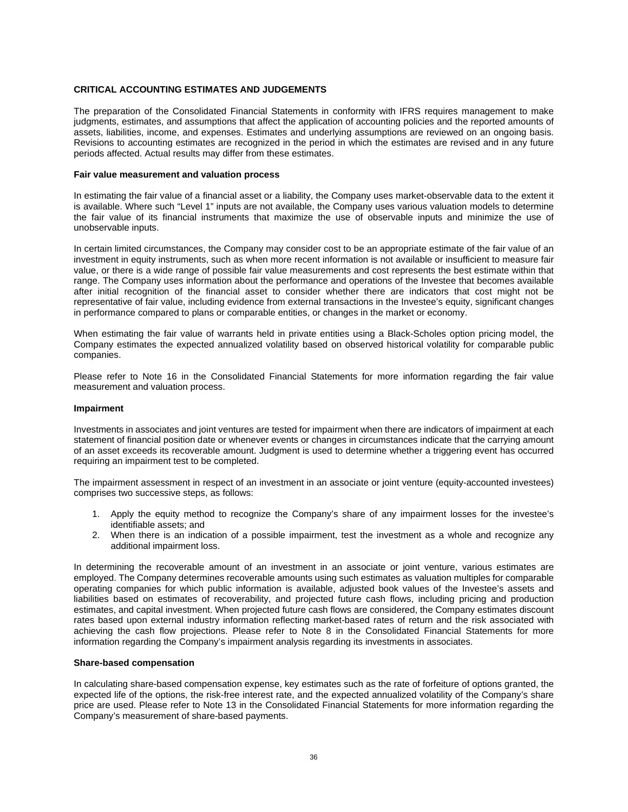## **CRITICAL ACCOUNTING ESTIMATES AND JUDGEMENTS**

The preparation of the Consolidated Financial Statements in conformity with IFRS requires management to make judgments, estimates, and assumptions that affect the application of accounting policies and the reported amounts of assets, liabilities, income, and expenses. Estimates and underlying assumptions are reviewed on an ongoing basis. Revisions to accounting estimates are recognized in the period in which the estimates are revised and in any future periods affected. Actual results may differ from these estimates.

#### **Fair value measurement and valuation process**

In estimating the fair value of a financial asset or a liability, the Company uses market-observable data to the extent it is available. Where such "Level 1" inputs are not available, the Company uses various valuation models to determine the fair value of its financial instruments that maximize the use of observable inputs and minimize the use of unobservable inputs.

In certain limited circumstances, the Company may consider cost to be an appropriate estimate of the fair value of an investment in equity instruments, such as when more recent information is not available or insufficient to measure fair value, or there is a wide range of possible fair value measurements and cost represents the best estimate within that range. The Company uses information about the performance and operations of the Investee that becomes available after initial recognition of the financial asset to consider whether there are indicators that cost might not be representative of fair value, including evidence from external transactions in the Investee's equity, significant changes in performance compared to plans or comparable entities, or changes in the market or economy.

When estimating the fair value of warrants held in private entities using a Black-Scholes option pricing model, the Company estimates the expected annualized volatility based on observed historical volatility for comparable public companies.

Please refer to Note 16 in the Consolidated Financial Statements for more information regarding the fair value measurement and valuation process.

#### **Impairment**

Investments in associates and joint ventures are tested for impairment when there are indicators of impairment at each statement of financial position date or whenever events or changes in circumstances indicate that the carrying amount of an asset exceeds its recoverable amount. Judgment is used to determine whether a triggering event has occurred requiring an impairment test to be completed.

The impairment assessment in respect of an investment in an associate or joint venture (equity-accounted investees) comprises two successive steps, as follows:

- 1. Apply the equity method to recognize the Company's share of any impairment losses for the investee's identifiable assets; and
- 2. When there is an indication of a possible impairment, test the investment as a whole and recognize any additional impairment loss.

In determining the recoverable amount of an investment in an associate or joint venture, various estimates are employed. The Company determines recoverable amounts using such estimates as valuation multiples for comparable operating companies for which public information is available, adjusted book values of the Investee's assets and liabilities based on estimates of recoverability, and projected future cash flows, including pricing and production estimates, and capital investment. When projected future cash flows are considered, the Company estimates discount rates based upon external industry information reflecting market-based rates of return and the risk associated with achieving the cash flow projections. Please refer to Note 8 in the Consolidated Financial Statements for more information regarding the Company's impairment analysis regarding its investments in associates.

### **Share-based compensation**

In calculating share-based compensation expense, key estimates such as the rate of forfeiture of options granted, the expected life of the options, the risk-free interest rate, and the expected annualized volatility of the Company's share price are used. Please refer to Note 13 in the Consolidated Financial Statements for more information regarding the Company's measurement of share-based payments.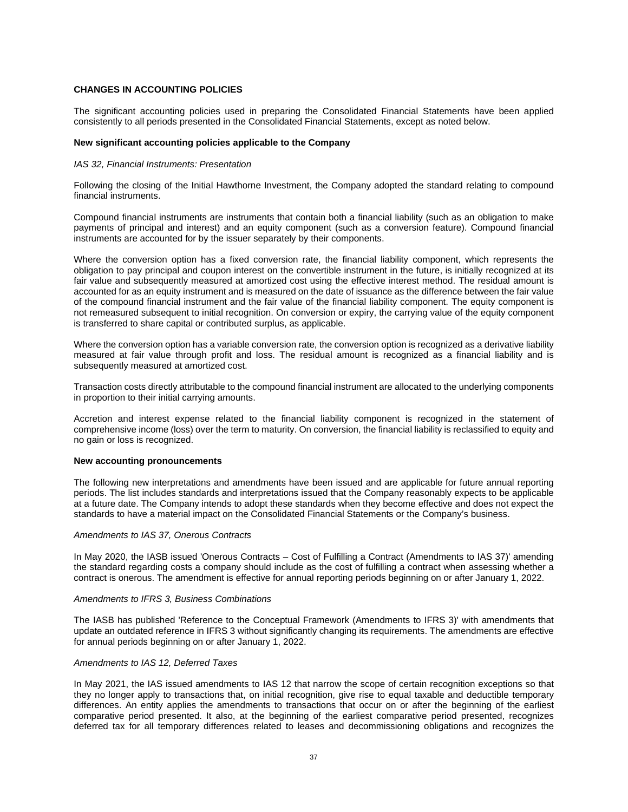## **CHANGES IN ACCOUNTING POLICIES**

The significant accounting policies used in preparing the Consolidated Financial Statements have been applied consistently to all periods presented in the Consolidated Financial Statements, except as noted below.

#### **New significant accounting policies applicable to the Company**

#### *IAS 32, Financial Instruments: Presentation*

Following the closing of the Initial Hawthorne Investment, the Company adopted the standard relating to compound financial instruments.

Compound financial instruments are instruments that contain both a financial liability (such as an obligation to make payments of principal and interest) and an equity component (such as a conversion feature). Compound financial instruments are accounted for by the issuer separately by their components.

Where the conversion option has a fixed conversion rate, the financial liability component, which represents the obligation to pay principal and coupon interest on the convertible instrument in the future, is initially recognized at its fair value and subsequently measured at amortized cost using the effective interest method. The residual amount is accounted for as an equity instrument and is measured on the date of issuance as the difference between the fair value of the compound financial instrument and the fair value of the financial liability component. The equity component is not remeasured subsequent to initial recognition. On conversion or expiry, the carrying value of the equity component is transferred to share capital or contributed surplus, as applicable.

Where the conversion option has a variable conversion rate, the conversion option is recognized as a derivative liability measured at fair value through profit and loss. The residual amount is recognized as a financial liability and is subsequently measured at amortized cost.

Transaction costs directly attributable to the compound financial instrument are allocated to the underlying components in proportion to their initial carrying amounts.

Accretion and interest expense related to the financial liability component is recognized in the statement of comprehensive income (loss) over the term to maturity. On conversion, the financial liability is reclassified to equity and no gain or loss is recognized.

#### **New accounting pronouncements**

The following new interpretations and amendments have been issued and are applicable for future annual reporting periods. The list includes standards and interpretations issued that the Company reasonably expects to be applicable at a future date. The Company intends to adopt these standards when they become effective and does not expect the standards to have a material impact on the Consolidated Financial Statements or the Company's business.

### *Amendments to IAS 37, Onerous Contracts*

In May 2020, the IASB issued 'Onerous Contracts – Cost of Fulfilling a Contract (Amendments to IAS 37)' amending the standard regarding costs a company should include as the cost of fulfilling a contract when assessing whether a contract is onerous. The amendment is effective for annual reporting periods beginning on or after January 1, 2022.

#### *Amendments to IFRS 3, Business Combinations*

The IASB has published 'Reference to the Conceptual Framework (Amendments to IFRS 3)' with amendments that update an outdated reference in IFRS 3 without significantly changing its requirements. The amendments are effective for annual periods beginning on or after January 1, 2022.

### *Amendments to IAS 12, Deferred Taxes*

In May 2021, the IAS issued amendments to IAS 12 that narrow the scope of certain recognition exceptions so that they no longer apply to transactions that, on initial recognition, give rise to equal taxable and deductible temporary differences. An entity applies the amendments to transactions that occur on or after the beginning of the earliest comparative period presented. It also, at the beginning of the earliest comparative period presented, recognizes deferred tax for all temporary differences related to leases and decommissioning obligations and recognizes the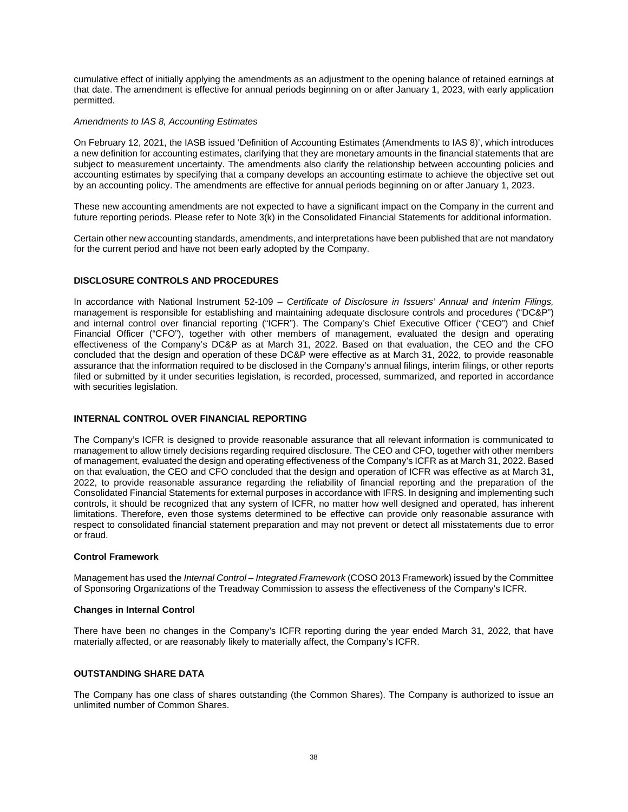cumulative effect of initially applying the amendments as an adjustment to the opening balance of retained earnings at that date. The amendment is effective for annual periods beginning on or after January 1, 2023, with early application permitted.

# *Amendments to IAS 8, Accounting Estimates*

On February 12, 2021, the IASB issued 'Definition of Accounting Estimates (Amendments to IAS 8)', which introduces a new definition for accounting estimates, clarifying that they are monetary amounts in the financial statements that are subject to measurement uncertainty. The amendments also clarify the relationship between accounting policies and accounting estimates by specifying that a company develops an accounting estimate to achieve the objective set out by an accounting policy. The amendments are effective for annual periods beginning on or after January 1, 2023.

These new accounting amendments are not expected to have a significant impact on the Company in the current and future reporting periods. Please refer to Note 3(k) in the Consolidated Financial Statements for additional information.

Certain other new accounting standards, amendments, and interpretations have been published that are not mandatory for the current period and have not been early adopted by the Company.

# **DISCLOSURE CONTROLS AND PROCEDURES**

In accordance with National Instrument 52-109 *– Certificate of Disclosure in Issuers' Annual and Interim Filings,*  management is responsible for establishing and maintaining adequate disclosure controls and procedures ("DC&P") and internal control over financial reporting ("ICFR"). The Company's Chief Executive Officer ("CEO") and Chief Financial Officer ("CFO"), together with other members of management, evaluated the design and operating effectiveness of the Company's DC&P as at March 31, 2022. Based on that evaluation, the CEO and the CFO concluded that the design and operation of these DC&P were effective as at March 31, 2022, to provide reasonable assurance that the information required to be disclosed in the Company's annual filings, interim filings, or other reports filed or submitted by it under securities legislation, is recorded, processed, summarized, and reported in accordance with securities legislation.

# **INTERNAL CONTROL OVER FINANCIAL REPORTING**

The Company's ICFR is designed to provide reasonable assurance that all relevant information is communicated to management to allow timely decisions regarding required disclosure. The CEO and CFO, together with other members of management, evaluated the design and operating effectiveness of the Company's ICFR as at March 31, 2022. Based on that evaluation, the CEO and CFO concluded that the design and operation of ICFR was effective as at March 31, 2022, to provide reasonable assurance regarding the reliability of financial reporting and the preparation of the Consolidated Financial Statements for external purposes in accordance with IFRS. In designing and implementing such controls, it should be recognized that any system of ICFR, no matter how well designed and operated, has inherent limitations. Therefore, even those systems determined to be effective can provide only reasonable assurance with respect to consolidated financial statement preparation and may not prevent or detect all misstatements due to error or fraud.

# **Control Framework**

Management has used the *Internal Control – Integrated Framework* (COSO 2013 Framework) issued by the Committee of Sponsoring Organizations of the Treadway Commission to assess the effectiveness of the Company's ICFR.

# **Changes in Internal Control**

There have been no changes in the Company's ICFR reporting during the year ended March 31, 2022, that have materially affected, or are reasonably likely to materially affect, the Company's ICFR.

# **OUTSTANDING SHARE DATA**

The Company has one class of shares outstanding (the Common Shares). The Company is authorized to issue an unlimited number of Common Shares.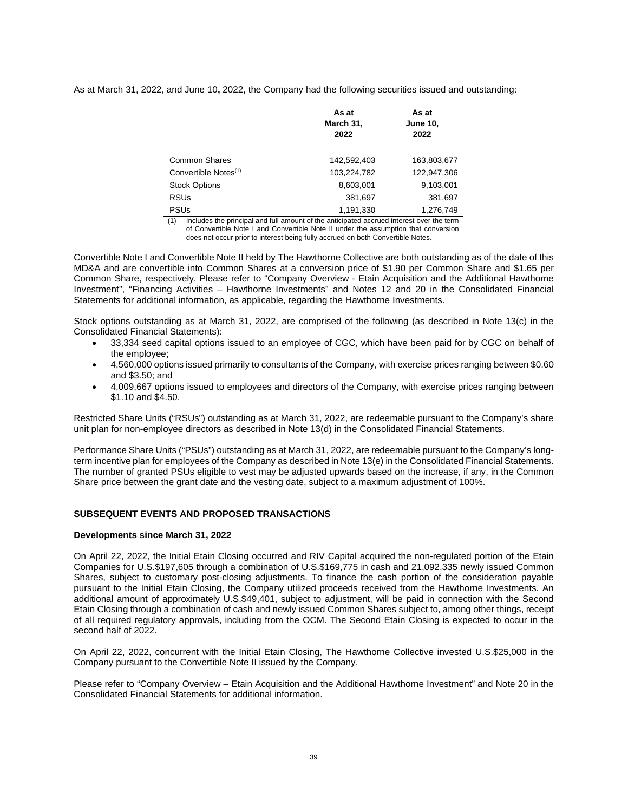As at March 31, 2022, and June 10**,** 2022, the Company had the following securities issued and outstanding:

|                                  | As at<br>March 31,<br>2022 | As at<br><b>June 10,</b><br>2022 |  |  |  |
|----------------------------------|----------------------------|----------------------------------|--|--|--|
|                                  |                            |                                  |  |  |  |
| Common Shares                    | 142,592,403                | 163,803,677                      |  |  |  |
| Convertible Notes <sup>(1)</sup> | 103,224,782                | 122,947,306                      |  |  |  |
| <b>Stock Options</b>             | 8,603,001                  | 9,103,001                        |  |  |  |
| <b>RSUs</b>                      | 381,697                    | 381,697                          |  |  |  |
| <b>PSUs</b>                      | 1,191,330                  | 1,276,749                        |  |  |  |

(1) Includes the principal and full amount of the anticipated accrued interest over the term of Convertible Note I and Convertible Note II under the assumption that conversion does not occur prior to interest being fully accrued on both Convertible Notes.

Convertible Note I and Convertible Note II held by The Hawthorne Collective are both outstanding as of the date of this MD&A and are convertible into Common Shares at a conversion price of \$1.90 per Common Share and \$1.65 per Common Share, respectively. Please refer to "Company Overview - Etain Acquisition and the Additional Hawthorne Investment", "Financing Activities – Hawthorne Investments" and Notes 12 and 20 in the Consolidated Financial Statements for additional information, as applicable, regarding the Hawthorne Investments.

Stock options outstanding as at March 31, 2022, are comprised of the following (as described in Note 13(c) in the Consolidated Financial Statements):

- 33,334 seed capital options issued to an employee of CGC, which have been paid for by CGC on behalf of the employee;
- 4,560,000 options issued primarily to consultants of the Company, with exercise prices ranging between \$0.60 and \$3.50; and
- 4,009,667 options issued to employees and directors of the Company, with exercise prices ranging between \$1.10 and \$4.50.

Restricted Share Units ("RSUs") outstanding as at March 31, 2022, are redeemable pursuant to the Company's share unit plan for non-employee directors as described in Note 13(d) in the Consolidated Financial Statements.

Performance Share Units ("PSUs") outstanding as at March 31, 2022, are redeemable pursuant to the Company's longterm incentive plan for employees of the Company as described in Note 13(e) in the Consolidated Financial Statements. The number of granted PSUs eligible to vest may be adjusted upwards based on the increase, if any, in the Common Share price between the grant date and the vesting date, subject to a maximum adjustment of 100%.

# **SUBSEQUENT EVENTS AND PROPOSED TRANSACTIONS**

### **Developments since March 31, 2022**

On April 22, 2022, the Initial Etain Closing occurred and RIV Capital acquired the non-regulated portion of the Etain Companies for U.S.\$197,605 through a combination of U.S.\$169,775 in cash and 21,092,335 newly issued Common Shares, subject to customary post-closing adjustments. To finance the cash portion of the consideration payable pursuant to the Initial Etain Closing, the Company utilized proceeds received from the Hawthorne Investments. An additional amount of approximately U.S.\$49,401, subject to adjustment, will be paid in connection with the Second Etain Closing through a combination of cash and newly issued Common Shares subject to, among other things, receipt of all required regulatory approvals, including from the OCM. The Second Etain Closing is expected to occur in the second half of 2022.

On April 22, 2022, concurrent with the Initial Etain Closing, The Hawthorne Collective invested U.S.\$25,000 in the Company pursuant to the Convertible Note II issued by the Company.

Please refer to "Company Overview – Etain Acquisition and the Additional Hawthorne Investment" and Note 20 in the Consolidated Financial Statements for additional information.